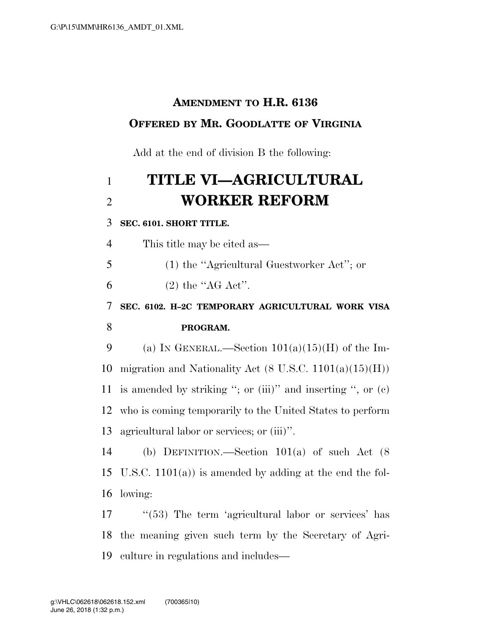# **AMENDMENT TO H.R. 6136 OFFERED BY MR. GOODLATTE OF VIRGINIA**

Add at the end of division B the following:

# 1 **TITLE VI—AGRICULTURAL**  2 **WORKER REFORM**

#### 3 **SEC. 6101. SHORT TITLE.**

4 This title may be cited as—

5 (1) the ''Agricultural Guestworker Act''; or

6 (2) the " $AG \text{ Act}$ ".

7 **SEC. 6102. H–2C TEMPORARY AGRICULTURAL WORK VISA**  8 **PROGRAM.** 

9 (a) IN GENERAL.—Section  $101(a)(15)(H)$  of the Im-10 migration and Nationality Act  $(8 \text{ U.S.C. } 1101(a)(15)(\text{H}))$ 11 is amended by striking "; or (iii)" and inserting ", or  $(c)$ 12 who is coming temporarily to the United States to perform 13 agricultural labor or services; or (iii)''.

14 (b) DEFINITION.—Section 101(a) of such Act (8 15 U.S.C. 1101(a)) is amended by adding at the end the fol-16 lowing:

17 ''(53) The term 'agricultural labor or services' has 18 the meaning given such term by the Secretary of Agri-19 culture in regulations and includes—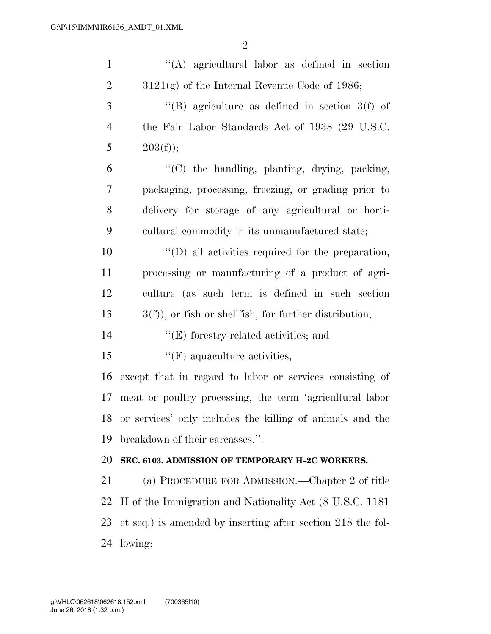| $\mathbf{1}$   | "(A) agricultural labor as defined in section                |
|----------------|--------------------------------------------------------------|
| $\overline{2}$ | $3121(g)$ of the Internal Revenue Code of 1986;              |
| 3              | "(B) agriculture as defined in section $3(f)$ of             |
| $\overline{4}$ | the Fair Labor Standards Act of 1938 (29 U.S.C.              |
| 5              | 203(f));                                                     |
| 6              | "(C) the handling, planting, drying, packing,                |
| 7              | packaging, processing, freezing, or grading prior to         |
| 8              | delivery for storage of any agricultural or horti-           |
| 9              | cultural commodity in its unmanufactured state;              |
| 10             | $\lq\lq$ (D) all activities required for the preparation,    |
| 11             | processing or manufacturing of a product of agri-            |
| 12             | culture (as such term is defined in such section             |
| 13             | $3(f)$ , or fish or shellfish, for further distribution;     |
| 14             | $\lq\lq(E)$ forestry-related activities; and                 |
| 15             | $\lq\lq(F)$ aquaculture activities,                          |
| 16             | except that in regard to labor or services consisting of     |
| 17             | meat or poultry processing, the term 'agricultural labor     |
|                | 18 or services' only includes the killing of animals and the |
| 19             | breakdown of their carcasses.".                              |
| 20             | SEC. 6103. ADMISSION OF TEMPORARY H-2C WORKERS.              |
| 21             | (a) PROCEDURE FOR ADMISSION.—Chapter 2 of title              |
| 22             | II of the Immigration and Nationality Act (8 U.S.C. 1181)    |
| 23             | et seq.) is amended by inserting after section 218 the fol-  |
| 24             | lowing:                                                      |
|                |                                                              |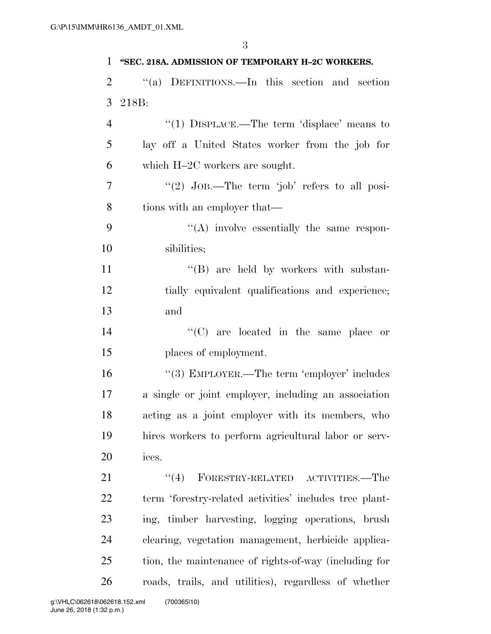| 1              | "SEC. 218A. ADMISSION OF TEMPORARY H-2C WORKERS.        |
|----------------|---------------------------------------------------------|
| $\overline{2}$ | "(a) DEFINITIONS.—In this section and section           |
| 3              | 218B:                                                   |
| $\overline{4}$ | "(1) $DISPLACE$ . The term 'displace' means to          |
| 5              | lay off a United States worker from the job for         |
| 6              | which $H-2C$ workers are sought.                        |
| 7              | "(2) $JoB$ .—The term 'job' refers to all posi-         |
| 8              | tions with an employer that—                            |
| 9              | $\lq\lq$ involve essentially the same respon-           |
| 10             | sibilities;                                             |
| 11             | "(B) are held by workers with substan-                  |
| 12             | tially equivalent qualifications and experience;        |
| 13             | and                                                     |
| 14             | $\lq\lq$ (C) are located in the same place or           |
| 15             | places of employment.                                   |
| 16             | "(3) EMPLOYER.—The term 'employer' includes             |
| 17             | a single or joint employer, including an association    |
| 18             | acting as a joint employer with its members, who        |
| 19             | hires workers to perform agricultural labor or serv-    |
| 20             | ices.                                                   |
| 21             | $``(4)$ FORESTRY-RELATED ACTIVITIES.—The                |
| 22             | term 'forestry-related activities' includes tree plant- |
| 23             | ing, timber harvesting, logging operations, brush       |
| 24             | clearing, vegetation management, herbicide applica-     |
| 25             | tion, the maintenance of rights-of-way (including for   |
| 26             | roads, trails, and utilities), regardless of whether    |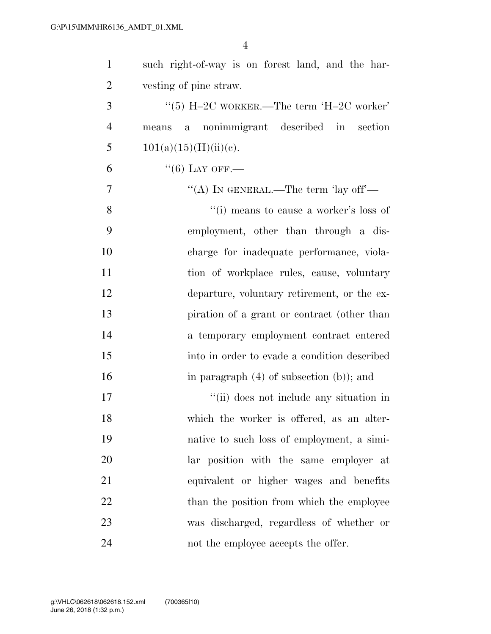| $\mathbf{1}$   | such right-of-way is on forest land, and the har- |
|----------------|---------------------------------------------------|
| $\overline{2}$ | vesting of pine straw.                            |
| 3              | "(5) H-2C WORKER.—The term 'H-2C worker'          |
| $\overline{4}$ | nonimmigrant described in section<br>a a<br>means |
| 5              | $101(a)(15)(H)(ii)(e)$ .                          |
| 6              | $``(6)$ LAY OFF.—                                 |
| 7              | "(A) IN GENERAL.—The term 'lay off'—              |
| 8              | "(i) means to cause a worker's loss of            |
| 9              | employment, other than through a dis-             |
| 10             | charge for inadequate performance, viola-         |
| 11             | tion of workplace rules, cause, voluntary         |
| 12             | departure, voluntary retirement, or the ex-       |
| 13             | piration of a grant or contract (other than       |
| 14             | a temporary employment contract entered           |
| 15             | into in order to evade a condition described      |
| 16             | in paragraph $(4)$ of subsection $(b)$ ; and      |
| 17             | "(ii) does not include any situation in           |
| 18             | which the worker is offered, as an alter-         |
| 19             | native to such loss of employment, a simi-        |
| 20             | lar position with the same employer at            |
| 21             | equivalent or higher wages and benefits           |
| 22             | than the position from which the employee         |
| 23             | was discharged, regardless of whether or          |
| 24             | not the employee accepts the offer.               |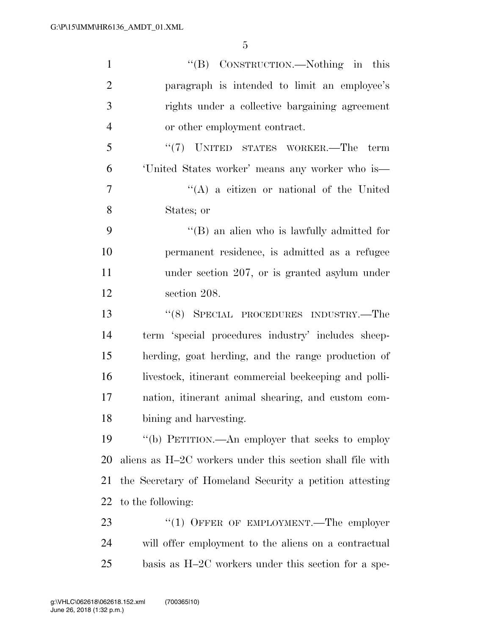| $\mathbf{1}$   | "(B) CONSTRUCTION.—Nothing in this                        |
|----------------|-----------------------------------------------------------|
| $\overline{2}$ | paragraph is intended to limit an employee's              |
| 3              | rights under a collective bargaining agreement            |
| $\overline{4}$ | or other employment contract.                             |
| 5              | "(7) UNITED STATES WORKER.—The term                       |
| 6              | 'United States worker' means any worker who is—           |
| 7              | $\lq\lq$ a citizen or national of the United              |
| 8              | States; or                                                |
| 9              | $\lq\lq$ (B) an alien who is lawfully admitted for        |
| 10             | permanent residence, is admitted as a refugee             |
| 11             | under section 207, or is granted asylum under             |
| 12             | section 208.                                              |
| 13             | "(8) SPECIAL PROCEDURES INDUSTRY.—The                     |
| 14             | term 'special procedures industry' includes sheep-        |
| 15             | herding, goat herding, and the range production of        |
| 16             | livestock, itinerant commercial beekeeping and polli-     |
| 17             | nation, itinerant animal shearing, and custom com-        |
| 18             | bining and harvesting.                                    |
| 19             | "(b) PETITION.—An employer that seeks to employ           |
| 20             | aliens as H-2C workers under this section shall file with |
| 21             | the Secretary of Homeland Security a petition attesting   |
| 22             | to the following:                                         |
| 23             | "(1) OFFER OF EMPLOYMENT.—The employer                    |
| 24             | will offer employment to the aliens on a contractual      |
| 25             | basis as $H-2C$ workers under this section for a spe-     |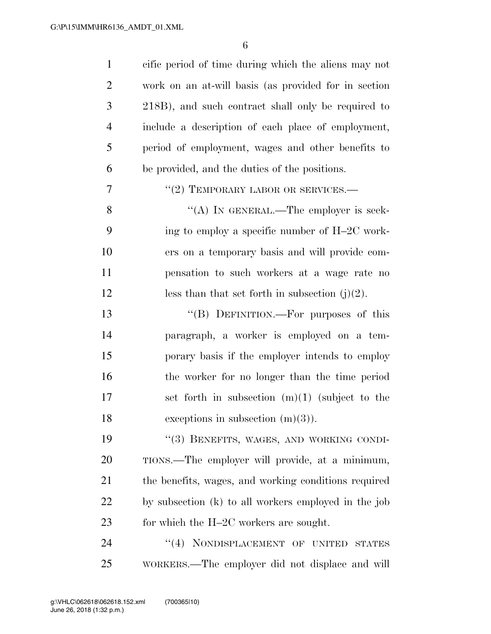| $\mathbf{1}$   | cific period of time during which the aliens may not |
|----------------|------------------------------------------------------|
| $\overline{2}$ | work on an at-will basis (as provided for in section |
| 3              | 218B), and such contract shall only be required to   |
| 4              | include a description of each place of employment,   |
| 5              | period of employment, wages and other benefits to    |
| 6              | be provided, and the duties of the positions.        |
| 7              | $``(2)$ TEMPORARY LABOR OR SERVICES.—                |
| 8              | "(A) IN GENERAL.—The employer is seek-               |
| 9              | ing to employ a specific number of H-2C work-        |
| 10             | ers on a temporary basis and will provide com-       |
| 11             | pensation to such workers at a wage rate no          |
| 12             | less than that set forth in subsection $(j)(2)$ .    |
| 13             | "(B) DEFINITION.—For purposes of this                |
| 14             | paragraph, a worker is employed on a tem-            |
| 15             | porary basis if the employer intends to employ       |
| 16             | the worker for no longer than the time period        |
| 17             | set forth in subsection $(m)(1)$ (subject to the     |
| 18             | exceptions in subsection $(m)(3)$ ).                 |
| 19             | "(3) BENEFITS, WAGES, AND WORKING CONDI-             |
| 20             | TIONS.—The employer will provide, at a minimum,      |
| 21             | the benefits, wages, and working conditions required |
| 22             | by subsection (k) to all workers employed in the job |
| 23             | for which the H-2C workers are sought.               |
| 24             | "(4) NONDISPLACEMENT OF UNITED<br><b>STATES</b>      |
| 25             | WORKERS.—The employer did not displace and will      |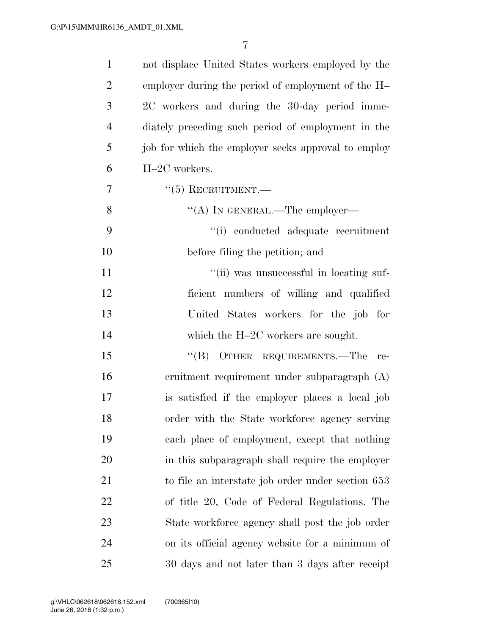| $\mathbf{1}$   | not displace United States workers employed by the  |
|----------------|-----------------------------------------------------|
| $\overline{2}$ | employer during the period of employment of the H-  |
| 3              | 2C workers and during the 30-day period imme-       |
| $\overline{4}$ | diately preceding such period of employment in the  |
| 5              | job for which the employer seeks approval to employ |
| 6              | H-2C workers.                                       |
| $\overline{7}$ | $``(5)$ RECRUITMENT.—                               |
| 8              | "(A) IN GENERAL.—The employer—                      |
| 9              | "(i) conducted adequate recruitment                 |
| 10             | before filing the petition; and                     |
| 11             | "(ii) was unsuccessful in locating suf-             |
| 12             | ficient numbers of willing and qualified            |
| 13             | United States workers for the job for               |
| 14             | which the $H-2C$ workers are sought.                |
| 15             | "(B) OTHER REQUIREMENTS.—The re-                    |
| 16             | eruitment requirement under subparagraph (A)        |
| 17             | is satisfied if the employer places a local job     |
| 18             | order with the State workforce agency serving       |
| 19             | each place of employment, except that nothing       |
| 20             | in this subparagraph shall require the employer     |
| 21             | to file an interstate job order under section 653   |
| 22             | of title 20, Code of Federal Regulations. The       |
| 23             | State workforce agency shall post the job order     |
| 24             | on its official agency website for a minimum of     |
| 25             | 30 days and not later than 3 days after receipt     |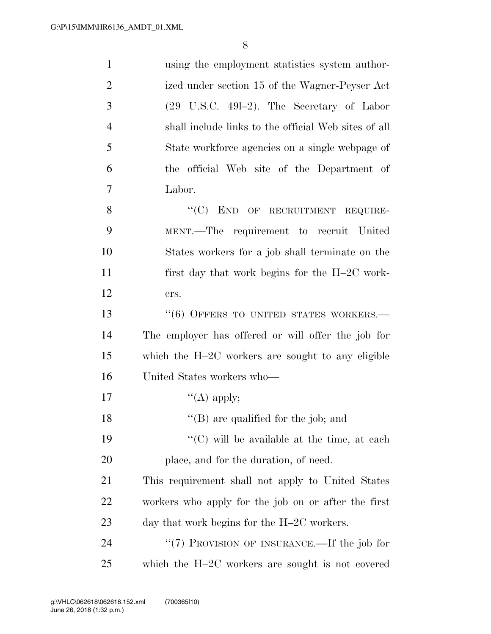| $\mathbf{1}$   | using the employment statistics system author-        |
|----------------|-------------------------------------------------------|
| $\overline{2}$ | ized under section 15 of the Wagner-Peyser Act        |
| 3              | $(29 \text{ U.S.C. } 491-2)$ . The Secretary of Labor |
| $\overline{4}$ | shall include links to the official Web sites of all  |
| 5              | State workforce agencies on a single webpage of       |
| 6              | the official Web site of the Department of            |
| 7              | Labor.                                                |
| 8              | "(C) END OF RECRUITMENT REQUIRE-                      |
| 9              | MENT.—The requirement to recruit United               |
| 10             | States workers for a job shall terminate on the       |
| 11             | first day that work begins for the H-2C work-         |
| 12             | ers.                                                  |
| 13             | $``(6)$ OFFERS TO UNITED STATES WORKERS.—             |
| 14             | The employer has offered or will offer the job for    |
| 15             | which the $H-2C$ workers are sought to any eligible   |
| 16             | United States workers who—                            |
| 17             | "(A) apply;                                           |
| 18             | $\lq\lq$ (B) are qualified for the job; and           |
| 19             | $\lq\lq$ (C) will be available at the time, at each   |
| 20             | place, and for the duration, of need.                 |
| 21             | This requirement shall not apply to United States     |
| 22             | workers who apply for the job on or after the first   |
| 23             | day that work begins for the $H-2C$ workers.          |
| 24             | " $(7)$ PROVISION OF INSURANCE.—If the job for        |
| 25             | which the $H-2C$ workers are sought is not covered    |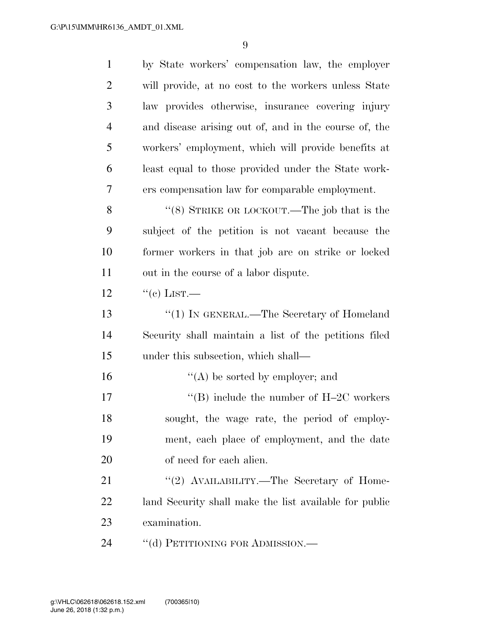| $\mathbf{1}$   | by State workers' compensation law, the employer       |
|----------------|--------------------------------------------------------|
| $\overline{2}$ | will provide, at no cost to the workers unless State   |
| 3              | law provides otherwise, insurance covering injury      |
| $\overline{4}$ | and disease arising out of, and in the course of, the  |
| 5              | workers' employment, which will provide benefits at    |
| 6              | least equal to those provided under the State work-    |
| 7              | ers compensation law for comparable employment.        |
| 8              | " $(8)$ STRIKE OR LOCKOUT.—The job that is the         |
| 9              | subject of the petition is not vacant because the      |
| 10             | former workers in that job are on strike or locked     |
| 11             | out in the course of a labor dispute.                  |
| 12             | $``$ (c) LIST.—                                        |
| 13             | "(1) IN GENERAL.—The Secretary of Homeland             |
| 14             | Security shall maintain a list of the petitions filed  |
| 15             | under this subsection, which shall—                    |
| 16             | $\lq\lq$ be sorted by employer; and                    |
| 17             | "(B) include the number of $H-2C$ workers              |
| 18             | sought, the wage rate, the period of employ-           |
| 19             | ment, each place of employment, and the date           |
| 20             | of need for each alien.                                |
| 21             | "(2) AVAILABILITY.—The Secretary of Home-              |
| 22             | land Security shall make the list available for public |
| 23             | examination.                                           |
| 24             | "(d) PETITIONING FOR ADMISSION.—                       |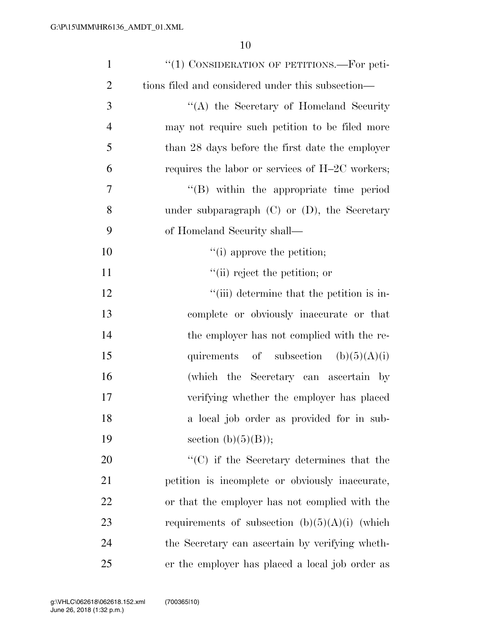| $\mathbf{1}$   | "(1) CONSIDERATION OF PETITIONS.—For peti-        |
|----------------|---------------------------------------------------|
| $\overline{2}$ | tions filed and considered under this subsection— |
| 3              | "(A) the Secretary of Homeland Security           |
| $\overline{4}$ | may not require such petition to be filed more    |
| 5              | than 28 days before the first date the employer   |
| 6              | requires the labor or services of $H-2C$ workers; |
| 7              | $\lq\lq$ within the appropriate time period       |
| 8              | under subparagraph $(C)$ or $(D)$ , the Secretary |
| 9              | of Homeland Security shall—                       |
| 10             | $f'(i)$ approve the petition;                     |
| 11             | "(ii) reject the petition; or                     |
| 12             | "(iii) determine that the petition is in-         |
| 13             | complete or obviously inaccurate or that          |
| 14             | the employer has not complied with the re-        |
| 15             | quirements of subsection $(b)(5)(A)(i)$           |
| 16             | (which the Secretary can ascertain by             |
| 17             | verifying whether the employer has placed         |
| 18             | a local job order as provided for in sub-         |
| 19             | section $(b)(5)(B)$ ;                             |
| 20             | $\lq\lq$ (C) if the Secretary determines that the |
| 21             | petition is incomplete or obviously inaccurate,   |
| 22             | or that the employer has not complied with the    |
| 23             | requirements of subsection $(b)(5)(A)(i)$ (which  |
| 24             | the Secretary can ascertain by verifying wheth-   |
| 25             | er the employer has placed a local job order as   |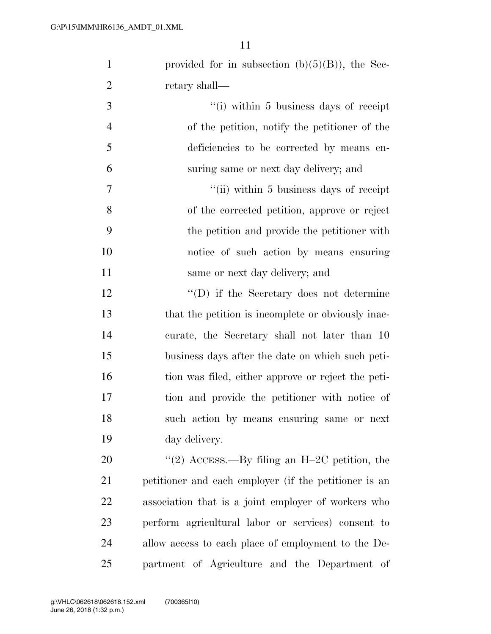|                | 11                                                 |
|----------------|----------------------------------------------------|
| $\mathbf{1}$   | provided for in subsection $(b)(5)(B)$ , the Sec-  |
| $\overline{2}$ | retary shall—                                      |
| 3              | "(i) within 5 business days of receipt             |
| $\overline{4}$ | of the petition, notify the petitioner of the      |
| 5              | deficiencies to be corrected by means en-          |
| 6              | suring same or next day delivery; and              |
| $\tau$         | "(ii) within 5 business days of receipt            |
| 8              | of the corrected petition, approve or reject       |
| 9              | the petition and provide the petitioner with       |
| 10             | notice of such action by means ensuring            |
| 11             | same or next day delivery; and                     |
| 12             | "(D) if the Secretary does not determine           |
| 13             | that the petition is incomplete or obviously inac- |
| 14             | curate, the Secretary shall not later than 10      |
| 15             | business days after the date on which such peti-   |
| 16             | tion was filed, either approve or reject the peti- |

 business days after the date on which such peti- tion was filed, either approve or reject the peti- tion and provide the petitioner with notice of such action by means ensuring same or next day delivery.

20 "(2) ACCESS.—By filing an H–2C petition, the petitioner and each employer (if the petitioner is an association that is a joint employer of workers who perform agricultural labor or services) consent to allow access to each place of employment to the De-partment of Agriculture and the Department of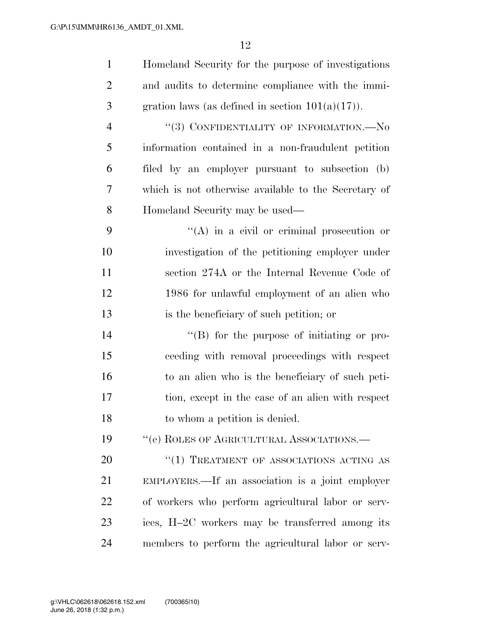| $\mathbf{1}$   | Homeland Security for the purpose of investigations  |
|----------------|------------------------------------------------------|
| $\overline{2}$ | and audits to determine compliance with the immi-    |
| 3              | gration laws (as defined in section $101(a)(17)$ ).  |
| $\overline{4}$ | "(3) CONFIDENTIALITY OF INFORMATION.— $No$           |
| 5              | information contained in a non-fraudulent petition   |
| 6              | filed by an employer pursuant to subsection (b)      |
| 7              | which is not otherwise available to the Secretary of |
| 8              | Homeland Security may be used—                       |
| 9              | $\lq\lq$ in a civil or criminal prosecution or       |
| 10             | investigation of the petitioning employer under      |
| 11             | section 274A or the Internal Revenue Code of         |
| 12             | 1986 for unlawful employment of an alien who         |
| 13             | is the beneficiary of such petition; or              |
| 14             | $\lq\lq (B)$ for the purpose of initiating or pro-   |
| 15             | ceeding with removal proceedings with respect        |
| 16             | to an alien who is the beneficiary of such peti-     |
| 17             | tion, except in the case of an alien with respect    |
| 18             | to whom a petition is denied.                        |
| 19             | $``$ (e) ROLES OF AGRICULTURAL ASSOCIATIONS.—        |
| 20             | $``(1)$ TREATMENT OF ASSOCIATIONS ACTING AS          |
| 21             | EMPLOYERS.—If an association is a joint employer     |
| 22             | of workers who perform agricultural labor or serv-   |
| 23             | ices, H-2C workers may be transferred among its      |
| 24             | members to perform the agricultural labor or serv-   |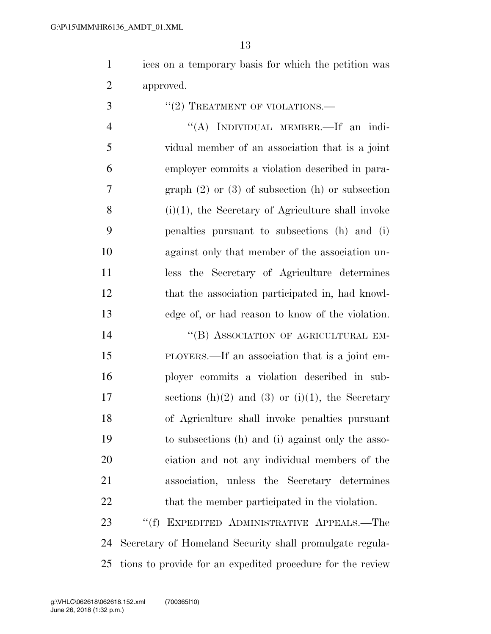ices on a temporary basis for which the petition was approved.

''(2) TREATMENT OF VIOLATIONS.—

 ''(A) INDIVIDUAL MEMBER.—If an indi- vidual member of an association that is a joint employer commits a violation described in para- graph (2) or (3) of subsection (h) or subsection (i)(1), the Secretary of Agriculture shall invoke penalties pursuant to subsections (h) and (i) against only that member of the association un- less the Secretary of Agriculture determines that the association participated in, had knowl-edge of, or had reason to know of the violation.

14 "(B) ASSOCIATION OF AGRICULTURAL EM- PLOYERS.—If an association that is a joint em- ployer commits a violation described in sub-17 sections  $(h)(2)$  and  $(3)$  or  $(i)(1)$ , the Secretary of Agriculture shall invoke penalties pursuant to subsections (h) and (i) against only the asso- ciation and not any individual members of the association, unless the Secretary determines 22 that the member participated in the violation.

23 "(f) EXPEDITED ADMINISTRATIVE APPEALS.—The Secretary of Homeland Security shall promulgate regula-tions to provide for an expedited procedure for the review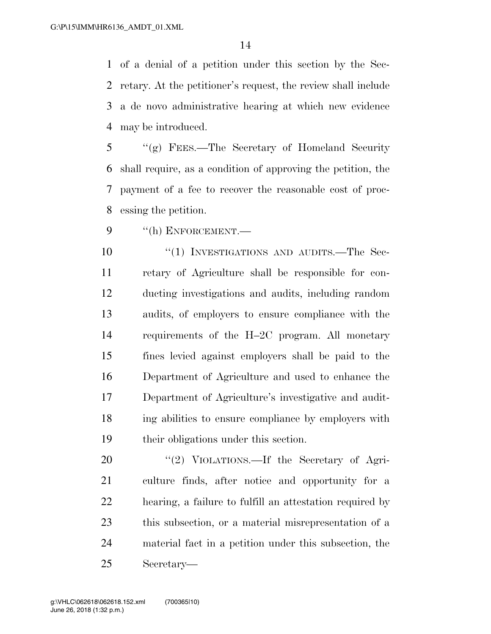of a denial of a petition under this section by the Sec- retary. At the petitioner's request, the review shall include a de novo administrative hearing at which new evidence may be introduced.

 ''(g) FEES.—The Secretary of Homeland Security shall require, as a condition of approving the petition, the payment of a fee to recover the reasonable cost of proc-essing the petition.

9 "(h) ENFORCEMENT.

10 "(1) INVESTIGATIONS AND AUDITS.—The Sec- retary of Agriculture shall be responsible for con- ducting investigations and audits, including random audits, of employers to ensure compliance with the requirements of the H–2C program. All monetary fines levied against employers shall be paid to the Department of Agriculture and used to enhance the Department of Agriculture's investigative and audit- ing abilities to ensure compliance by employers with their obligations under this section.

20 "(2) VIOLATIONS.—If the Secretary of Agri- culture finds, after notice and opportunity for a hearing, a failure to fulfill an attestation required by this subsection, or a material misrepresentation of a material fact in a petition under this subsection, the Secretary—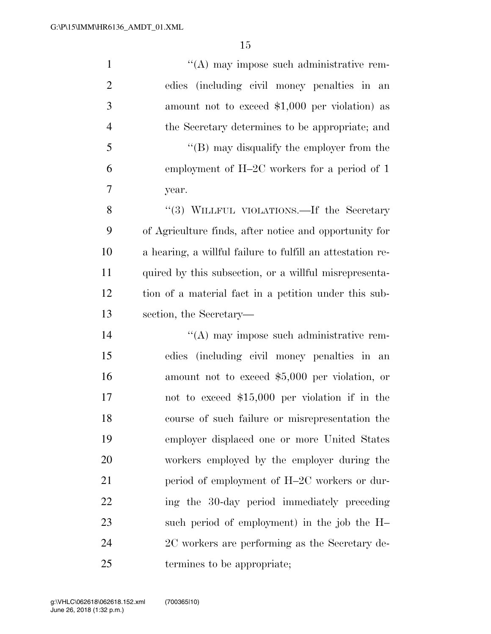1 ''(A) may impose such administrative rem- edies (including civil money penalties in an amount not to exceed \$1,000 per violation) as the Secretary determines to be appropriate; and ''(B) may disqualify the employer from the employment of H–2C workers for a period of 1 year. 8 "(3) WILLFUL VIOLATIONS.—If the Secretary of Agriculture finds, after notice and opportunity for a hearing, a willful failure to fulfill an attestation re- quired by this subsection, or a willful misrepresenta- tion of a material fact in a petition under this sub- section, the Secretary—  $\langle (A)$  may impose such administrative rem- edies (including civil money penalties in an amount not to exceed \$5,000 per violation, or not to exceed \$15,000 per violation if in the course of such failure or misrepresentation the employer displaced one or more United States workers employed by the employer during the 21 period of employment of H–2C workers or dur-22 ing the 30-day period immediately preceding such period of employment) in the job the H– 2C workers are performing as the Secretary de-termines to be appropriate;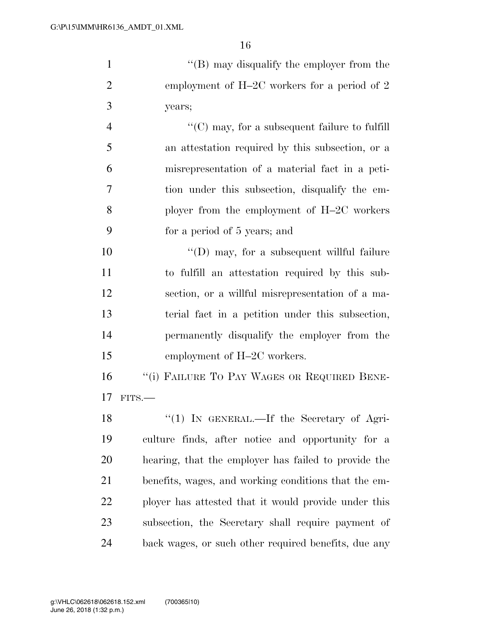| $\mathbf{1}$   | "(B) may disqualify the employer from the             |
|----------------|-------------------------------------------------------|
| 2              | employment of H-2C workers for a period of 2          |
| 3              | years;                                                |
| $\overline{4}$ | $\lq\lq$ (C) may, for a subsequent failure to fulfill |
| 5              | an attestation required by this subsection, or a      |
| 6              | misrepresentation of a material fact in a peti-       |
| 7              | tion under this subsection, disqualify the em-        |
| 8              | ployer from the employment of $H-2C$ workers          |
| 9              | for a period of 5 years; and                          |
| 10             | $\lq\lq$ (D) may, for a subsequent willful failure    |
| 11             | to fulfill an attestation required by this sub-       |
| 12             | section, or a willful misrepresentation of a ma-      |

terial fact in a petition under this subsection,

permanently disqualify the employer from the

16 "(i) FAILURE TO PAY WAGES OR REQUIRED BENE-

15 employment of H–2C workers.

 FITS.— 18 "(1) IN GENERAL.—If the Secretary of Agri- culture finds, after notice and opportunity for a hearing, that the employer has failed to provide the benefits, wages, and working conditions that the em- ployer has attested that it would provide under this subsection, the Secretary shall require payment of back wages, or such other required benefits, due any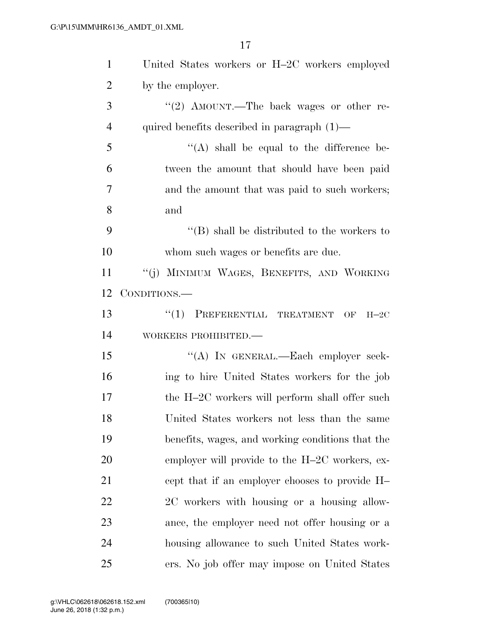| $\mathbf{1}$   | United States workers or H-2C workers employed                   |
|----------------|------------------------------------------------------------------|
| $\overline{2}$ | by the employer.                                                 |
| 3              | "(2) AMOUNT.—The back wages or other re-                         |
| $\overline{4}$ | quired benefits described in paragraph $(1)$ —                   |
| 5              | $\lq\lq$ shall be equal to the difference be-                    |
| 6              | tween the amount that should have been paid                      |
| $\overline{7}$ | and the amount that was paid to such workers;                    |
| 8              | and                                                              |
| 9              | $\lq\lq$ (B) shall be distributed to the workers to              |
| 10             | whom such wages or benefits are due.                             |
| 11             | "(j) MINIMUM WAGES, BENEFITS, AND WORKING                        |
| 12             | CONDITIONS.—                                                     |
| 13             | $(1)$ PREFERENTIAL TREATMENT<br>$\overline{\text{OF}}$<br>$H-2C$ |
| 14             | WORKERS PROHIBITED.-                                             |
| 15             | "(A) IN GENERAL.—Each employer seek-                             |
| 16             | ing to hire United States workers for the job                    |
| 17             | the H-2C workers will perform shall offer such                   |
| 18             | United States workers not less than the same                     |
| 19             | benefits, wages, and working conditions that the                 |
| 20             | employer will provide to the H-2C workers, ex-                   |
| 21             | cept that if an employer chooses to provide H-                   |
| 22             | 2C workers with housing or a housing allow-                      |
| 23             | ance, the employer need not offer housing or a                   |
| 24             | housing allowance to such United States work-                    |
| 25             | ers. No job offer may impose on United States                    |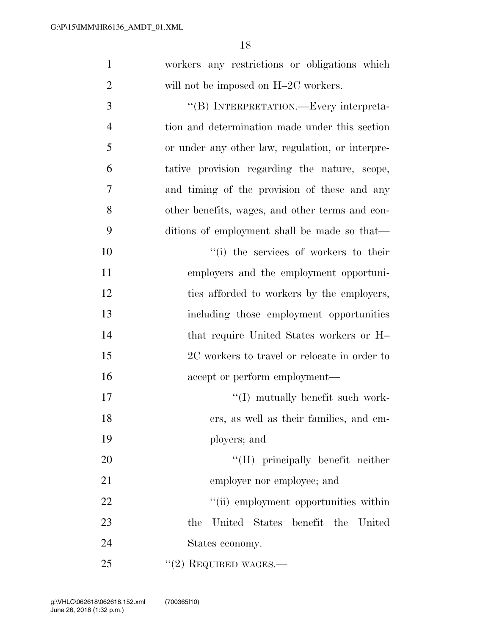| $\mathbf{1}$   | workers any restrictions or obligations which    |
|----------------|--------------------------------------------------|
| $\overline{2}$ | will not be imposed on H-2C workers.             |
| 3              | "(B) INTERPRETATION.—Every interpreta-           |
| $\overline{4}$ | tion and determination made under this section   |
| 5              | or under any other law, regulation, or interpre- |
| 6              | tative provision regarding the nature, scope,    |
| 7              | and timing of the provision of these and any     |
| 8              | other benefits, wages, and other terms and con-  |
| 9              | ditions of employment shall be made so that—     |
| 10             | "(i) the services of workers to their            |
| 11             | employers and the employment opportuni-          |
| 12             | ties afforded to workers by the employers,       |
| 13             | including those employment opportunities         |
| 14             | that require United States workers or H          |
| 15             | 2C workers to travel or relocate in order to     |
| 16             | accept or perform employment—                    |
| 17             | $``(I)$ mutually benefit such work-              |
| 18             | ers, as well as their families, and em-          |
| 19             | ployers; and                                     |
| 20             | "(II) principally benefit neither                |
| 21             | employer nor employee; and                       |
| 22             | "(ii) employment opportunities within            |
| 23             | the United States benefit the United             |
| 24             | States economy.                                  |
| 25             | $"(2)$ REQUIRED WAGES.—                          |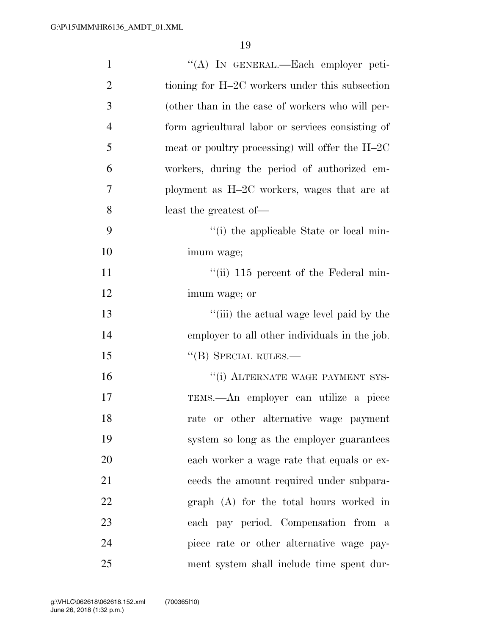| $\mathbf{1}$   | "(A) IN GENERAL.—Each employer peti-              |
|----------------|---------------------------------------------------|
| $\overline{2}$ | tioning for H-2C workers under this subsection    |
| 3              | (other than in the case of workers who will per-  |
| $\overline{4}$ | form agricultural labor or services consisting of |
| 5              | meat or poultry processing) will offer the $H-2C$ |
| 6              | workers, during the period of authorized em-      |
| 7              | ployment as H-2C workers, wages that are at       |
| 8              | least the greatest of-                            |
| 9              | "(i) the applicable State or local min-           |
| 10             | imum wage;                                        |
| 11             | "(ii) $115$ percent of the Federal min-           |
| 12             | imum wage; or                                     |
| 13             | "(iii) the actual wage level paid by the          |
| 14             | employer to all other individuals in the job.     |
| 15             | $\lq$ <sup>"</sup> (B) SPECIAL RULES.—            |
| 16             | "(i) ALTERNATE WAGE PAYMENT SYS-                  |
| 17             | TEMS.—An employer can utilize a piece             |
| 18             | rate or other alternative wage payment            |
| 19             | system so long as the employer guarantees         |
| 20             | each worker a wage rate that equals or ex-        |
| 21             | ceeds the amount required under subpara-          |
| 22             | graph (A) for the total hours worked in           |
| 23             | each pay period. Compensation from a              |
| 24             | piece rate or other alternative wage pay-         |
| 25             | ment system shall include time spent dur-         |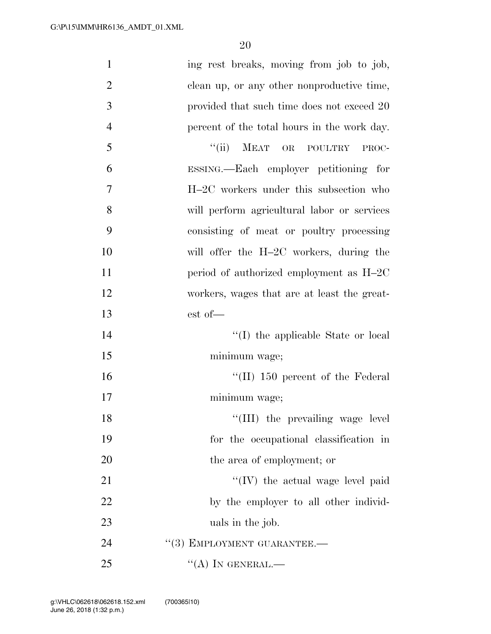| $\mathbf{1}$   | ing rest breaks, moving from job to job,    |
|----------------|---------------------------------------------|
| $\overline{2}$ | clean up, or any other nonproductive time,  |
| 3              | provided that such time does not exceed 20  |
| $\overline{4}$ | percent of the total hours in the work day. |
| 5              | ``(ii)<br>MEAT OR POULTRY<br>PROC-          |
| 6              | ESSING.—Each employer petitioning for       |
| 7              | H-2C workers under this subsection who      |
| 8              | will perform agricultural labor or services |
| 9              | consisting of meat or poultry processing    |
| 10             | will offer the H-2C workers, during the     |
| 11             | period of authorized employment as H-2C     |
| 12             | workers, wages that are at least the great- |
| 13             | est of-                                     |
| 14             | "(I) the applicable State or local          |
| 15             | minimum wage;                               |
| 16             | $\lq$ (II) 150 percent of the Federal       |
| 17             | minimum wage;                               |
| 18             | "(III) the prevailing wage level            |
| 19             | for the occupational classification in      |
| 20             | the area of employment; or                  |
| 21             | "(IV) the actual wage level paid            |
| 22             | by the employer to all other individ-       |
| 23             | uals in the job.                            |
| 24             | "(3) EMPLOYMENT GUARANTEE.-                 |
| 25             | "(A) IN GENERAL.—                           |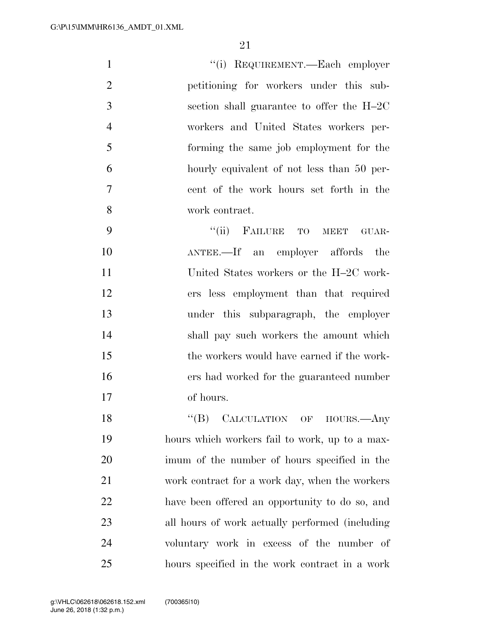| $\mathbf{1}$   | "(i) REQUIREMENT.—Each employer            |
|----------------|--------------------------------------------|
| $\overline{2}$ | petitioning for workers under this sub-    |
| 3              | section shall guarantee to offer the H-2C  |
| $\overline{4}$ | workers and United States workers per-     |
| 5              | forming the same job employment for the    |
| 6              | hourly equivalent of not less than 50 per- |
| 7              | cent of the work hours set forth in the    |
| 8              | work contract.                             |

9 "(ii) FAILURE TO MEET GUAR- ANTEE.—If an employer affords the United States workers or the H–2C work- ers less employment than that required under this subparagraph, the employer shall pay such workers the amount which the workers would have earned if the work- ers had worked for the guaranteed number of hours.

18 "(B) CALCULATION OF HOURS.—Any hours which workers fail to work, up to a max- imum of the number of hours specified in the work contract for a work day, when the workers have been offered an opportunity to do so, and all hours of work actually performed (including voluntary work in excess of the number of hours specified in the work contract in a work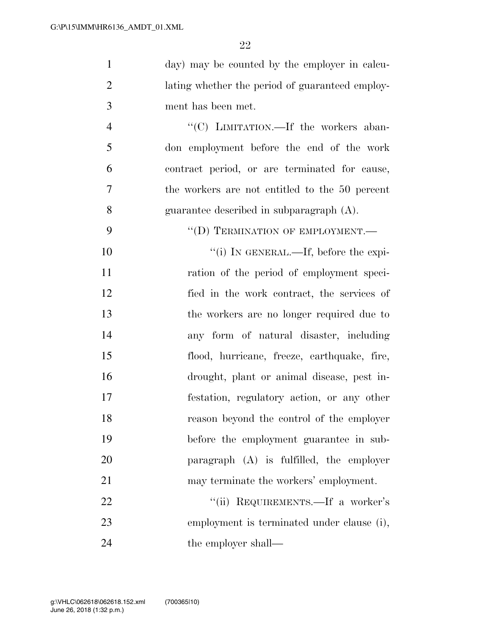| $\mathbf{1}$   | day) may be counted by the employer in calcu-   |
|----------------|-------------------------------------------------|
| $\overline{2}$ | lating whether the period of guaranteed employ- |
| 3              | ment has been met.                              |
| $\overline{4}$ | "(C) LIMITATION.—If the workers aban-           |
| 5              | don employment before the end of the work       |
| 6              | contract period, or are terminated for cause,   |
| 7              | the workers are not entitled to the 50 percent  |
| 8              | guarantee described in subparagraph $(A)$ .     |
| 9              | "(D) TERMINATION OF EMPLOYMENT.-                |
| 10             | "(i) IN GENERAL.—If, before the expi-           |
| 11             | ration of the period of employment speci-       |
| 12             | fied in the work contract, the services of      |
| 13             | the workers are no longer required due to       |
| 14             | any form of natural disaster, including         |
| 15             | flood, hurricane, freeze, earthquake, fire,     |
| 16             | drought, plant or animal disease, pest in-      |
| 17             | festation, regulatory action, or any other      |
| 18             | reason beyond the control of the employer       |
| 19             | before the employment guarantee in sub-         |
| 20             | paragraph (A) is fulfilled, the employer        |
| 21             | may terminate the workers' employment.          |
| 22             | "(ii) REQUIREMENTS.—If a worker's               |
| 23             | employment is terminated under clause (i),      |
| 24             | the employer shall—                             |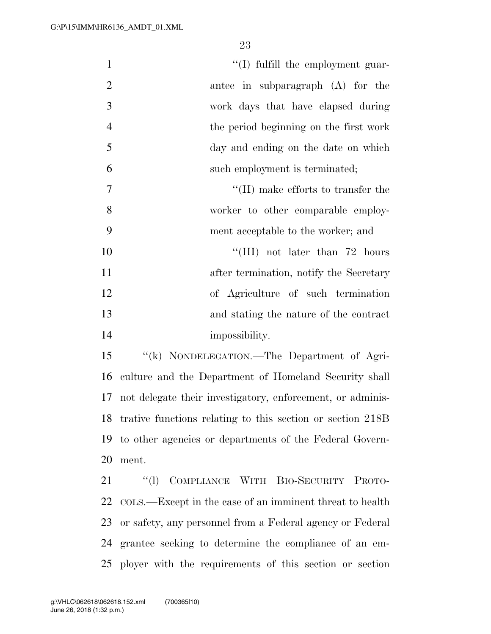$\lq(1)$  fulfill the employment guar- antee in subparagraph (A) for the work days that have elapsed during the period beginning on the first work day and ending on the date on which such employment is terminated;  $''(II)$  make efforts to transfer the 8 worker to other comparable employ- ment acceptable to the worker; and  $\frac{10}{10}$  not later than 72 hours

11 after termination, notify the Secretary of Agriculture of such termination and stating the nature of the contract 14 impossibility.

 ''(k) NONDELEGATION.—The Department of Agri- culture and the Department of Homeland Security shall not delegate their investigatory, enforcement, or adminis- trative functions relating to this section or section 218B to other agencies or departments of the Federal Govern-ment.

 ''(l) COMPLIANCE WITH BIO-SECURITY PROTO- COLS.—Except in the case of an imminent threat to health or safety, any personnel from a Federal agency or Federal grantee seeking to determine the compliance of an em-ployer with the requirements of this section or section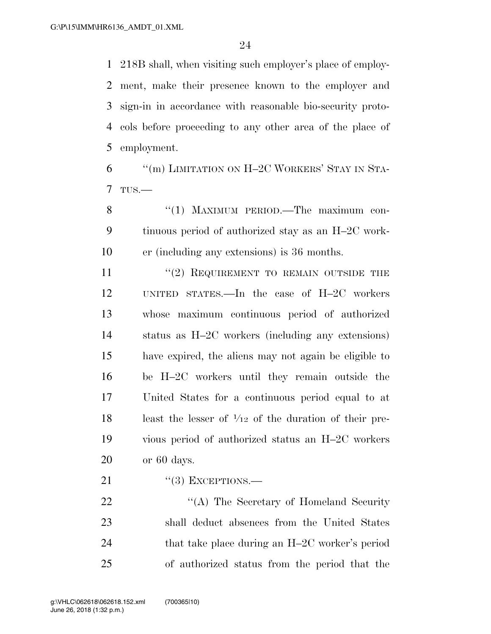218B shall, when visiting such employer's place of employ- ment, make their presence known to the employer and sign-in in accordance with reasonable bio-security proto- cols before proceeding to any other area of the place of employment.

  $\text{``(m)}$  LIMITATION ON H-2C WORKERS' STAY IN STA-TUS.—

8 "(1) MAXIMUM PERIOD.—The maximum con- tinuous period of authorized stay as an H–2C work-er (including any extensions) is 36 months.

11 "(2) REQUIREMENT TO REMAIN OUTSIDE THE UNITED STATES.—In the case of H–2C workers whose maximum continuous period of authorized status as H–2C workers (including any extensions) have expired, the aliens may not again be eligible to be H–2C workers until they remain outside the United States for a continuous period equal to at 18 least the lesser of  $\frac{1}{12}$  of the duration of their pre- vious period of authorized status an H–2C workers or 60 days.

"(3) EXCEPTIONS.—

22 "'(A) The Secretary of Homeland Security shall deduct absences from the United States 24 that take place during an H–2C worker's period of authorized status from the period that the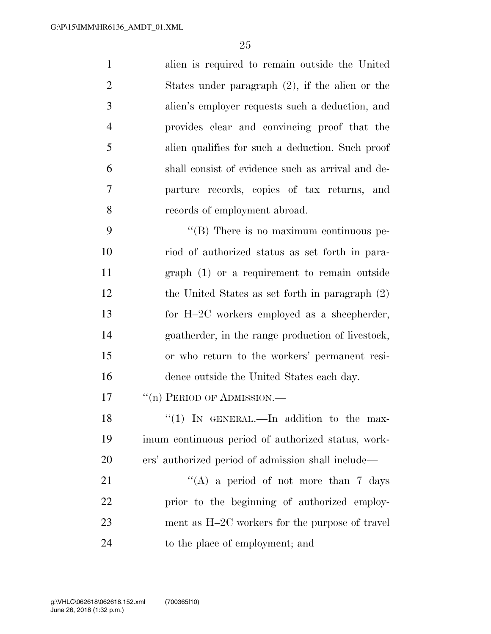alien is required to remain outside the United States under paragraph (2), if the alien or the alien's employer requests such a deduction, and provides clear and convincing proof that the alien qualifies for such a deduction. Such proof shall consist of evidence such as arrival and de- parture records, copies of tax returns, and records of employment abroad.

 $\langle$  (B) There is no maximum continuous pe- riod of authorized status as set forth in para- graph (1) or a requirement to remain outside the United States as set forth in paragraph (2) for H–2C workers employed as a sheepherder, goatherder, in the range production of livestock, or who return to the workers' permanent resi-dence outside the United States each day.

17 <sup>"</sup>(n) PERIOD OF ADMISSION.—

18 "(1) In GENERAL.—In addition to the max- imum continuous period of authorized status, work-ers' authorized period of admission shall include—

 $\langle (A)$  a period of not more than 7 days prior to the beginning of authorized employ- ment as H–2C workers for the purpose of travel to the place of employment; and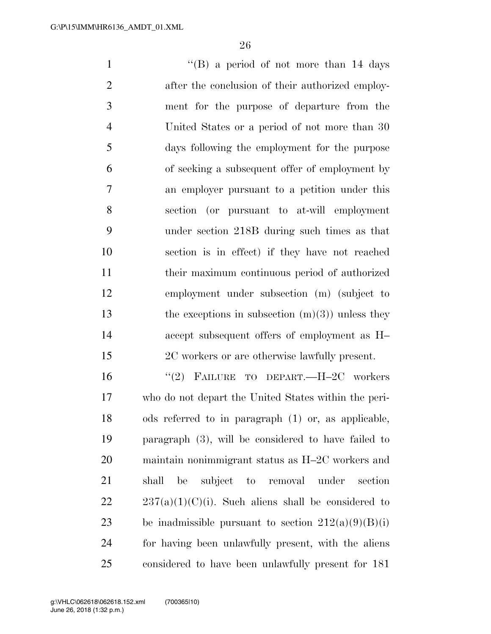''(B) a period of not more than 14 days 2 after the conclusion of their authorized employ- ment for the purpose of departure from the United States or a period of not more than 30 days following the employment for the purpose of seeking a subsequent offer of employment by an employer pursuant to a petition under this section (or pursuant to at-will employment under section 218B during such times as that section is in effect) if they have not reached their maximum continuous period of authorized employment under subsection (m) (subject to 13 the exceptions in subsection  $(m)(3)$  unless they accept subsequent offers of employment as H– 2C workers or are otherwise lawfully present. ''(2) FAILURE TO DEPART.—H–2C workers who do not depart the United States within the peri-

 ods referred to in paragraph (1) or, as applicable, paragraph (3), will be considered to have failed to maintain nonimmigrant status as H–2C workers and shall be subject to removal under section  $22 \t237(a)(1)(C)(i)$ . Such aliens shall be considered to 23 be inadmissible pursuant to section  $212(a)(9)(B)(i)$  for having been unlawfully present, with the aliens considered to have been unlawfully present for 181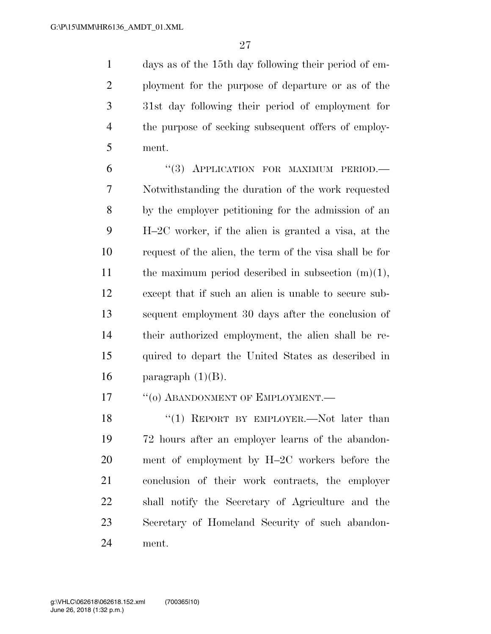days as of the 15th day following their period of em- ployment for the purpose of departure or as of the 31st day following their period of employment for the purpose of seeking subsequent offers of employ-ment.

6 "(3) APPLICATION FOR MAXIMUM PERIOD. Notwithstanding the duration of the work requested by the employer petitioning for the admission of an H–2C worker, if the alien is granted a visa, at the request of the alien, the term of the visa shall be for 11 the maximum period described in subsection  $(m)(1)$ , except that if such an alien is unable to secure sub- sequent employment 30 days after the conclusion of their authorized employment, the alien shall be re- quired to depart the United States as described in 16 paragraph  $(1)(B)$ .

17 <sup>"</sup>(0) ABANDONMENT OF EMPLOYMENT.—

18 "(1) REPORT BY EMPLOYER.—Not later than 72 hours after an employer learns of the abandon- ment of employment by H–2C workers before the conclusion of their work contracts, the employer shall notify the Secretary of Agriculture and the Secretary of Homeland Security of such abandon-ment.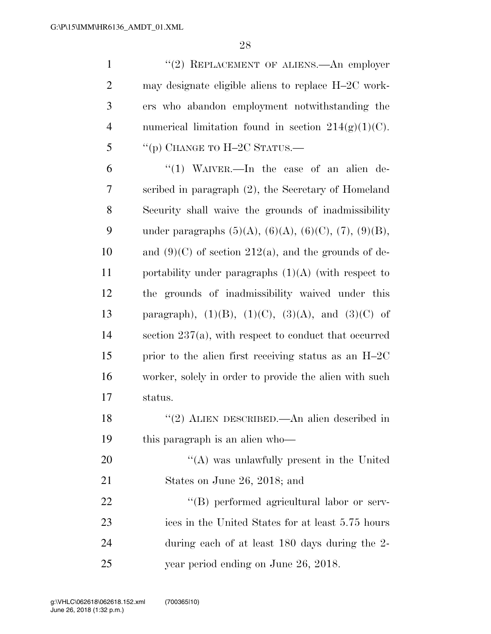| $\mathbf{1}$   | "(2) REPLACEMENT OF ALIENS.—An employer                              |
|----------------|----------------------------------------------------------------------|
| $\overline{2}$ | may designate eligible aliens to replace H-2C work-                  |
| 3              | ers who abandon employment notwithstanding the                       |
| $\overline{4}$ | numerical limitation found in section $214(g)(1)(C)$ .               |
| 5              | "(p) CHANGE TO $H-2C$ STATUS.—                                       |
| 6              | "(1) WAIVER.—In the case of an alien de-                             |
| 7              | scribed in paragraph (2), the Secretary of Homeland                  |
| 8              | Security shall waive the grounds of inadmissibility                  |
| 9              | under paragraphs $(5)(A)$ , $(6)(A)$ , $(6)(C)$ , $(7)$ , $(9)(B)$ , |
| 10             | and $(9)(C)$ of section 212(a), and the grounds of de-               |
| 11             | portability under paragraphs $(1)(A)$ (with respect to               |
| 12             | the grounds of inadmissibility waived under this                     |
| 13             | paragraph), $(1)(B)$ , $(1)(C)$ , $(3)(A)$ , and $(3)(C)$ of         |
| 14             | section $237(a)$ , with respect to conduct that occurred             |
| 15             | prior to the alien first receiving status as an H-2C                 |
| 16             | worker, solely in order to provide the alien with such               |
| 17             | status.                                                              |
| 18             | "(2) ALIEN DESCRIBED.—An alien described in                          |
| 19             | this paragraph is an alien who-                                      |
| 20             | $\lq\lq$ was unlawfully present in the United                        |
| 21             | States on June 26, 2018; and                                         |
| <u>22</u>      | "(B) performed agricultural labor or serv-                           |
| 23             | ices in the United States for at least 5.75 hours                    |
| 24             | during each of at least 180 days during the 2-                       |
| 25             | year period ending on June 26, 2018.                                 |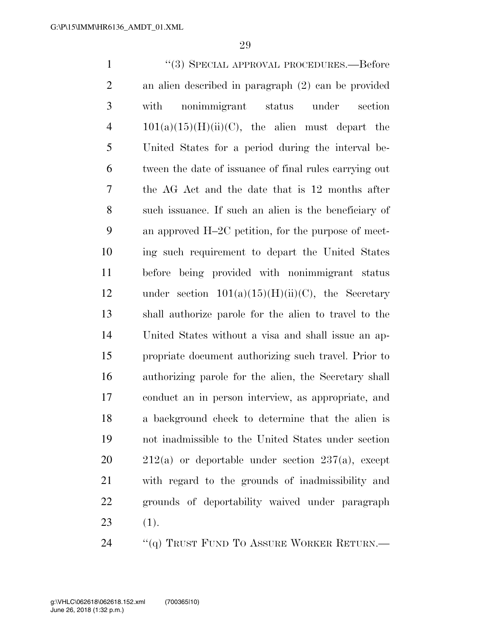''(3) SPECIAL APPROVAL PROCEDURES.—Before an alien described in paragraph (2) can be provided with nonimmigrant status under section 4 101(a)(15)(H)(ii)(C), the alien must depart the United States for a period during the interval be- tween the date of issuance of final rules carrying out the AG Act and the date that is 12 months after such issuance. If such an alien is the beneficiary of an approved H–2C petition, for the purpose of meet- ing such requirement to depart the United States before being provided with nonimmigrant status 12 under section  $101(a)(15)(H)(ii)(C)$ , the Secretary shall authorize parole for the alien to travel to the United States without a visa and shall issue an ap- propriate document authorizing such travel. Prior to authorizing parole for the alien, the Secretary shall conduct an in person interview, as appropriate, and a background check to determine that the alien is not inadmissible to the United States under section  $20 \qquad 212(a)$  or deportable under section  $237(a)$ , except with regard to the grounds of inadmissibility and grounds of deportability waived under paragraph (1). 24 "(q) TRUST FUND TO ASSURE WORKER RETURN.—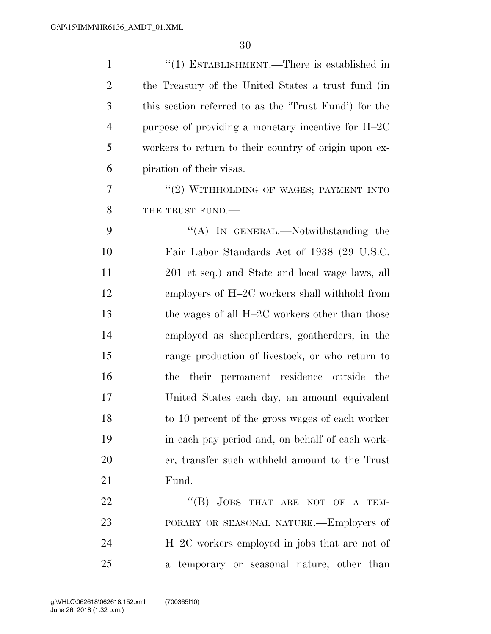| $\mathbf{1}$   | $\cdot\cdot(1)$ ESTABLISHMENT.—There is established in |
|----------------|--------------------------------------------------------|
| $\overline{2}$ | the Treasury of the United States a trust fund (in     |
| 3              | this section referred to as the 'Trust Fund') for the  |
| $\overline{4}$ | purpose of providing a monetary incentive for H-2C     |
| 5              | workers to return to their country of origin upon ex-  |
| 6              | piration of their visas.                               |
| 7              | "(2) WITHHOLDING OF WAGES; PAYMENT INTO                |
| 8              | THE TRUST FUND.                                        |
| 9              | "(A) IN GENERAL.—Notwithstanding the                   |
| 10             | Fair Labor Standards Act of 1938 (29 U.S.C.            |
| 11             | 201 et seq.) and State and local wage laws, all        |
| 12             | employers of H-2C workers shall withhold from          |
| 13             | the wages of all H-2C workers other than those         |
| 14             | employed as sheepherders, goatherders, in the          |
| 15             | range production of livestock, or who return to        |
| 16             | the their permanent residence outside the              |
| 17             | United States each day, an amount equivalent           |
| 18             | to 10 percent of the gross wages of each worker        |
| 19             | in each pay period and, on behalf of each work-        |
| 20             | er, transfer such withheld amount to the Trust         |
| 21             | Fund.                                                  |
| 22             | "(B) JOBS THAT ARE NOT OF A TEM-                       |
| 23             | PORARY OR SEASONAL NATURE.—Employers of                |
| 24             | $H-2C$ workers employed in jobs that are not of        |
| 25             | a temporary or seasonal nature, other than             |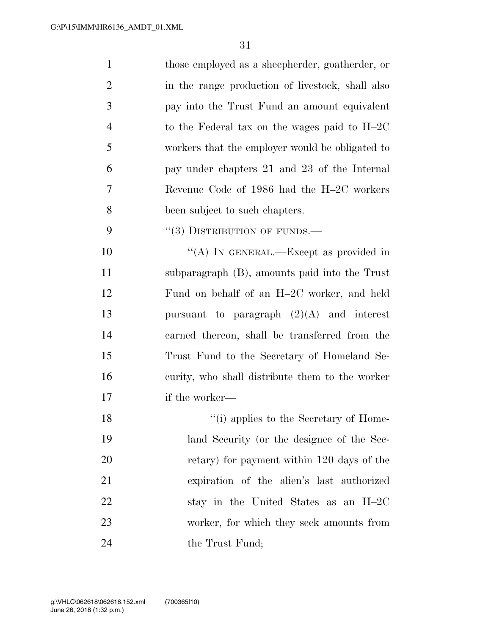| $\mathbf{1}$   | those employed as a sheepherder, goatherder, or  |
|----------------|--------------------------------------------------|
| $\overline{c}$ | in the range production of livestock, shall also |
| 3              | pay into the Trust Fund an amount equivalent     |
| $\overline{4}$ | to the Federal tax on the wages paid to $H-2C$   |
| 5              | workers that the employer would be obligated to  |
| 6              | pay under chapters 21 and 23 of the Internal     |
| 7              | Revenue Code of 1986 had the H-2C workers        |
| 8              | been subject to such chapters.                   |
| 9              | $``(3)$ DISTRIBUTION OF FUNDS.—                  |
| 10             | "(A) IN GENERAL.—Except as provided in           |
| 11             | subparagraph (B), amounts paid into the Trust    |
| 12             | Fund on behalf of an H-2C worker, and held       |
| 13             | pursuant to paragraph $(2)(A)$ and interest      |
| 14             | earned thereon, shall be transferred from the    |
| 15             | Trust Fund to the Secretary of Homeland Se-      |
| 16             | curity, who shall distribute them to the worker  |
| 17             | if the worker—                                   |
| 18             | "(i) applies to the Secretary of Home-           |
| 19             | land Security (or the designee of the Sec-       |
| 20             | retary) for payment within 120 days of the       |
| 21             | expiration of the alien's last authorized        |
| 22             | stay in the United States as an H-2C             |
| 23             | worker, for which they seek amounts from         |
| 24             | the Trust Fund;                                  |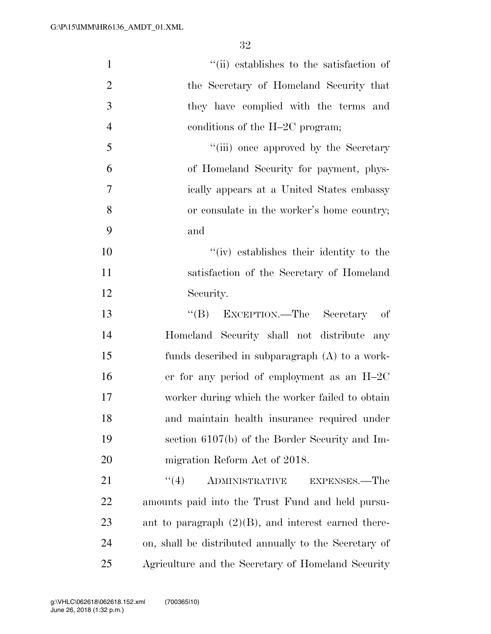| $\mathbf{1}$   | "(ii) establishes to the satisfaction of               |
|----------------|--------------------------------------------------------|
| $\overline{2}$ | the Secretary of Homeland Security that                |
| 3              | they have complied with the terms and                  |
| $\overline{4}$ | conditions of the $H-2C$ program;                      |
| 5              | "(iii) once approved by the Secretary                  |
| 6              | of Homeland Security for payment, phys-                |
| 7              | ically appears at a United States embassy              |
| 8              | or consulate in the worker's home country;             |
| 9              | and                                                    |
| 10             | "(iv) establishes their identity to the                |
| 11             | satisfaction of the Secretary of Homeland              |
| 12             | Security.                                              |
| 13             | "(B) EXCEPTION.—The Secretary of                       |
| 14             | Homeland Security shall not distribute any             |
| 15             | funds described in subparagraph (A) to a work-         |
| 16             | er for any period of employment as an $H-2C$           |
| 17             | worker during which the worker failed to obtain        |
| 18             | and maintain health insurance required under           |
| 19             | section $6107(b)$ of the Border Security and Im-       |
| 20             | migration Reform Act of 2018.                          |
| 21             | (4)<br>ADMINISTRATIVE<br>EXPENSES.—The                 |
| 22             | amounts paid into the Trust Fund and held pursu-       |
| 23             | ant to paragraph $(2)(B)$ , and interest earned there- |
| 24             | on, shall be distributed annually to the Secretary of  |
| 25             | Agriculture and the Secretary of Homeland Security     |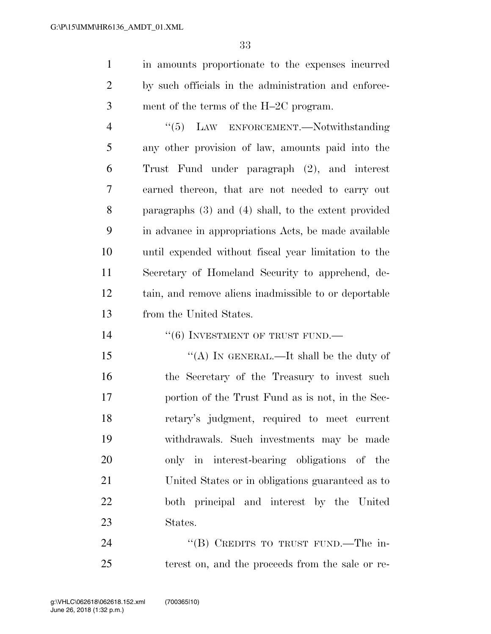in amounts proportionate to the expenses incurred by such officials in the administration and enforce-ment of the terms of the H–2C program.

4 "(5) LAW ENFORCEMENT.—Notwithstanding any other provision of law, amounts paid into the Trust Fund under paragraph (2), and interest earned thereon, that are not needed to carry out paragraphs (3) and (4) shall, to the extent provided in advance in appropriations Acts, be made available until expended without fiscal year limitation to the Secretary of Homeland Security to apprehend, de- tain, and remove aliens inadmissible to or deportable from the United States.

14  $((6)$  INVESTMENT OF TRUST FUND.

 $\frac{15}{2}$   $\frac{15}{2}$   $\frac{15}{2}$   $\frac{1}{2}$   $\frac{1}{2}$   $\frac{1}{2}$   $\frac{1}{2}$   $\frac{1}{2}$   $\frac{1}{2}$   $\frac{1}{2}$   $\frac{1}{2}$   $\frac{1}{2}$   $\frac{1}{2}$   $\frac{1}{2}$   $\frac{1}{2}$   $\frac{1}{2}$   $\frac{1}{2}$   $\frac{1}{2}$   $\frac{1}{2}$   $\frac{1}{2}$   $\frac{1}{2}$   $\frac{1$  the Secretary of the Treasury to invest such portion of the Trust Fund as is not, in the Sec- retary's judgment, required to meet current withdrawals. Such investments may be made only in interest-bearing obligations of the United States or in obligations guaranteed as to both principal and interest by the United States.

24 "(B) CREDITS TO TRUST FUND.—The in-terest on, and the proceeds from the sale or re-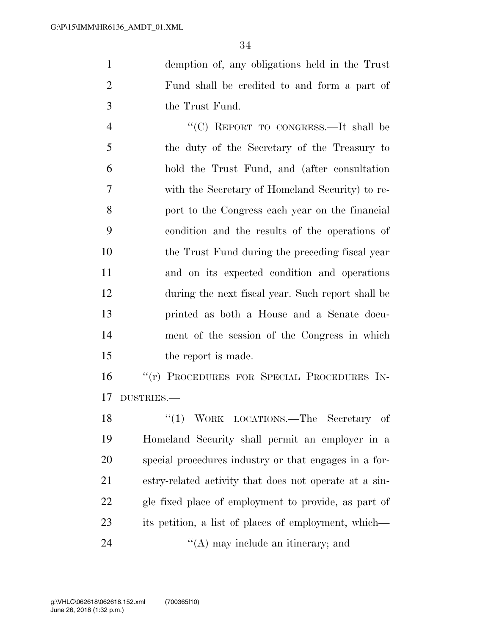demption of, any obligations held in the Trust Fund shall be credited to and form a part of the Trust Fund.

 ''(C) REPORT TO CONGRESS.—It shall be the duty of the Secretary of the Treasury to hold the Trust Fund, and (after consultation with the Secretary of Homeland Security) to re- port to the Congress each year on the financial condition and the results of the operations of the Trust Fund during the preceding fiscal year and on its expected condition and operations during the next fiscal year. Such report shall be printed as both a House and a Senate docu- ment of the session of the Congress in which 15 the report is made.

 ''(r) PROCEDURES FOR SPECIAL PROCEDURES IN-DUSTRIES.—

18 "(1) WORK LOCATIONS.—The Secretary of Homeland Security shall permit an employer in a special procedures industry or that engages in a for- estry-related activity that does not operate at a sin- gle fixed place of employment to provide, as part of its petition, a list of places of employment, which— 24 ''(A) may include an itinerary; and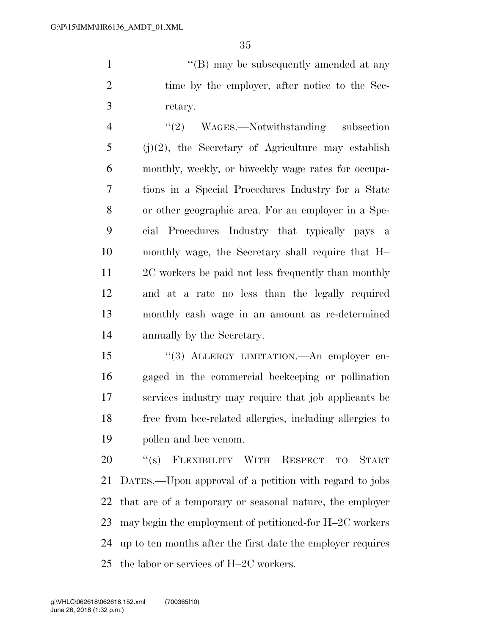1 ''(B) may be subsequently amended at any 2 time by the employer, after notice to the Sec-retary.

 ''(2) WAGES.—Notwithstanding subsection (i)(2), the Secretary of Agriculture may establish monthly, weekly, or biweekly wage rates for occupa- tions in a Special Procedures Industry for a State or other geographic area. For an employer in a Spe- cial Procedures Industry that typically pays a monthly wage, the Secretary shall require that H– 2C workers be paid not less frequently than monthly and at a rate no less than the legally required monthly cash wage in an amount as re-determined annually by the Secretary.

 ''(3) ALLERGY LIMITATION.—An employer en- gaged in the commercial beekeeping or pollination services industry may require that job applicants be free from bee-related allergies, including allergies to pollen and bee venom.

20 "(s) FLEXIBILITY WITH RESPECT TO START DATES.—Upon approval of a petition with regard to jobs that are of a temporary or seasonal nature, the employer may begin the employment of petitioned-for H–2C workers up to ten months after the first date the employer requires the labor or services of H–2C workers.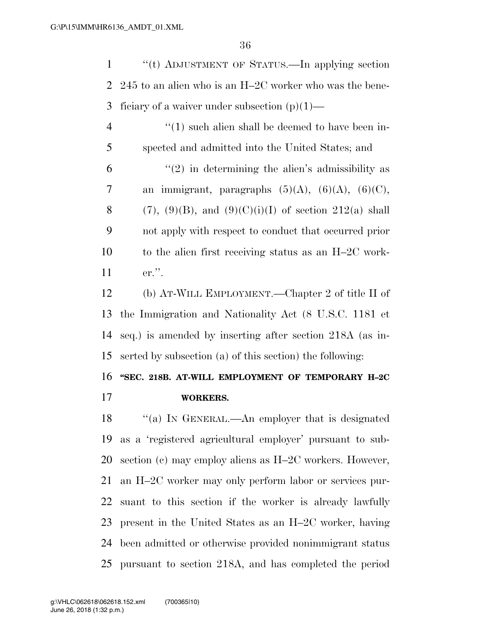''(t) ADJUSTMENT OF STATUS.—In applying section 245 to an alien who is an H–2C worker who was the bene-3 ficiary of a waiver under subsection  $(p)(1)$ —

 $\frac{4}{1}$  ''(1) such alien shall be deemed to have been in- spected and admitted into the United States; and  $(2)$  in determining the alien's admissibility as 7 an immigrant, paragraphs  $(5)(A)$ ,  $(6)(A)$ ,  $(6)(C)$ , 8 (7), (9)(B), and (9)(C)(i)(I) of section 212(a) shall not apply with respect to conduct that occurred prior to the alien first receiving status as an H–2C work-er.''.

 (b) AT-WILL EMPLOYMENT.—Chapter 2 of title II of the Immigration and Nationality Act (8 U.S.C. 1181 et seq.) is amended by inserting after section 218A (as in-serted by subsection (a) of this section) the following:

### **''SEC. 218B. AT-WILL EMPLOYMENT OF TEMPORARY H–2C**

### **WORKERS.**

18 "(a) In GENERAL.—An employer that is designated as a 'registered agricultural employer' pursuant to sub- section (c) may employ aliens as H–2C workers. However, an H–2C worker may only perform labor or services pur- suant to this section if the worker is already lawfully present in the United States as an H–2C worker, having been admitted or otherwise provided nonimmigrant status pursuant to section 218A, and has completed the period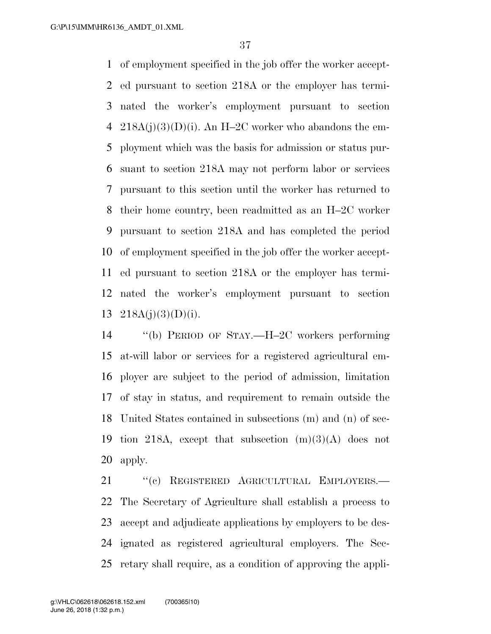of employment specified in the job offer the worker accept- ed pursuant to section 218A or the employer has termi- nated the worker's employment pursuant to section 4 218A(j)(3)(D)(i). An H-2C worker who abandons the em- ployment which was the basis for admission or status pur- suant to section 218A may not perform labor or services pursuant to this section until the worker has returned to their home country, been readmitted as an H–2C worker pursuant to section 218A and has completed the period of employment specified in the job offer the worker accept- ed pursuant to section 218A or the employer has termi- nated the worker's employment pursuant to section  $218A(j)(3)(D)(i)$ .

 ''(b) PERIOD OF STAY.—H–2C workers performing at-will labor or services for a registered agricultural em- ployer are subject to the period of admission, limitation of stay in status, and requirement to remain outside the United States contained in subsections (m) and (n) of sec-19 tion 218A, except that subsection  $(m)(3)(A)$  does not apply.

21 "(c) REGISTERED AGRICULTURAL EMPLOYERS.— The Secretary of Agriculture shall establish a process to accept and adjudicate applications by employers to be des- ignated as registered agricultural employers. The Sec-retary shall require, as a condition of approving the appli-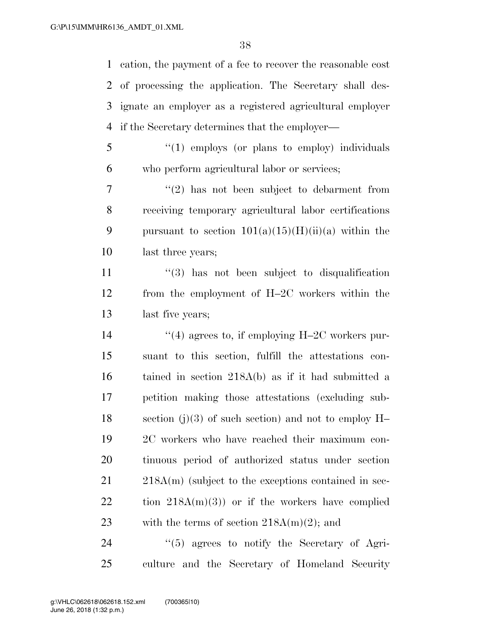cation, the payment of a fee to recover the reasonable cost of processing the application. The Secretary shall des- ignate an employer as a registered agricultural employer if the Secretary determines that the employer—

5 "(1) employs (or plans to employ) individuals who perform agricultural labor or services;

 $7 \t$  ''(2) has not been subject to debarment from receiving temporary agricultural labor certifications 9 pursuant to section  $101(a)(15)(H)(ii)(a)$  within the last three years;

 ''(3) has not been subject to disqualification from the employment of H–2C workers within the last five years;

 $\frac{1}{4}$  agrees to, if employing H–2C workers pur- suant to this section, fulfill the attestations con- tained in section 218A(b) as if it had submitted a petition making those attestations (excluding sub-18 section (j)(3) of such section) and not to employ  $H-$  2C workers who have reached their maximum con- tinuous period of authorized status under section 21 218A(m) (subject to the exceptions contained in sec- tion  $218A(m)(3)$  or if the workers have complied 23 with the terms of section  $218A(m)(2)$ ; and

 ''(5) agrees to notify the Secretary of Agri-culture and the Secretary of Homeland Security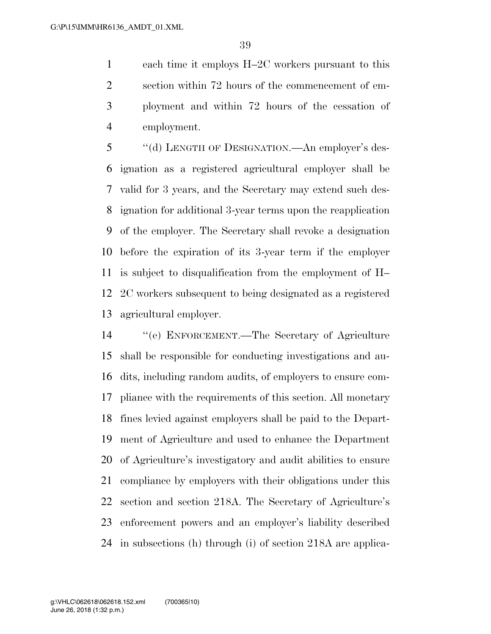each time it employs H–2C workers pursuant to this section within 72 hours of the commencement of em- ployment and within 72 hours of the cessation of employment.

 ''(d) LENGTH OF DESIGNATION.—An employer's des- ignation as a registered agricultural employer shall be valid for 3 years, and the Secretary may extend such des- ignation for additional 3-year terms upon the reapplication of the employer. The Secretary shall revoke a designation before the expiration of its 3-year term if the employer is subject to disqualification from the employment of H– 2C workers subsequent to being designated as a registered agricultural employer.

 ''(e) ENFORCEMENT.—The Secretary of Agriculture shall be responsible for conducting investigations and au- dits, including random audits, of employers to ensure com- pliance with the requirements of this section. All monetary fines levied against employers shall be paid to the Depart- ment of Agriculture and used to enhance the Department of Agriculture's investigatory and audit abilities to ensure compliance by employers with their obligations under this section and section 218A. The Secretary of Agriculture's enforcement powers and an employer's liability described in subsections (h) through (i) of section 218A are applica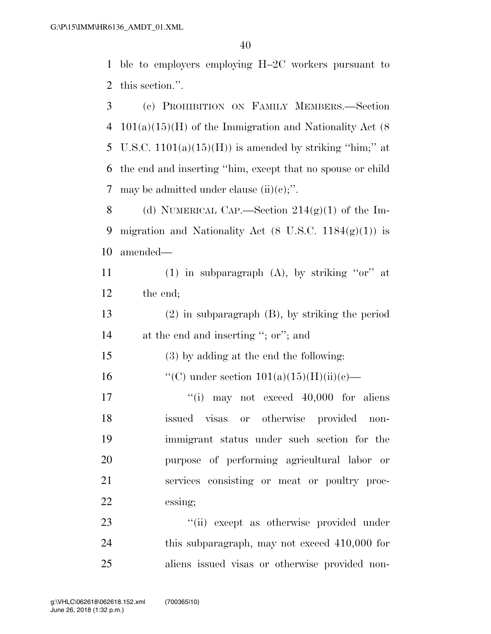1 ble to employers employing H–2C workers pursuant to 2 this section.''.

3 (c) PROHIBITION ON FAMILY MEMBERS.—Section 4 101(a)(15)(H) of the Immigration and Nationality Act  $(8)$ 5 U.S.C.  $1101(a)(15)(H)$  is amended by striking "him;" at 6 the end and inserting ''him, except that no spouse or child 7 may be admitted under clause  $(ii)(c)$ ;".

8 (d) NUMERICAL CAP.—Section  $214(g)(1)$  of the Im-9 migration and Nationality Act  $(8 \text{ U.S.C. } 1184(g)(1))$  is 10 amended—

11 (1) in subparagraph  $(A)$ , by striking "or" at 12 the end;

13 (2) in subparagraph (B), by striking the period 14 at the end and inserting ''; or''; and

15 (3) by adding at the end the following:

16  $\text{``(C)}$  under section  $101(a)(15)(H)(ii)(c)$ —

 $\frac{17}{10}$  may not exceed 40,000 for aliens issued visas or otherwise provided non- immigrant status under such section for the purpose of performing agricultural labor or services consisting or meat or poultry proc-22 essing;

23  $\frac{1}{1}$   $\frac{1}{1}$  except as otherwise provided under 24 this subparagraph, may not exceed 410,000 for 25 aliens issued visas or otherwise provided non-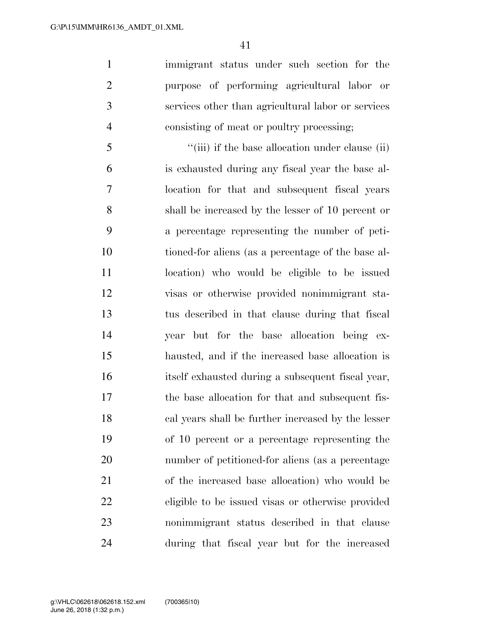immigrant status under such section for the purpose of performing agricultural labor or services other than agricultural labor or services consisting of meat or poultry processing;

5 ''(iii) if the base allocation under clause (ii) is exhausted during any fiscal year the base al- location for that and subsequent fiscal years shall be increased by the lesser of 10 percent or a percentage representing the number of peti- tioned-for aliens (as a percentage of the base al- location) who would be eligible to be issued visas or otherwise provided nonimmigrant sta- tus described in that clause during that fiscal year but for the base allocation being ex- hausted, and if the increased base allocation is itself exhausted during a subsequent fiscal year, the base allocation for that and subsequent fis- cal years shall be further increased by the lesser of 10 percent or a percentage representing the number of petitioned-for aliens (as a percentage of the increased base allocation) who would be eligible to be issued visas or otherwise provided nonimmigrant status described in that clause during that fiscal year but for the increased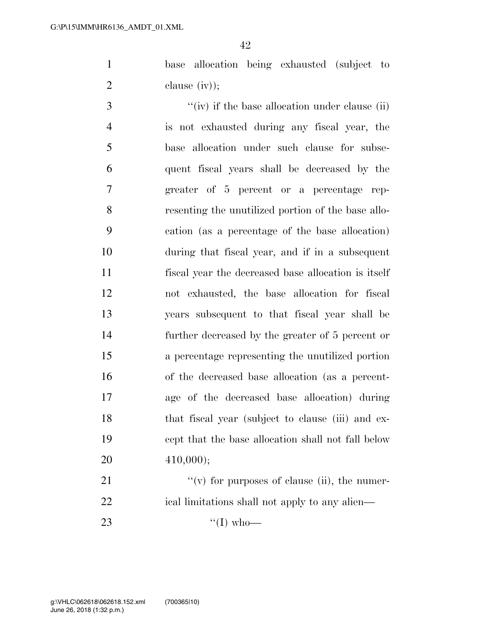base allocation being exhausted (subject to clause (iv));

 $\frac{f'(iv)}{i}$  if the base allocation under clause (ii) is not exhausted during any fiscal year, the base allocation under such clause for subse- quent fiscal years shall be decreased by the greater of 5 percent or a percentage rep- resenting the unutilized portion of the base allo- cation (as a percentage of the base allocation) during that fiscal year, and if in a subsequent fiscal year the decreased base allocation is itself not exhausted, the base allocation for fiscal years subsequent to that fiscal year shall be further decreased by the greater of 5 percent or a percentage representing the unutilized portion of the decreased base allocation (as a percent- age of the decreased base allocation) during that fiscal year (subject to clause (iii) and ex- cept that the base allocation shall not fall below 410,000);

21  $''(v)$  for purposes of clause (ii), the numer-22 ical limitations shall not apply to any alien— 23  $\frac{4}{(1) \text{ who}}$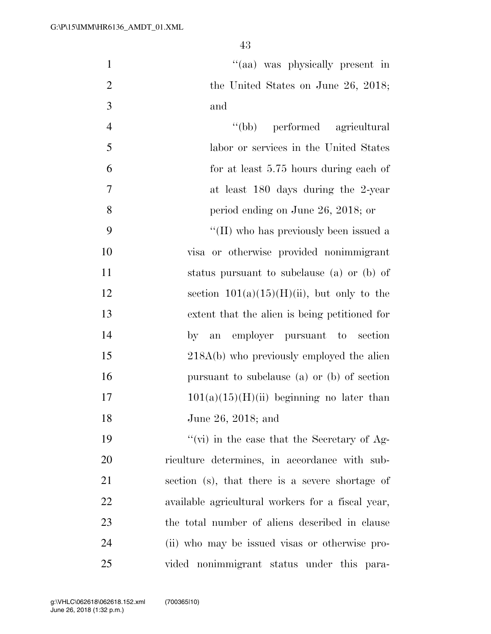|                | Ŧэ                                            |
|----------------|-----------------------------------------------|
| $\mathbf{1}$   | "(aa) was physically present in               |
| $\overline{2}$ | the United States on June 26, 2018;           |
| 3              | and                                           |
| $\overline{4}$ | "(bb) performed agricultural                  |
| 5              | labor or services in the United States        |
| 6              | for at least 5.75 hours during each of        |
| $\overline{7}$ | at least 180 days during the 2-year           |
| 8              | period ending on June 26, 2018; or            |
| 9              | "(II) who has previously been issued a        |
| 10             | visa or otherwise provided nonimmigrant       |
| 11             | status pursuant to subclause (a) or (b) of    |
| 12             | section $101(a)(15)(H)(ii)$ , but only to the |
| 13             | extent that the alien is being petitioned for |
| 14             | employer pursuant to section<br>by<br>an      |
| 15             | 218A(b) who previously employed the alien     |
| 16             | pursuant to subclause (a) or (b) of section   |
| 17             | $101(a)(15)(H)(ii)$ beginning no later than   |
|                |                                               |

June 26, 2018; and

 $"(\text{vi})$  in the case that the Secretary of Ag- riculture determines, in accordance with sub- section (s), that there is a severe shortage of available agricultural workers for a fiscal year, the total number of aliens described in clause (ii) who may be issued visas or otherwise pro-vided nonimmigrant status under this para-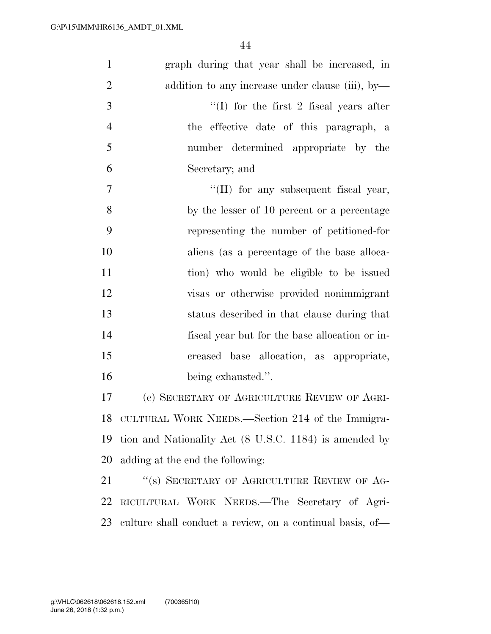| $\mathbf{1}$   | graph during that year shall be increased, in             |
|----------------|-----------------------------------------------------------|
| $\overline{2}$ | addition to any increase under clause (iii), by-          |
| 3              | $\lq\lq$ (I) for the first 2 fiscal years after           |
| $\overline{4}$ | the effective date of this paragraph, a                   |
| 5              | number determined appropriate by the                      |
| 6              | Secretary; and                                            |
| 7              | $\lq\lq$ (II) for any subsequent fiscal year,             |
| 8              | by the lesser of 10 percent or a percentage               |
| 9              | representing the number of petitioned-for                 |
| 10             | aliens (as a percentage of the base alloca-               |
| 11             | tion) who would be eligible to be issued                  |
| 12             | visas or otherwise provided nonimmigrant                  |
| 13             | status described in that clause during that               |
| 14             | fiscal year but for the base allocation or in-            |
| 15             | creased base allocation, as appropriate,                  |
| 16             | being exhausted.".                                        |
| 17             | (e) SECRETARY OF AGRICULTURE REVIEW OF AGRI-              |
| 18             | CULTURAL WORK NEEDS.—Section 214 of the Immigra-          |
| 19             | tion and Nationality Act (8 U.S.C. 1184) is amended by    |
| 20             | adding at the end the following:                          |
| 21             | "(s) SECRETARY OF AGRICULTURE REVIEW OF AG-               |
| 22             | RICULTURAL WORK NEEDS.—The Secretary of Agri-             |
| 23             | culture shall conduct a review, on a continual basis, of— |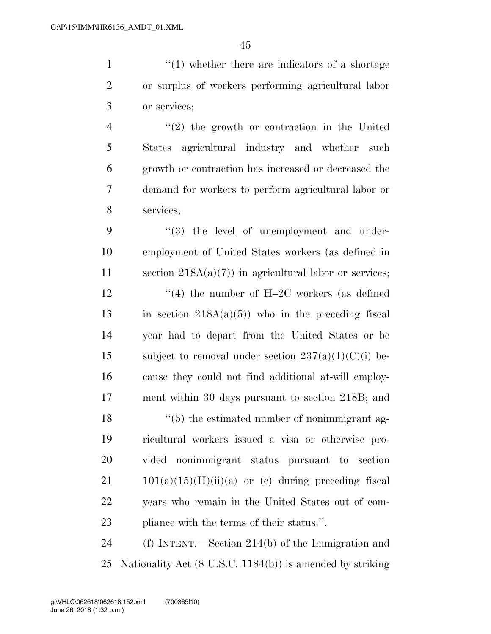1 ''(1) whether there are indicators of a shortage or surplus of workers performing agricultural labor or services;

 ''(2) the growth or contraction in the United States agricultural industry and whether such growth or contraction has increased or decreased the demand for workers to perform agricultural labor or services;

9  $\frac{4}{3}$  the level of unemployment and under- employment of United States workers (as defined in 11 section  $218A(a)(7)$  in agricultural labor or services; 12 ''(4) the number of H-2C workers (as defined 13 in section  $218A(a)(5)$  who in the preceding fiscal year had to depart from the United States or be 15 subject to removal under section  $237(a)(1)(C)(i)$  be- cause they could not find additional at-will employ- ment within 30 days pursuant to section 218B; and 18 ''(5) the estimated number of nonimmigrant ag- ricultural workers issued a visa or otherwise pro- vided nonimmigrant status pursuant to section  $21 \qquad 101(a)(15)(H)(ii)(a)$  or (c) during preceding fiscal years who remain in the United States out of com-pliance with the terms of their status.''.

 (f) INTENT.—Section 214(b) of the Immigration and Nationality Act (8 U.S.C. 1184(b)) is amended by striking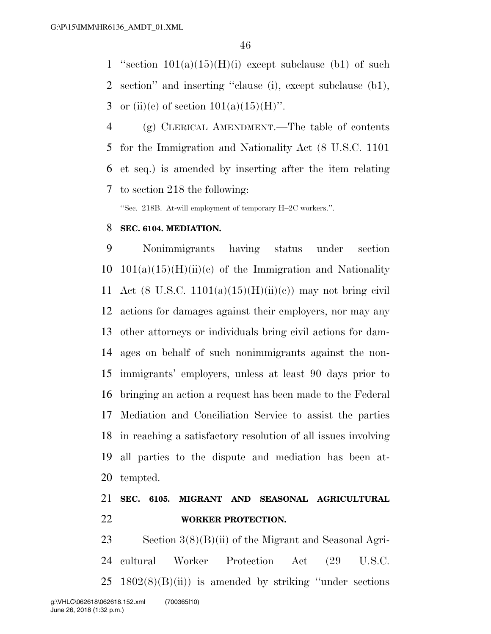1 "section  $101(a)(15)(H)(i)$  except subclause (b1) of such section'' and inserting ''clause (i), except subclause (b1), 3 or (ii)(e) of section  $101(a)(15)(H)$ ".

 (g) CLERICAL AMENDMENT.—The table of contents for the Immigration and Nationality Act (8 U.S.C. 1101 et seq.) is amended by inserting after the item relating to section 218 the following:

''Sec. 218B. At-will employment of temporary H–2C workers.''.

#### **SEC. 6104. MEDIATION.**

 Nonimmigrants having status under section  $10 \quad 101(a)(15)(H)(ii)(c)$  of the Immigration and Nationality 11 Act (8 U.S.C. 1101(a)(15)(H)(ii)(c)) may not bring civil actions for damages against their employers, nor may any other attorneys or individuals bring civil actions for dam- ages on behalf of such nonimmigrants against the non- immigrants' employers, unless at least 90 days prior to bringing an action a request has been made to the Federal Mediation and Conciliation Service to assist the parties in reaching a satisfactory resolution of all issues involving all parties to the dispute and mediation has been at-tempted.

## **SEC. 6105. MIGRANT AND SEASONAL AGRICULTURAL WORKER PROTECTION.**

 Section 3(8)(B)(ii) of the Migrant and Seasonal Agri- cultural Worker Protection Act (29 U.S.C.  $25 \text{ } 1802(8)(B)(ii)$  is amended by striking "under sections" g:\VHLC\062618\062618.152.xml (700365|10)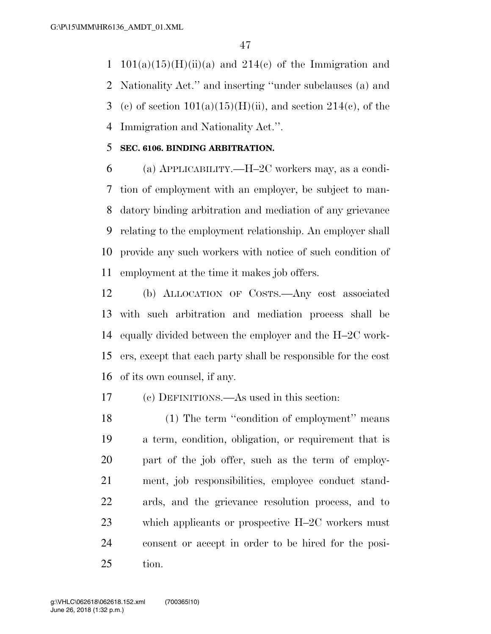1 101(a)(15)(H)(ii)(a) and 214(c) of the Immigration and Nationality Act.'' and inserting ''under subclauses (a) and 3 (c) of section  $101(a)(15)(H)(ii)$ , and section  $214(c)$ , of the Immigration and Nationality Act.''.

### **SEC. 6106. BINDING ARBITRATION.**

 (a) APPLICABILITY.—H–2C workers may, as a condi- tion of employment with an employer, be subject to man- datory binding arbitration and mediation of any grievance relating to the employment relationship. An employer shall provide any such workers with notice of such condition of employment at the time it makes job offers.

 (b) ALLOCATION OF COSTS.—Any cost associated with such arbitration and mediation process shall be equally divided between the employer and the H–2C work- ers, except that each party shall be responsible for the cost of its own counsel, if any.

(c) DEFINITIONS.—As used in this section:

18 (1) The term "condition of employment" means a term, condition, obligation, or requirement that is part of the job offer, such as the term of employ- ment, job responsibilities, employee conduct stand- ards, and the grievance resolution process, and to which applicants or prospective H–2C workers must consent or accept in order to be hired for the posi-tion.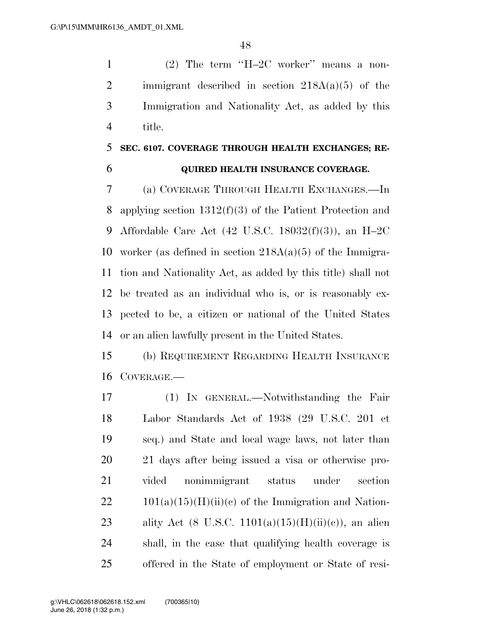(2) The term ''H–2C worker'' means a non-2 immigrant described in section  $218A(a)(5)$  of the Immigration and Nationality Act, as added by this title.

# **SEC. 6107. COVERAGE THROUGH HEALTH EXCHANGES; RE-QUIRED HEALTH INSURANCE COVERAGE.**

 (a) COVERAGE THROUGH HEALTH EXCHANGES.—In applying section 1312(f)(3) of the Patient Protection and Affordable Care Act (42 U.S.C. 18032(f)(3)), an H–2C worker (as defined in section 218A(a)(5) of the Immigra- tion and Nationality Act, as added by this title) shall not be treated as an individual who is, or is reasonably ex- pected to be, a citizen or national of the United States or an alien lawfully present in the United States.

 (b) REQUIREMENT REGARDING HEALTH INSURANCE COVERAGE.—

 (1) IN GENERAL.—Notwithstanding the Fair Labor Standards Act of 1938 (29 U.S.C. 201 et seq.) and State and local wage laws, not later than 21 days after being issued a visa or otherwise pro- vided nonimmigrant status under section  $22 \t101(a)(15)(H)(ii)(c)$  of the Immigration and Nation-23 ality Act (8 U.S.C.  $1101(a)(15)(H)(ii)(c)$ ), an alien shall, in the case that qualifying health coverage is offered in the State of employment or State of resi-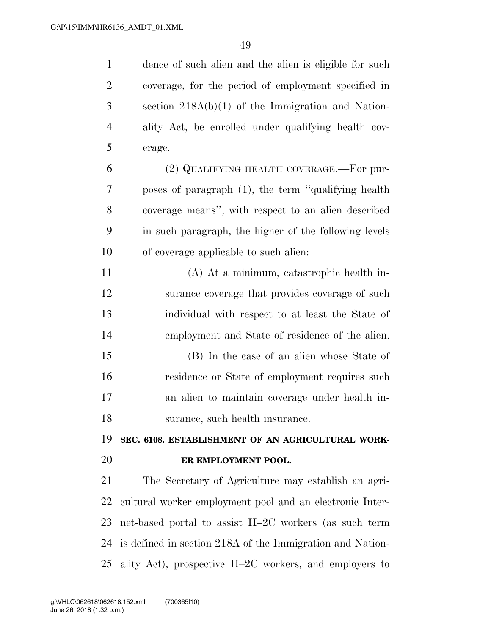dence of such alien and the alien is eligible for such coverage, for the period of employment specified in section 218A(b)(1) of the Immigration and Nation- ality Act, be enrolled under qualifying health cov- erage. (2) QUALIFYING HEALTH COVERAGE.—For pur- poses of paragraph (1), the term ''qualifying health coverage means'', with respect to an alien described in such paragraph, the higher of the following levels of coverage applicable to such alien: (A) At a minimum, catastrophic health in- surance coverage that provides coverage of such individual with respect to at least the State of employment and State of residence of the alien. (B) In the case of an alien whose State of residence or State of employment requires such an alien to maintain coverage under health in- surance, such health insurance. **SEC. 6108. ESTABLISHMENT OF AN AGRICULTURAL WORK- ER EMPLOYMENT POOL.**  The Secretary of Agriculture may establish an agri- cultural worker employment pool and an electronic Inter- net-based portal to assist H–2C workers (as such term is defined in section 218A of the Immigration and Nation-ality Act), prospective H–2C workers, and employers to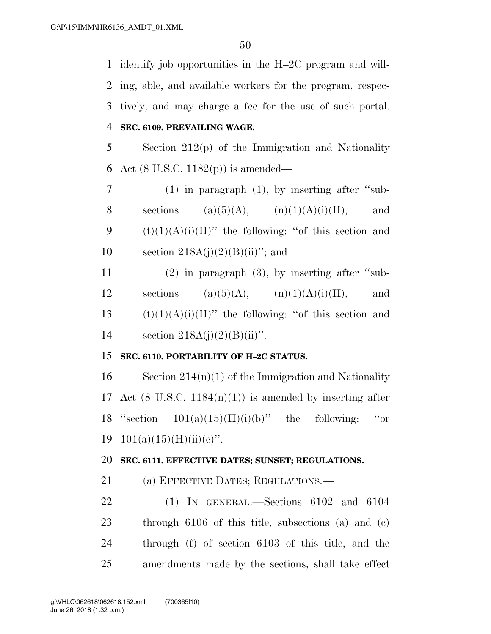identify job opportunities in the H–2C program and will- ing, able, and available workers for the program, respec- tively, and may charge a fee for the use of such portal. **SEC. 6109. PREVAILING WAGE.** 

5 Section 212(p) of the Immigration and Nationality 6 Act (8 U.S.C. 1182(p)) is amended—

7 (1) in paragraph (1), by inserting after ''sub-8 sections (a)(5)(A), (n)(1)(A)(i)(II), and 9 (t)(1)(A)(i)(II)" the following: "of this section and 10 section  $218A(j)(2)(B(iii))$ ; and

11 (2) in paragraph (3), by inserting after ''sub-12 sections (a)(5)(A),  $(n)(1)(A)(i)(II)$ , and 13  $(t)(1)(A)(i)(II)$ " the following: "of this section and 14 section  $218A(j)(2)(B)(ii)$ ".

## 15 **SEC. 6110. PORTABILITY OF H–2C STATUS.**

16 Section  $214(n)(1)$  of the Immigration and Nationality 17 Act (8 U.S.C. 1184 $(n)(1)$ ) is amended by inserting after 18 "section  $101(a)(15)(H)(i)(b)$ " the following: "or 19 101(a)(15)(H)(ii)(c)".

#### 20 **SEC. 6111. EFFECTIVE DATES; SUNSET; REGULATIONS.**

21 (a) EFFECTIVE DATES; REGULATIONS.—

 (1) IN GENERAL.—Sections 6102 and 6104 through 6106 of this title, subsections (a) and (c) through (f) of section 6103 of this title, and the amendments made by the sections, shall take effect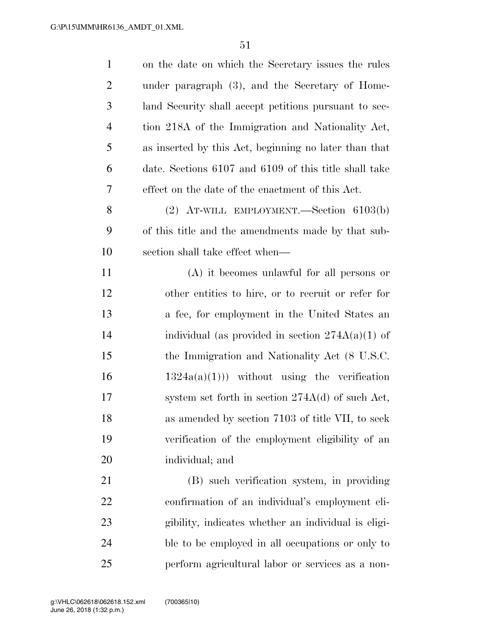| $\mathbf{1}$   | on the date on which the Secretary issues the rules   |
|----------------|-------------------------------------------------------|
| $\overline{2}$ | under paragraph (3), and the Secretary of Home-       |
| 3              | land Security shall accept petitions pursuant to sec- |
| $\overline{4}$ | tion 218A of the Immigration and Nationality Act,     |
| 5              | as inserted by this Act, beginning no later than that |
| 6              | date. Sections 6107 and 6109 of this title shall take |
| 7              | effect on the date of the enactment of this Act.      |
| 8              | $(2)$ AT-WILL EMPLOYMENT.—Section 6103(b)             |
| 9              | of this title and the amendments made by that sub-    |
| 10             | section shall take effect when—                       |
| 11             | $(A)$ it becomes unlawful for all persons or          |
| 12             | other entities to hire, or to recruit or refer for    |
| 13             | a fee, for employment in the United States an         |
| 14             | individual (as provided in section $274A(a)(1)$ of    |
| 15             | the Immigration and Nationality Act (8 U.S.C.         |
| 16             | $1324a(a)(1))$ without using the verification         |
| 17             | system set forth in section $274A(d)$ of such Act,    |
| 18             | as amended by section 7103 of title VII, to seek      |
| 19             | verification of the employment eligibility of an      |
| 20             | individual; and                                       |
| 21             | (B) such verification system, in providing            |
| 22             | confirmation of an individual's employment eli-       |
| 23             | gibility, indicates whether an individual is eligi-   |
| 24             | ble to be employed in all occupations or only to      |
| 25             | perform agricultural labor or services as a non-      |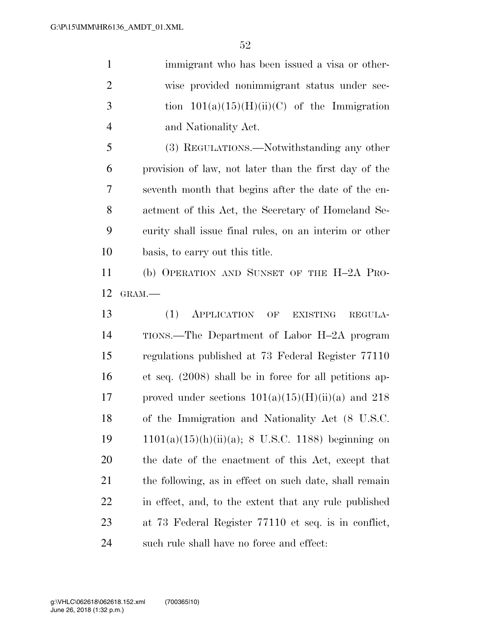immigrant who has been issued a visa or other- wise provided nonimmigrant status under sec-3 tion  $101(a)(15)(H)(ii)(C)$  of the Immigration and Nationality Act.

 (3) REGULATIONS.—Notwithstanding any other provision of law, not later than the first day of the seventh month that begins after the date of the en- actment of this Act, the Secretary of Homeland Se- curity shall issue final rules, on an interim or other basis, to carry out this title.

 (b) OPERATION AND SUNSET OF THE H–2A PRO-GRAM.—

 (1) APPLICATION OF EXISTING REGULA- TIONS.—The Department of Labor H–2A program regulations published at 73 Federal Register 77110 et seq. (2008) shall be in force for all petitions ap-17 proved under sections  $101(a)(15)(H)(ii)(a)$  and  $218$  of the Immigration and Nationality Act (8 U.S.C. 1101(a)(15)(h)(ii)(a); 8 U.S.C. 1188) beginning on the date of the enactment of this Act, except that 21 the following, as in effect on such date, shall remain in effect, and, to the extent that any rule published at 73 Federal Register 77110 et seq. is in conflict, such rule shall have no force and effect: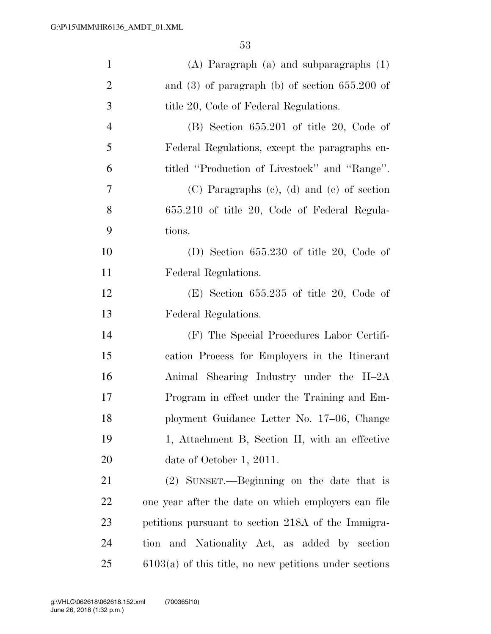| $\mathbf{1}$   | $(A)$ Paragraph $(a)$ and subparagraphs $(1)$            |
|----------------|----------------------------------------------------------|
| $\overline{2}$ | and $(3)$ of paragraph $(b)$ of section $655.200$ of     |
| 3              | title 20, Code of Federal Regulations.                   |
| $\overline{4}$ | $(B)$ Section 655.201 of title 20, Code of               |
| 5              | Federal Regulations, except the paragraphs en-           |
| 6              | titled "Production of Livestock" and "Range".            |
| $\tau$         | $(C)$ Paragraphs $(e)$ , $(d)$ and $(e)$ of section      |
| 8              | 655.210 of title 20, Code of Federal Regula-             |
| 9              | tions.                                                   |
| 10             | (D) Section $655.230$ of title 20, Code of               |
| 11             | Federal Regulations.                                     |
| 12             | $(E)$ Section 655.235 of title 20, Code of               |
| 13             | Federal Regulations.                                     |
| 14             | (F) The Special Procedures Labor Certifi-                |
| 15             | cation Process for Employers in the Itinerant            |
| 16             | Animal Shearing Industry under the H-2A                  |
| 17             | Program in effect under the Training and Em-             |
| 18             | ployment Guidance Letter No. 17-06, Change               |
| 19             | 1, Attachment B, Section II, with an effective           |
| 20             | date of October 1, 2011.                                 |
| 21             | (2) SUNSET.—Beginning on the date that is                |
| 22             | one year after the date on which employers can file      |
| 23             | petitions pursuant to section 218A of the Immigra-       |
| 24             | tion and Nationality Act, as added by section            |
| 25             | $6103(a)$ of this title, no new petitions under sections |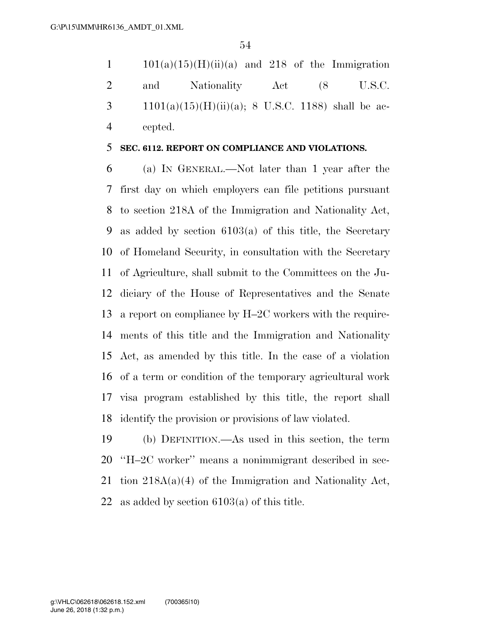$1 \t101(a)(15)(H)(ii)(a)$  and 218 of the Immigration 2 and Nationality Act (8 U.S.C. 3 1101(a)(15)(H)(ii)(a); 8 U.S.C. 1188) shall be ac-cepted.

#### **SEC. 6112. REPORT ON COMPLIANCE AND VIOLATIONS.**

 (a) IN GENERAL.—Not later than 1 year after the first day on which employers can file petitions pursuant to section 218A of the Immigration and Nationality Act, as added by section 6103(a) of this title, the Secretary of Homeland Security, in consultation with the Secretary of Agriculture, shall submit to the Committees on the Ju- diciary of the House of Representatives and the Senate a report on compliance by H–2C workers with the require- ments of this title and the Immigration and Nationality Act, as amended by this title. In the case of a violation of a term or condition of the temporary agricultural work visa program established by this title, the report shall identify the provision or provisions of law violated.

 (b) DEFINITION.—As used in this section, the term ''H–2C worker'' means a nonimmigrant described in sec- tion 218A(a)(4) of the Immigration and Nationality Act, as added by section 6103(a) of this title.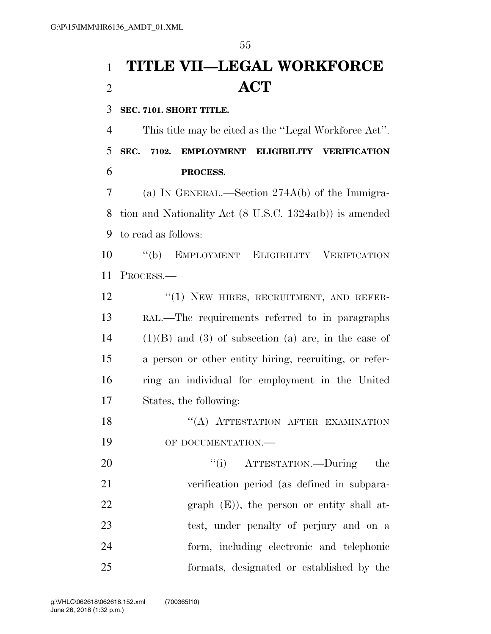# **TITLE VII—LEGAL WORKFORCE ACT**

**SEC. 7101. SHORT TITLE.** 

 This title may be cited as the ''Legal Workforce Act''. **SEC. 7102. EMPLOYMENT ELIGIBILITY VERIFICATION PROCESS.** 

 (a) IN GENERAL.—Section 274A(b) of the Immigra- tion and Nationality Act (8 U.S.C. 1324a(b)) is amended to read as follows:

 ''(b) EMPLOYMENT ELIGIBILITY VERIFICATION PROCESS.—

12 "(1) NEW HIRES, RECRUITMENT, AND REFER- RAL.—The requirements referred to in paragraphs (1)(B) and (3) of subsection (a) are, in the case of a person or other entity hiring, recruiting, or refer- ring an individual for employment in the United States, the following:

18 "(A) ATTESTATION AFTER EXAMINATION 19 OF DOCUMENTATION.—

 $(1)$  ATTESTATION.—During the verification period (as defined in subpara-22 graph (E)), the person or entity shall at- test, under penalty of perjury and on a form, including electronic and telephonic formats, designated or established by the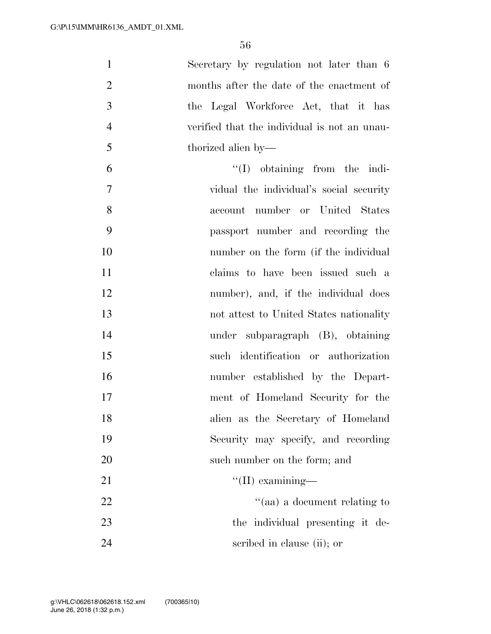| $\mathbf{1}$   | Secretary by regulation not later than 6     |
|----------------|----------------------------------------------|
| $\overline{2}$ | months after the date of the enactment of    |
| 3              | the Legal Workforce Act, that it has         |
| $\overline{4}$ | verified that the individual is not an unau- |
| 5              | thorized alien by—                           |
| 6              | $\lq\lq$ (I) obtaining from the indi-        |
| $\overline{7}$ | vidual the individual's social security      |
| 8              | account number or United States              |
| 9              | passport number and recording the            |
| 10             | number on the form (if the individual        |
| 11             | claims to have been issued such a            |
| 12             | number), and, if the individual does         |
| 13             | not attest to United States nationality      |
| 14             | under subparagraph (B), obtaining            |
| 15             | such identification or authorization         |
| 16             | number established by the Depart-            |
| 17             | ment of Homeland Security for the            |
| 18             | alien as the Secretary of Homeland           |
| 19             | Security may specify, and recording          |
| 20             | such number on the form; and                 |
| 21             | $\lq\lq$ (II) examining—                     |
| 22             | "(aa) a document relating to                 |
| 23             | the individual presenting it de-             |
| 24             | scribed in clause (ii); or                   |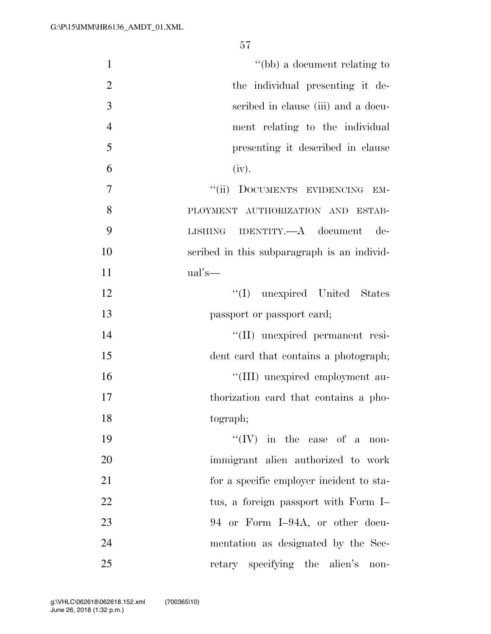| $\mathbf{1}$   | "(bb) a document relating to                |
|----------------|---------------------------------------------|
| $\overline{2}$ | the individual presenting it de-            |
| 3              | scribed in clause (iii) and a docu-         |
| $\overline{4}$ | ment relating to the individual             |
| 5              | presenting it described in clause           |
| 6              | (iv).                                       |
| $\overline{7}$ | "(ii) DOCUMENTS EVIDENCING<br>EM-           |
| 8              | PLOYMENT AUTHORIZATION AND ESTAB-           |
| 9              | LISHING IDENTITY.—A document de-            |
| 10             | scribed in this subparagraph is an individ- |
| 11             | $ual's$ —                                   |
| 12             | "(I) unexpired United States                |
| 13             | passport or passport card;                  |
| 14             | "(II) unexpired permanent resi-             |
| 15             | dent card that contains a photograph;       |
| 16             | "(III) unexpired employment au-             |
| 17             | thorization card that contains a pho-       |
| 18             | tograph;                                    |
| 19             | $``(IV)$ in the case of a non-              |
| 20             | immigrant alien authorized to work          |
| 21             | for a specific employer incident to sta-    |
| 22             | tus, a foreign passport with Form I-        |
| 23             | 94 or Form I-94A, or other docu-            |
| 24             | mentation as designated by the Sec-         |
| 25             | retary specifying the alien's<br>non-       |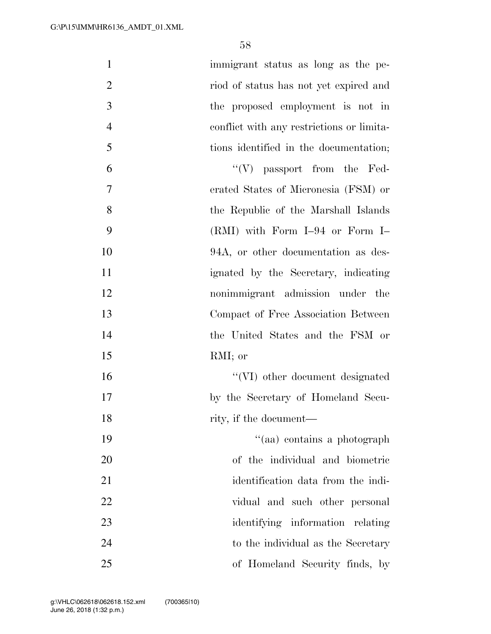| $\mathbf{1}$   | immigrant status as long as the pe-       |
|----------------|-------------------------------------------|
| $\overline{2}$ | riod of status has not yet expired and    |
| 3              | the proposed employment is not in         |
| $\overline{4}$ | conflict with any restrictions or limita- |
| 5              | tions identified in the documentation;    |
| 6              | $\lq\lq (V)$ passport from the Fed-       |
| 7              | erated States of Micronesia (FSM) or      |
| 8              | the Republic of the Marshall Islands      |
| 9              | $(RMI)$ with Form I-94 or Form I-         |
| 10             | 94A, or other documentation as des-       |
| 11             | ignated by the Secretary, indicating      |
| 12             | nonimmigrant admission under the          |
| 13             | Compact of Free Association Between       |
| 14             | the United States and the FSM or          |
| 15             | RMI; or                                   |
| 16             | "(VI) other document designated           |
| 17             | by the Secretary of Homeland Secu-        |
| 18             | rity, if the document—                    |
| 19             | "(aa) contains a photograph               |
| 20             | of the individual and biometric           |
| 21             | identification data from the indi-        |
| 22             | vidual and such other personal            |
| 23             | identifying information relating          |
| 24             | to the individual as the Secretary        |
| 25             | of Homeland Security finds, by            |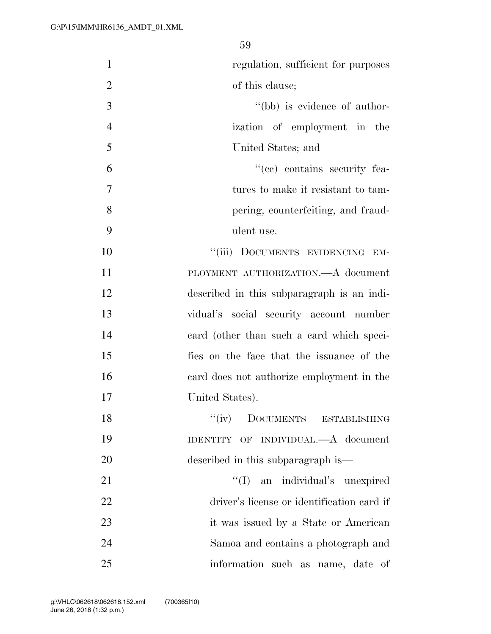| $\mathbf{1}$   | regulation, sufficient for purposes        |
|----------------|--------------------------------------------|
| $\overline{2}$ | of this clause;                            |
| 3              | "(bb) is evidence of author-               |
| $\overline{4}$ | ization of employment in the               |
| 5              | United States; and                         |
| 6              | "(cc) contains security fea-               |
| 7              | tures to make it resistant to tam-         |
| 8              | pering, counterfeiting, and fraud-         |
| 9              | ulent use.                                 |
| 10             | "(iii) DOCUMENTS EVIDENCING EM-            |
| 11             | PLOYMENT AUTHORIZATION. A document         |
| 12             | described in this subparagraph is an indi- |
| 13             | vidual's social security account number    |
| 14             | eard (other than such a card which speci-  |
| 15             | fies on the face that the issuance of the  |
| 16             | card does not authorize employment in the  |
| 17             | United States).                            |
| 18             | DOCUMENTS ESTABLISHING<br>``(iv)           |
| 19             | IDENTITY OF INDIVIDUAL.—A document         |
| 20             | described in this subparagraph is—         |
| 21             | "(I) an individual's unexpired             |
| 22             | driver's license or identification card if |
| 23             | it was issued by a State or American       |
| 24             | Samoa and contains a photograph and        |
| 25             | information such as name, date of          |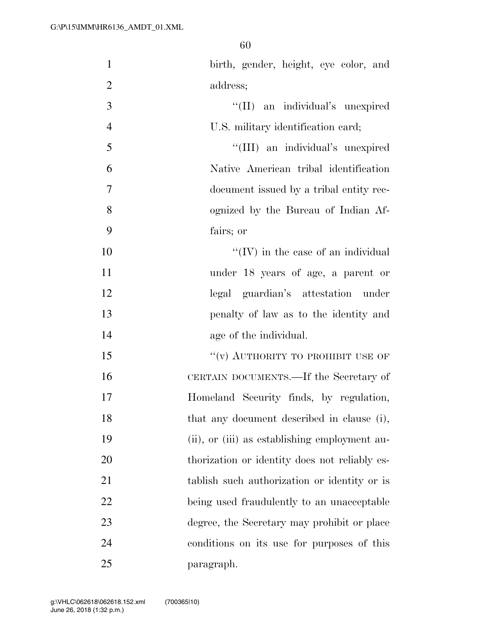| $\mathbf{1}$   | birth, gender, height, eye color, and         |
|----------------|-----------------------------------------------|
| $\overline{2}$ | address;                                      |
| 3              | "(II) an individual's unexpired               |
| $\overline{4}$ | U.S. military identification card;            |
| 5              | "(III) an individual's unexpired              |
| 6              | Native American tribal identification         |
| $\overline{7}$ | document issued by a tribal entity rec-       |
| 8              | ognized by the Bureau of Indian Af-           |
| 9              | fairs; or                                     |
| 10             | $``(IV)$ in the case of an individual         |
| 11             | under 18 years of age, a parent or            |
| 12             | legal guardian's attestation under            |
| 13             | penalty of law as to the identity and         |
| 14             | age of the individual.                        |
| 15             | "(v) AUTHORITY TO PROHIBIT USE OF             |
| 16             | CERTAIN DOCUMENTS.—If the Secretary of        |
| 17             | Homeland Security finds, by regulation,       |
| 18             | that any document described in clause (i),    |
| 19             | (ii), or (iii) as establishing employment au- |
| 20             | thorization or identity does not reliably es- |
| 21             | tablish such authorization or identity or is  |
| 22             | being used fraudulently to an unacceptable    |
| 23             | degree, the Secretary may prohibit or place   |
| 24             | conditions on its use for purposes of this    |
| 25             | paragraph.                                    |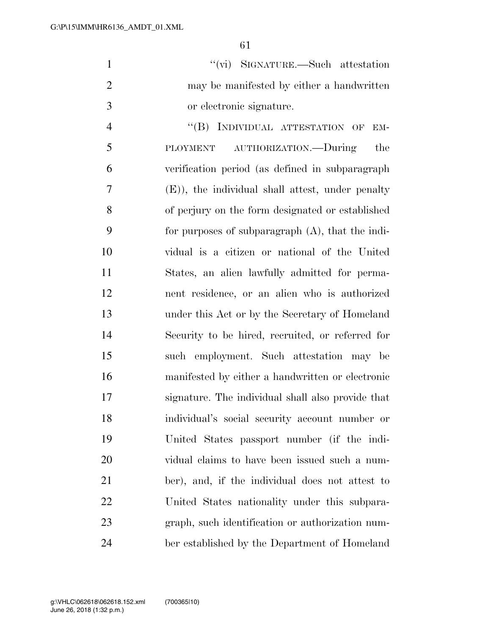|               | $``(\vec{vi})$ SIGNATURE.—Such attestation |
|---------------|--------------------------------------------|
| $\mathcal{L}$ | may be manifested by either a handwritten  |
| $\mathcal{R}$ | or electronic signature.                   |

4 "(B) INDIVIDUAL ATTESTATION OF EM- PLOYMENT AUTHORIZATION.—During the verification period (as defined in subparagraph (E)), the individual shall attest, under penalty of perjury on the form designated or established for purposes of subparagraph (A), that the indi- vidual is a citizen or national of the United States, an alien lawfully admitted for perma- nent residence, or an alien who is authorized under this Act or by the Secretary of Homeland Security to be hired, recruited, or referred for such employment. Such attestation may be manifested by either a handwritten or electronic signature. The individual shall also provide that individual's social security account number or United States passport number (if the indi- vidual claims to have been issued such a num- ber), and, if the individual does not attest to United States nationality under this subpara- graph, such identification or authorization num-ber established by the Department of Homeland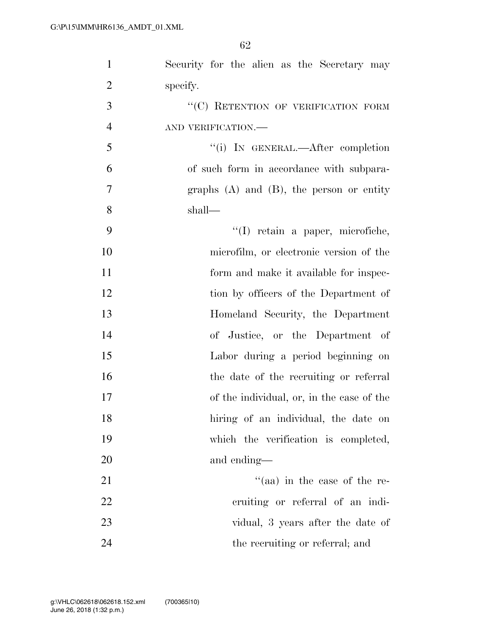| $\mathbf{1}$   | Security for the alien as the Secretary may   |
|----------------|-----------------------------------------------|
| $\overline{2}$ | specify.                                      |
| 3              | "(C) RETENTION OF VERIFICATION FORM           |
| $\overline{4}$ | AND VERIFICATION.-                            |
| 5              | "(i) IN GENERAL.—After completion             |
| 6              | of such form in accordance with subpara-      |
| $\overline{7}$ | graphs $(A)$ and $(B)$ , the person or entity |
| 8              | shall—                                        |
| 9              | "(I) retain a paper, microfiche,              |
| 10             | microfilm, or electronic version of the       |
| 11             | form and make it available for inspec-        |
| 12             | tion by officers of the Department of         |
| 13             | Homeland Security, the Department             |
| 14             | of Justice, or the Department of              |
| 15             | Labor during a period beginning on            |
| 16             | the date of the recruiting or referral        |
| 17             | of the individual, or, in the case of the     |
| 18             | hiring of an individual, the date on          |
| 19             | which the verification is completed,          |
| 20             | and ending—                                   |
| 21             | $\cdot$ (aa) in the case of the re-           |
| 22             | cruiting or referral of an indi-              |
| 23             | vidual, 3 years after the date of             |
| 24             | the recruiting or referral; and               |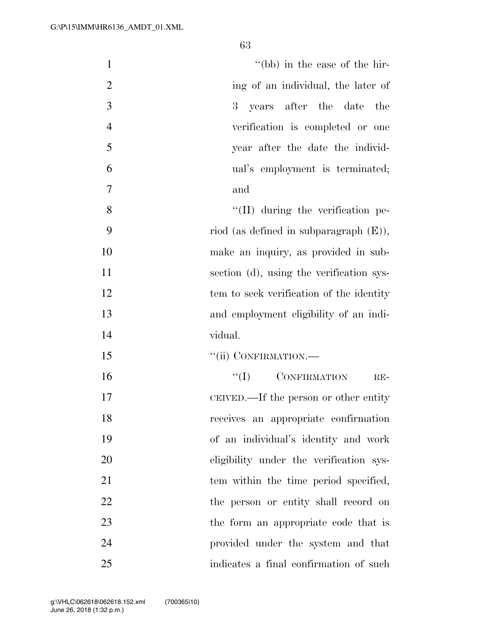| $\mathbf{1}$   | "(bb) in the case of the hir-             |
|----------------|-------------------------------------------|
| $\overline{2}$ | ing of an individual, the later of        |
| $\mathfrak{Z}$ | years after the date<br>$3^-$<br>the      |
| $\overline{4}$ | verification is completed or one          |
| 5              | year after the date the individ-          |
| 6              | ual's employment is terminated;           |
| $\overline{7}$ | and                                       |
| 8              | $\lq\lq$ (II) during the verification pe- |
| 9              | riod (as defined in subparagraph $(E)$ ), |
| 10             | make an inquiry, as provided in sub-      |
| 11             | section (d), using the verification sys-  |
| 12             | tem to seek verification of the identity  |
| 13             | and employment eligibility of an indi-    |
| 14             | vidual.                                   |
| 15             | "(ii) CONFIRMATION.-                      |
| 16             | $\lq\lq (I)$ CONFIRMATION<br>$RE-$        |
| 17             | CEIVED.—If the person or other entity     |
| 18             | receives an appropriate confirmation      |
| 19             | of an individual's identity and work      |
| 20             | eligibility under the verification sys-   |
| 21             | tem within the time period specified,     |
| 22             | the person or entity shall record on      |
| 23             | the form an appropriate code that is      |
| 24             | provided under the system and that        |
| 25             | indicates a final confirmation of such    |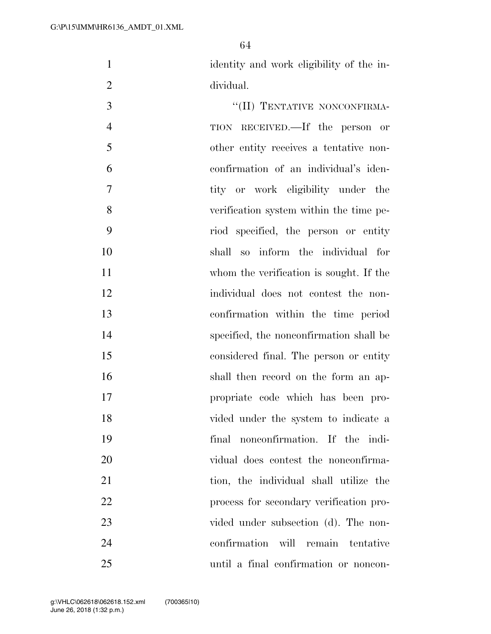identity and work eligibility of the in-dividual.

 ''(II) TENTATIVE NONCONFIRMA- TION RECEIVED.—If the person or other entity receives a tentative non- confirmation of an individual's iden- tity or work eligibility under the verification system within the time pe- riod specified, the person or entity shall so inform the individual for whom the verification is sought. If the individual does not contest the non- confirmation within the time period specified, the nonconfirmation shall be considered final. The person or entity shall then record on the form an ap- propriate code which has been pro- vided under the system to indicate a final nonconfirmation. If the indi- vidual does contest the nonconfirma-21 tion, the individual shall utilize the process for secondary verification pro-23 vided under subsection (d). The non- confirmation will remain tentative until a final confirmation or noncon-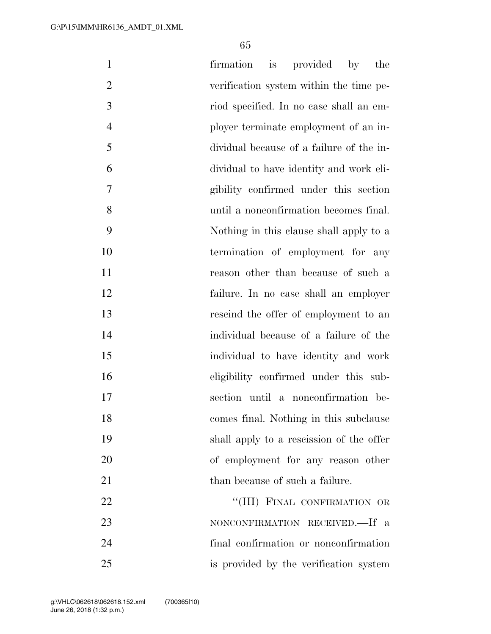| $\mathbf{1}$   | firmation is provided by<br>the          |
|----------------|------------------------------------------|
| $\overline{2}$ | verification system within the time pe-  |
| 3              | riod specified. In no case shall an em-  |
| $\overline{4}$ | ployer terminate employment of an in-    |
| 5              | dividual because of a failure of the in- |
| 6              | dividual to have identity and work eli-  |
| 7              | gibility confirmed under this section    |
| 8              | until a nonconfirmation becomes final.   |
| 9              | Nothing in this clause shall apply to a  |
| 10             | termination of employment for any        |
| 11             | reason other than because of such a      |
| 12             | failure. In no case shall an employer    |
| 13             | rescind the offer of employment to an    |
| 14             | individual because of a failure of the   |
| 15             | individual to have identity and work     |
| 16             | eligibility confirmed under this sub-    |
| 17             | section until a nonconfirmation be-      |
| 18             | comes final. Nothing in this subclause   |
| 19             | shall apply to a rescission of the offer |
| 20             | of employment for any reason other       |
| 21             | than because of such a failure.          |
| 22             | "(III) FINAL CONFIRMATION OR             |
| 23             | NONCONFIRMATION RECEIVED.—If a           |
| 24             | final confirmation or nonconfirmation    |
| 25             | is provided by the verification system   |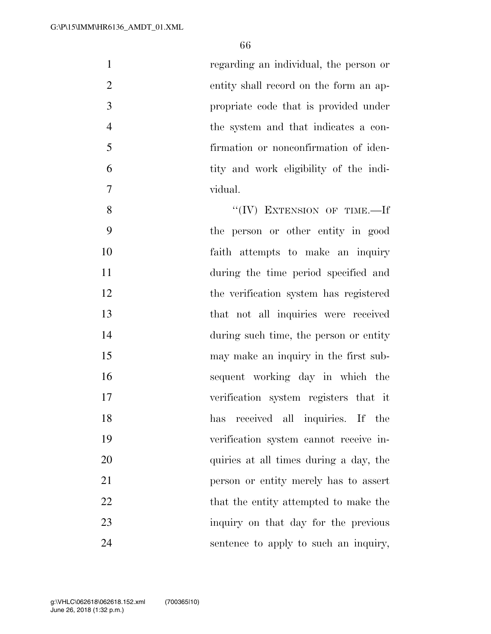| $\mathbf{1}$   | regarding an individual, the person or |
|----------------|----------------------------------------|
| $\overline{2}$ | entity shall record on the form an ap- |
| 3              | propriate code that is provided under  |
| $\overline{4}$ | the system and that indicates a con-   |
| 5              | firmation or nonconfirmation of iden-  |
| 6              | tity and work eligibility of the indi- |
| 7              | vidual.                                |
| 8              | "(IV) EXTENSION OF TIME.-If            |
| 9              | the person or other entity in good     |
| 10             | faith attempts to make an inquiry      |
| 11             | during the time period specified and   |
| 12             | the verification system has registered |
| 13             | that not all inquiries were received   |
| 14             | during such time, the person or entity |
| 15             | may make an inquiry in the first sub-  |
| 16             | sequent working day in which the       |
| 17             | verification system registers that it  |
| 18             | received all inquiries. If the<br>has  |
| 19             | verification system cannot receive in- |
| 20             | quiries at all times during a day, the |

person or entity merely has to assert

22 that the entity attempted to make the

inquiry on that day for the previous

sentence to apply to such an inquiry,

June 26, 2018 (1:32 p.m.) g:\VHLC\062618\062618.152.xml (700365|10)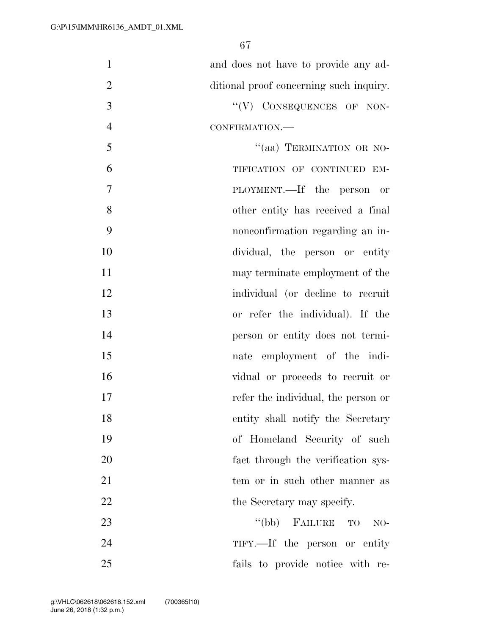| $\mathbf{1}$   | and does not have to provide any ad-    |
|----------------|-----------------------------------------|
| $\overline{2}$ | ditional proof concerning such inquiry. |
| 3              | "(V) CONSEQUENCES OF NON-               |
| $\overline{4}$ | CONFIRMATION.                           |
| 5              | "(aa) TERMINATION OR NO-                |
| 6              | TIFICATION OF CONTINUED EM-             |
| $\overline{7}$ | PLOYMENT.—If the person or              |
| 8              | other entity has received a final       |
| 9              | nonconfirmation regarding an in-        |
| 10             | dividual, the person or entity          |
| 11             | may terminate employment of the         |
| 12             | individual (or decline to recruit       |
| 13             | or refer the individual). If the        |
| 14             | person or entity does not termi-        |
| 15             | nate employment of the indi-            |
| 16             | vidual or proceeds to recruit or        |
| 17             | refer the individual, the person or     |
| 18             | entity shall notify the Secretary       |
| 19             | of Homeland Security of such            |
| 20             | fact through the verification sys-      |
| 21             | tem or in such other manner as          |
| 22             | the Secretary may specify.              |
| 23             | "(bb) FAILURE TO<br>$NO-$               |
| 24             | TIFY.—If the person or entity           |
| 25             | fails to provide notice with re-        |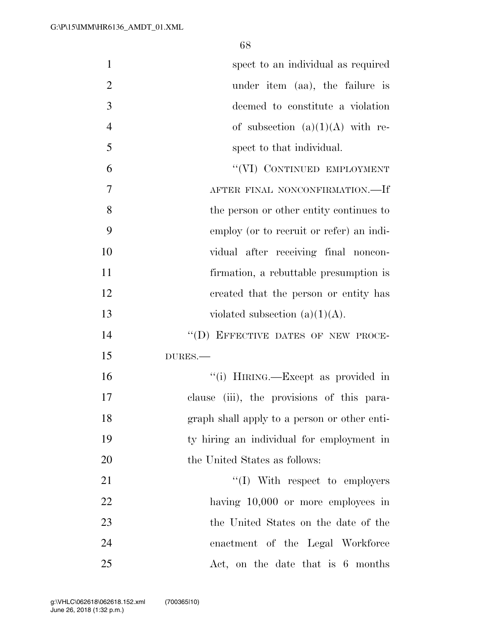| $\mathbf{1}$   | spect to an individual as required           |
|----------------|----------------------------------------------|
| $\overline{2}$ | under item (aa), the failure is              |
| 3              | deemed to constitute a violation             |
| $\overline{4}$ | of subsection $(a)(1)(A)$ with re-           |
| 5              | spect to that individual.                    |
| 6              | "(VI) CONTINUED EMPLOYMENT                   |
| 7              | AFTER FINAL NONCONFIRMATION.-If              |
| 8              | the person or other entity continues to      |
| 9              | employ (or to recruit or refer) an indi-     |
| 10             | vidual after receiving final noncon-         |
| 11             | firmation, a rebuttable presumption is       |
| 12             | created that the person or entity has        |
| 13             | violated subsection $(a)(1)(A)$ .            |
| 14             | "(D) EFFECTIVE DATES OF NEW PROCE-           |
| 15             | DURES.                                       |
| 16             | "(i) HIRING.—Except as provided in           |
| 17             | clause (iii), the provisions of this para-   |
| 18             | graph shall apply to a person or other enti- |
| 19             | ty hiring an individual for employment in    |
| 20             | the United States as follows:                |
| 21             | $\lq\lq$ (I) With respect to employers       |
| 22             | having $10,000$ or more employees in         |
| 23             | the United States on the date of the         |
| 24             | enactment of the Legal Workforce             |
| 25             | Act, on the date that is 6 months            |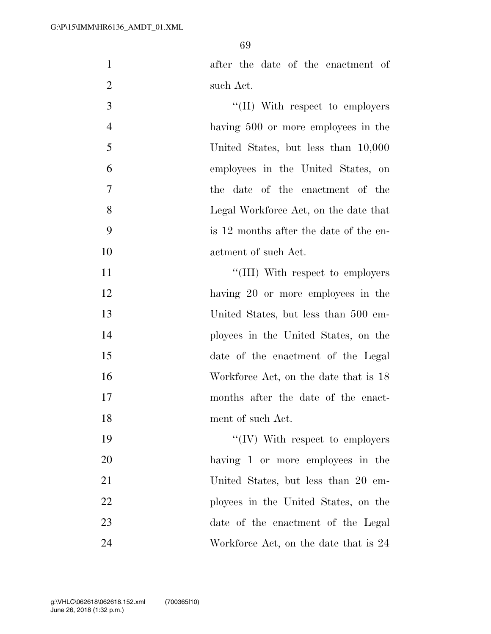after the date of the enactment of such Act.

3 ''(II) With respect to employers having 500 or more employees in the United States, but less than 10,000 employees in the United States, on the date of the enactment of the Legal Workforce Act, on the date that is 12 months after the date of the en-actment of such Act.

 $\frac{1}{11}$  With respect to employers 12 having 20 or more employees in the United States, but less than 500 em- ployees in the United States, on the date of the enactment of the Legal 16 Workforce Act, on the date that is 18 months after the date of the enact-ment of such Act.

 $\frac{1}{2}$  TV With respect to employers having 1 or more employees in the United States, but less than 20 em- ployees in the United States, on the date of the enactment of the Legal 24 Workforce Act, on the date that is 24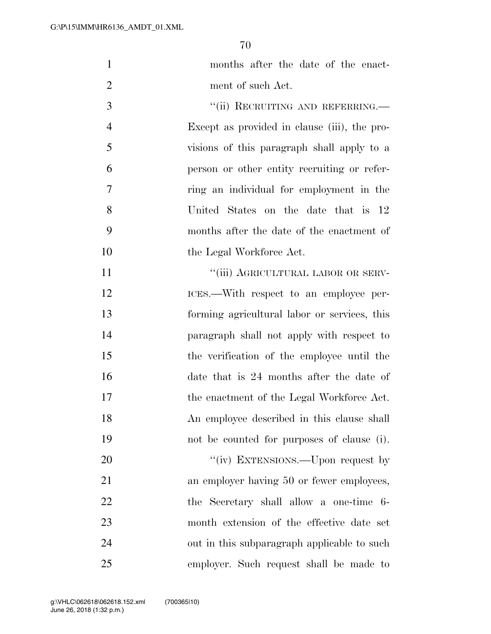| $\mathbf{1}$   | months after the date of the enact-          |
|----------------|----------------------------------------------|
| $\overline{2}$ | ment of such Act.                            |
| 3              | "(ii) RECRUITING AND REFERRING.              |
| $\overline{4}$ | Except as provided in clause (iii), the pro- |
| 5              | visions of this paragraph shall apply to a   |
| 6              | person or other entity recruiting or refer-  |
| 7              | ring an individual for employment in the     |
| 8              | United States on the date that is 12         |
| 9              | months after the date of the enactment of    |
| 10             | the Legal Workforce Act.                     |
| 11             | "(iii) AGRICULTURAL LABOR OR SERV-           |
| 12             | ICES.—With respect to an employee per-       |
| 13             | forming agricultural labor or services, this |
| 14             | paragraph shall not apply with respect to    |
| 15             | the verification of the employee until the   |
| 16             | date that is 24 months after the date of     |
| 17             | the enactment of the Legal Workforce Act.    |
| 18             | An employee described in this clause shall   |
| 19             | not be counted for purposes of clause (i).   |
| 20             | "(iv) EXTENSIONS.—Upon request by            |
| 21             | an employer having 50 or fewer employees,    |
| 22             | the Secretary shall allow a one-time 6-      |
| 23             | month extension of the effective date set    |
| 24             | out in this subparagraph applicable to such  |
| 25             | employer. Such request shall be made to      |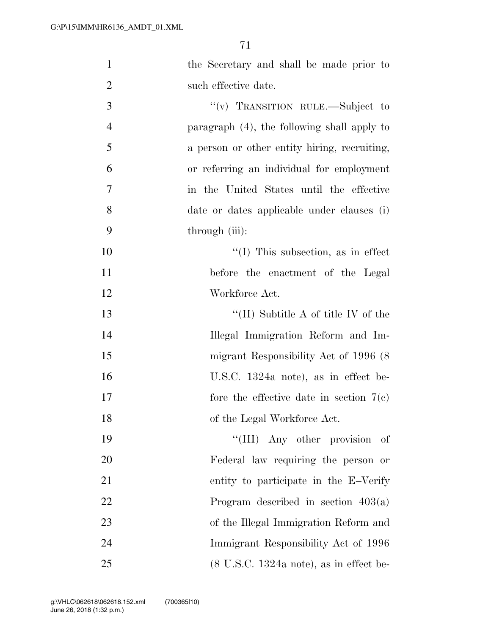| $\mathbf{1}$   | the Secretary and shall be made prior to                    |
|----------------|-------------------------------------------------------------|
| $\overline{2}$ | such effective date.                                        |
| 3              | "(v) TRANSITION RULE.—Subject to                            |
| $\overline{4}$ | paragraph (4), the following shall apply to                 |
| 5              | a person or other entity hiring, recruiting,                |
| 6              | or referring an individual for employment                   |
| 7              | in the United States until the effective                    |
| 8              | date or dates applicable under clauses (i)                  |
| 9              | through (iii):                                              |
| 10             | $\lq\lq$ (I) This subsection, as in effect                  |
| 11             | before the enactment of the Legal                           |
| 12             | Workforce Act.                                              |
| 13             | "(II) Subtitle A of title IV of the                         |
| 14             | Illegal Immigration Reform and Im-                          |
| 15             | migrant Responsibility Act of 1996 (8)                      |
| 16             | U.S.C. 1324a note), as in effect be-                        |
| 17             | fore the effective date in section $7(e)$                   |
| 18             | of the Legal Workforce Act.                                 |
| 19             | "(III) Any other provision<br>- of                          |
| 20             | Federal law requiring the person or                         |
| 21             | entity to participate in the E-Verify                       |
| 22             | Program described in section $403(a)$                       |
| 23             | of the Illegal Immigration Reform and                       |
| 24             | Immigrant Responsibility Act of 1996                        |
| 25             | $(8 \text{ U.S.C. } 1324a \text{ note})$ , as in effect be- |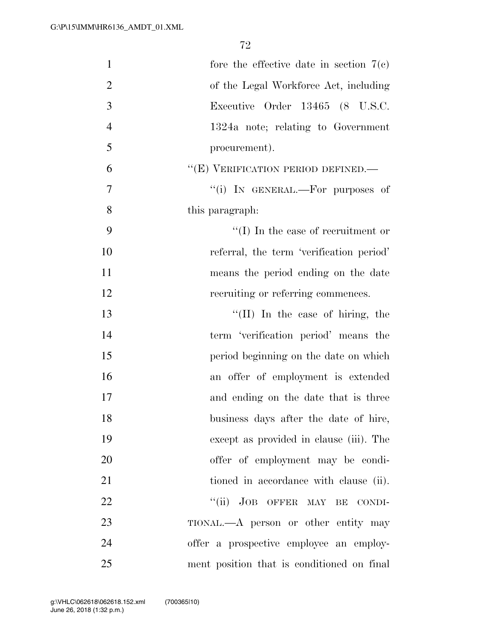| $\mathbf{1}$   | fore the effective date in section $7(e)$  |
|----------------|--------------------------------------------|
| $\overline{2}$ | of the Legal Workforce Act, including      |
| 3              | Executive Order 13465 (8 U.S.C.            |
| $\overline{4}$ | 1324a note; relating to Government         |
| 5              | procurement).                              |
| 6              | "(E) VERIFICATION PERIOD DEFINED.—         |
| $\tau$         | "(i) IN GENERAL.—For purposes of           |
| 8              | this paragraph:                            |
| 9              | $\lq\lq$ (I) In the case of recruitment or |
| 10             | referral, the term 'verification period'   |
| 11             | means the period ending on the date        |
| 12             | recruiting or referring commences.         |
| 13             | "(II) In the case of hiring, the           |
| 14             | term 'verification period' means the       |
| 15             | period beginning on the date on which      |
| 16             | an offer of employment is extended         |
| 17             | and ending on the date that is three       |
| 18             | business days after the date of hire,      |
| 19             | except as provided in clause (iii). The    |
| 20             | offer of employment may be condi-          |
| 21             | tioned in accordance with clause (ii).     |
| 22             | "(ii) JOB OFFER MAY BE CONDI-              |
| 23             | TIONAL.—A person or other entity may       |
| 24             | offer a prospective employee an employ-    |
| 25             | ment position that is conditioned on final |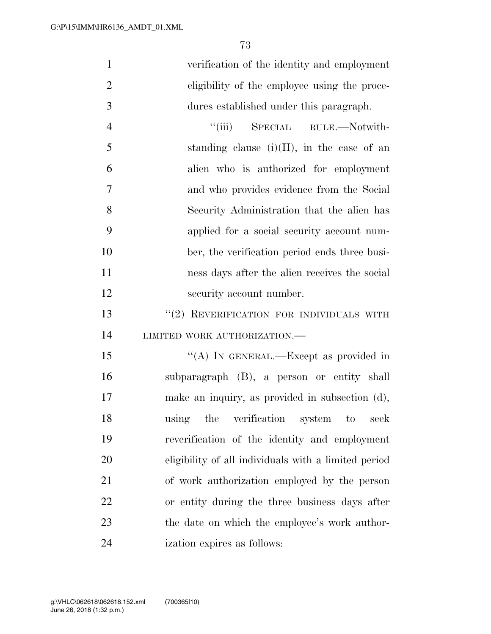|   | verification of the identity and employment  |
|---|----------------------------------------------|
| 2 | eligibility of the employee using the proce- |
| 3 | dures established under this paragraph.      |
|   | SPECIAL RULE.—Notwith-<br>$\lq\lq$ (iii)     |

| $\overline{5}$ | standing clause $(i)(II)$ , in the case of an |
|----------------|-----------------------------------------------|
| 6              | alien who is authorized for employment        |
| $\overline{7}$ | and who provides evidence from the Social     |
| 8              | Security Administration that the alien has    |
| -9             | applied for a social security account num-    |
| 10             | ber, the verification period ends three busi- |
| 11             | ness days after the alien receives the social |
| 12             | security account number.                      |

## 13 "(2) REVERIFICATION FOR INDIVIDUALS WITH 14 LIMITED WORK AUTHORIZATION.—

15 "(A) IN GENERAL.—Except as provided in subparagraph (B), a person or entity shall make an inquiry, as provided in subsection (d), using the verification system to seek reverification of the identity and employment eligibility of all individuals with a limited period of work authorization employed by the person or entity during the three business days after the date on which the employee's work author-ization expires as follows: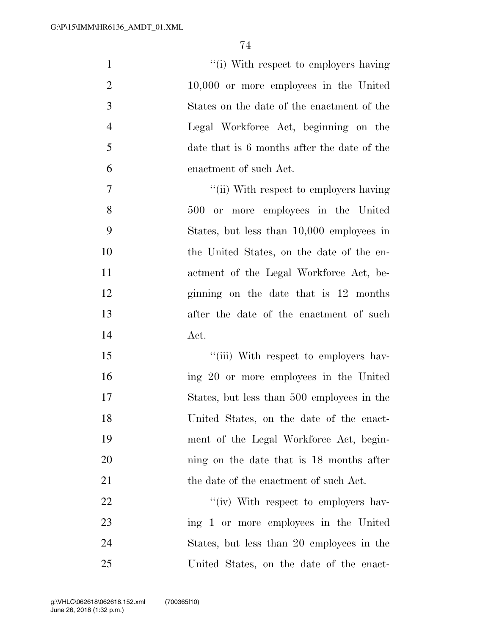| $\mathbf{1}$   | "(i) With respect to employers having       |
|----------------|---------------------------------------------|
| $\overline{2}$ | 10,000 or more employees in the United      |
| 3              | States on the date of the enactment of the  |
| $\overline{4}$ | Legal Workforce Act, beginning on the       |
| 5              | date that is 6 months after the date of the |
| 6              | enactment of such Act.                      |
| $\tau$         | "(ii) With respect to employers having      |
| 8              | 500 or more employees in the United         |
| 9              | States, but less than 10,000 employees in   |
| 10             | the United States, on the date of the en-   |
| 11             | actment of the Legal Workforce Act, be-     |
| 12             | ginning on the date that is 12 months       |
| 13             | after the date of the enactment of such     |
| 14             | Act.                                        |
| 15             | "(iii) With respect to employers hav-       |
| 16             | ing 20 or more employees in the United      |
| 17             | States, but less than 500 employees in the  |
| 18             | United States, on the date of the enact-    |
| 19             | ment of the Legal Workforce Act, begin-     |
| 20             | ning on the date that is 18 months after    |
| 21             | the date of the enactment of such Act.      |
| 22             | "(iv) With respect to employers hav-        |
| 23             | ing 1 or more employees in the United       |
| 24             | States, but less than 20 employees in the   |
| 25             | United States, on the date of the enact-    |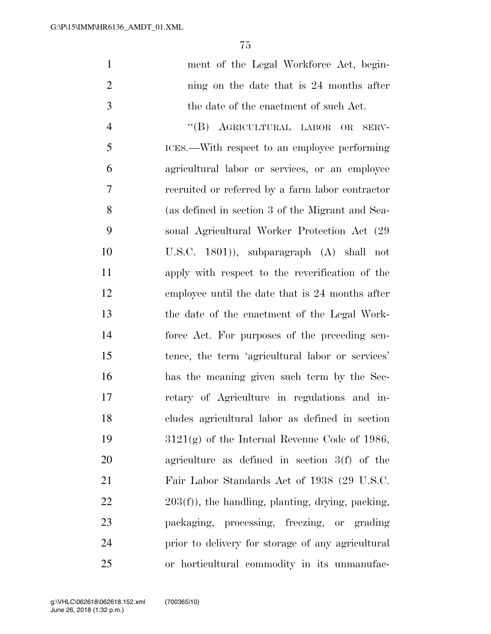| $\mathbf{1}$   | ment of the Legal Workforce Act, begin-             |
|----------------|-----------------------------------------------------|
| $\overline{2}$ | ning on the date that is 24 months after            |
| 3              | the date of the enactment of such Act.              |
| $\overline{4}$ | "(B) AGRICULTURAL LABOR OR<br>SERV-                 |
| 5              | ICES.—With respect to an employee performing        |
| 6              | agricultural labor or services, or an employee      |
| 7              | recruited or referred by a farm labor contractor    |
| 8              | (as defined in section 3 of the Migrant and Sea-    |
| 9              | sonal Agricultural Worker Protection Act (29)       |
| 10             | U.S.C. $1801$ ), subparagraph $(A)$ shall not       |
| 11             | apply with respect to the reverification of the     |
| 12             | employee until the date that is 24 months after     |
| 13             | the date of the enactment of the Legal Work-        |
| 14             | force Act. For purposes of the preceding sen-       |
| 15             | tence, the term 'agricultural labor or services'    |
| 16             | has the meaning given such term by the Sec-         |
| 17             | retary of Agriculture in regulations and in-        |
| 18             | cludes agricultural labor as defined in section     |
| 19             | $3121(g)$ of the Internal Revenue Code of 1986,     |
| 20             | agriculture as defined in section $3(f)$ of the     |
| 21             | Fair Labor Standards Act of 1938 (29 U.S.C.         |
| 22             | $203(f)$ , the handling, planting, drying, packing, |
| 23             | packaging, processing, freezing, or grading         |
| 24             | prior to delivery for storage of any agricultural   |
| 25             | or horticultural commodity in its unmanufac-        |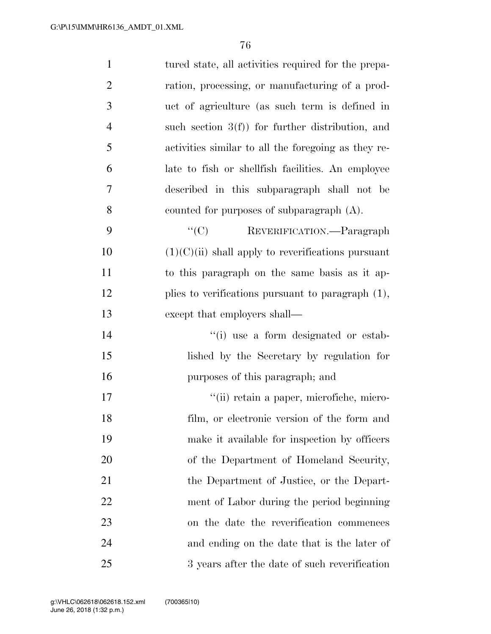| $\mathbf{1}$   | tured state, all activities required for the prepa-  |
|----------------|------------------------------------------------------|
| $\overline{2}$ | ration, processing, or manufacturing of a prod-      |
| 3              | uct of agriculture (as such term is defined in       |
| $\overline{4}$ | such section $3(f)$ for further distribution, and    |
| 5              | activities similar to all the foregoing as they re-  |
| 6              | late to fish or shell fish facilities. An employee   |
| 7              | described in this subparagraph shall not be          |
| 8              | counted for purposes of subparagraph $(A)$ .         |
| 9              | ``(C)<br>REVERIFICATION. - Paragraph                 |
| 10             | $(1)(C)(ii)$ shall apply to reverifications pursuant |
| 11             | to this paragraph on the same basis as it ap-        |
| 12             | plies to verifications pursuant to paragraph $(1)$ , |
| 13             | except that employers shall—                         |
| 14             | "(i) use a form designated or estab-                 |
| 15             | lished by the Secretary by regulation for            |
| 16             | purposes of this paragraph; and                      |
| 17             | "(ii) retain a paper, microfiche, micro-             |
| 18             | film, or electronic version of the form and          |
| 19             | make it available for inspection by officers         |
| 20             | of the Department of Homeland Security,              |
| 21             | the Department of Justice, or the Depart-            |
| 22             | ment of Labor during the period beginning            |
| 23             | on the date the reverification commences             |
| 24             | and ending on the date that is the later of          |
| 25             | 3 years after the date of such reverification        |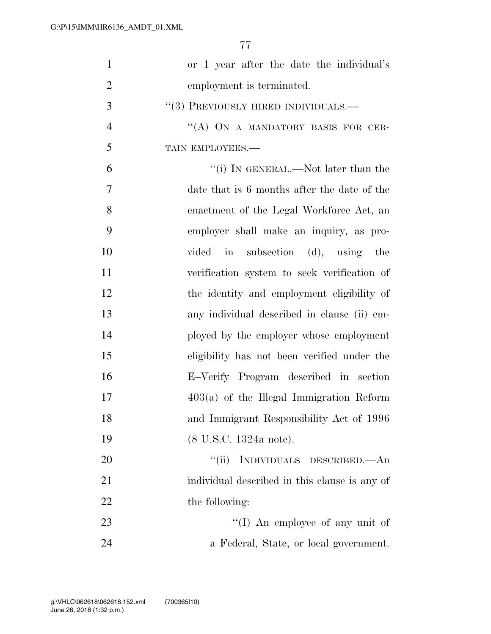| $\mathbf{1}$   | or 1 year after the date the individual's     |
|----------------|-----------------------------------------------|
| $\overline{2}$ | employment is terminated.                     |
| 3              | $``(3)$ PREVIOUSLY HIRED INDIVIDUALS.—        |
| $\overline{4}$ | "(A) ON A MANDATORY BASIS FOR CER-            |
| 5              | TAIN EMPLOYEES.-                              |
| 6              | "(i) IN GENERAL.—Not later than the           |
| 7              | date that is 6 months after the date of the   |
| 8              | enactment of the Legal Workforce Act, an      |
| 9              | employer shall make an inquiry, as pro-       |
| 10             | vided in subsection (d), using the            |
| 11             | verification system to seek verification of   |
| 12             | the identity and employment eligibility of    |
| 13             | any individual described in clause (ii) em-   |
| 14             | ployed by the employer whose employment       |
| 15             | eligibility has not been verified under the   |
| 16             | E-Verify Program described in section         |
| 17             | $403(a)$ of the Illegal Immigration Reform    |
| 18             | and Immigrant Responsibility Act of 1996      |
| 19             | (8 U.S.C. 1324a note).                        |
| 20             | INDIVIDUALS DESCRIBED.—An<br>``(ii)           |
| 21             | individual described in this clause is any of |
| 22             | the following:                                |
| 23             | "(I) An employee of any unit of               |
| 24             | a Federal, State, or local government.        |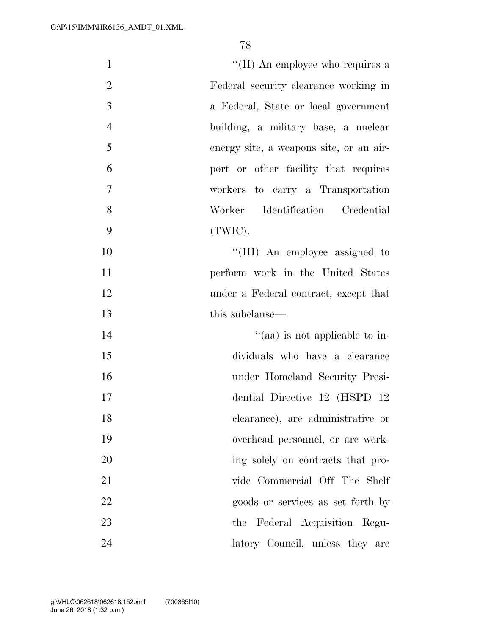| $\mathbf{1}$   | "(II) An employee who requires a        |
|----------------|-----------------------------------------|
| $\overline{2}$ | Federal security clearance working in   |
| 3              | a Federal, State or local government    |
| $\overline{4}$ | building, a military base, a nuclear    |
| 5              | energy site, a weapons site, or an air- |
| 6              | port or other facility that requires    |
| $\overline{7}$ | workers to carry a Transportation       |
| 8              | Identification Credential<br>Worker     |
| 9              | (TWIC).                                 |
| 10             | "(III) An employee assigned to          |
| 11             | perform work in the United States       |
| 12             | under a Federal contract, except that   |
| 13             | this subclause—                         |
| 14             | "(aa) is not applicable to in-          |
| 15             | dividuals who have a clearance          |
| 16             | under Homeland Security Presi-          |
| 17             | dential Directive 12 (HSPD 12)          |
| 18             | clearance), are administrative or       |
| 19             | overhead personnel, or are work-        |
| 20             | ing solely on contracts that pro-       |
| 21             | vide Commercial Off The Shelf           |
| 22             | goods or services as set forth by       |
| 23             | the Federal Acquisition Regu-           |
| 24             | latory Council, unless they are         |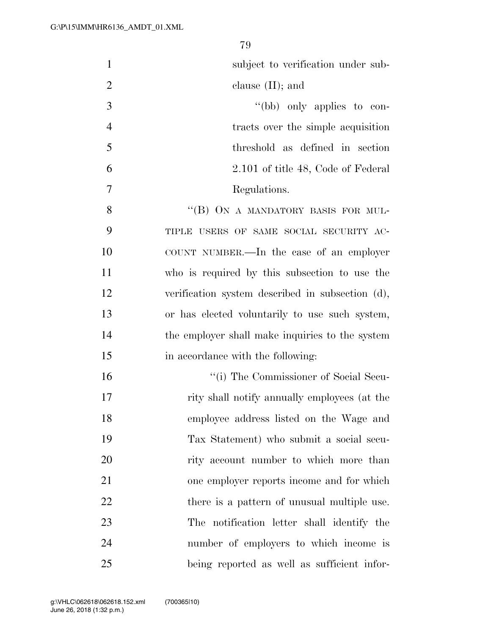| $\mathbf{1}$   | subject to verification under sub-               |
|----------------|--------------------------------------------------|
| $\overline{2}$ | clause $(II)$ ; and                              |
| 3              | "(bb) only applies to con-                       |
| $\overline{4}$ | tracts over the simple acquisition               |
| 5              | threshold as defined in section                  |
| 6              | 2.101 of title 48, Code of Federal               |
| 7              | Regulations.                                     |
| 8              | "(B) ON A MANDATORY BASIS FOR MUL-               |
| 9              | TIPLE USERS OF SAME SOCIAL SECURITY AC-          |
| 10             | COUNT NUMBER.—In the case of an employer         |
| 11             | who is required by this subsection to use the    |
| 12             | verification system described in subsection (d), |
| 13             | or has elected voluntarily to use such system,   |
| 14             | the employer shall make inquiries to the system  |
| 15             | in accordance with the following:                |
| 16             | "(i) The Commissioner of Social Secu-            |
| 17             | rity shall notify annually employees (at the     |
| 18             | employee address listed on the Wage and          |
| 19             | Tax Statement) who submit a social secu-         |
| 20             | rity account number to which more than           |
| 21             | one employer reports income and for which        |
| 22             | there is a pattern of unusual multiple use.      |
| 23             | The notification letter shall identify the       |
| 24             | number of employers to which income is           |
| 25             | being reported as well as sufficient infor-      |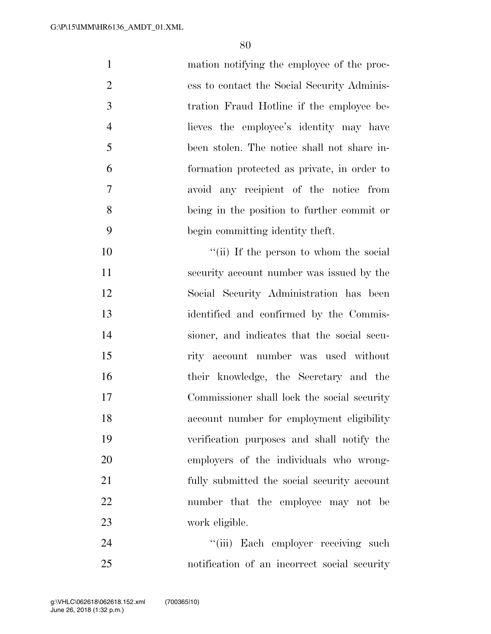| $\mathbf{1}$   | mation notifying the employee of the proc-  |
|----------------|---------------------------------------------|
| $\overline{2}$ | ess to contact the Social Security Adminis- |
| 3              | tration Fraud Hotline if the employee be-   |
| $\overline{4}$ | lieves the employee's identity may have     |
| 5              | been stolen. The notice shall not share in- |
| 6              | formation protected as private, in order to |
| 7              | avoid any recipient of the notice from      |
| 8              | being in the position to further commit or  |
| 9              | begin committing identity theft.            |
| 10             | "(ii) If the person to whom the social      |
| 11             | security account number was issued by the   |
| 12             | Social Security Administration has been     |
| 13             | identified and confirmed by the Commis-     |
| 14             | sioner, and indicates that the social secu- |
| 15             | rity account number was used without        |
| 16             | their knowledge, the Secretary and the      |
| 17             | Commissioner shall lock the social security |
| 18             | account number for employment eligibility   |
| 19             | verification purposes and shall notify the  |
| 20             | employers of the individuals who wrong-     |
| 21             | fully submitted the social security account |
| 22             | number that the employee may not be         |
| 23             | work eligible.                              |
|                |                                             |

 ''(iii) Each employer receiving such notification of an incorrect social security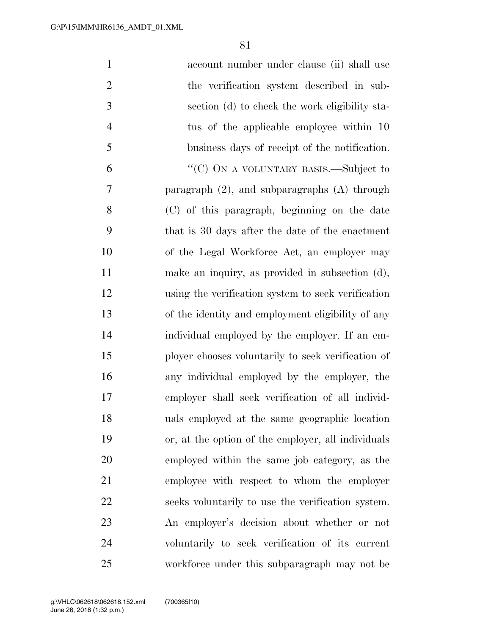| $\mathbf{1}$   | account number under clause (ii) shall use         |
|----------------|----------------------------------------------------|
| $\overline{2}$ | the verification system described in sub-          |
| 3              | section (d) to check the work eligibility sta-     |
| $\overline{4}$ | tus of the applicable employee within 10           |
| 5              | business days of receipt of the notification.      |
| 6              | "(C) ON A VOLUNTARY BASIS.—Subject to              |
| 7              | paragraph $(2)$ , and subparagraphs $(A)$ through  |
| 8              | (C) of this paragraph, beginning on the date       |
| 9              | that is 30 days after the date of the enactment    |
| 10             | of the Legal Workforce Act, an employer may        |
| 11             | make an inquiry, as provided in subsection (d),    |
| 12             | using the verification system to seek verification |
| 13             | of the identity and employment eligibility of any  |
| 14             | individual employed by the employer. If an em-     |
| 15             | ployer chooses voluntarily to seek verification of |
| 16             | any individual employed by the employer, the       |
| 17             | employer shall seek verification of all individ-   |
| 18             | uals employed at the same geographic location      |
| 19             | or, at the option of the employer, all individuals |
| 20             | employed within the same job category, as the      |
| 21             | employee with respect to whom the employer         |
| 22             | seeks voluntarily to use the verification system.  |
| 23             | An employer's decision about whether or not        |
| 24             | voluntarily to seek verification of its current    |
| 25             | workforce under this subparagraph may not be       |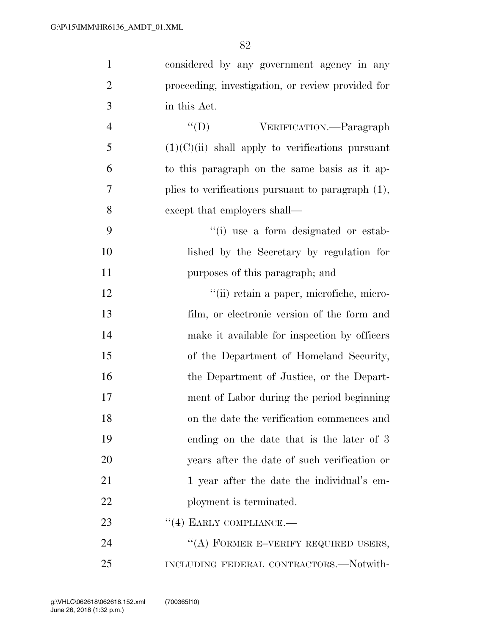| $\mathbf{1}$   | considered by any government agency in any           |
|----------------|------------------------------------------------------|
| $\overline{2}$ | proceeding, investigation, or review provided for    |
| 3              | in this Act.                                         |
| $\overline{4}$ | ``(D)<br>VERIFICATION.—Paragraph                     |
| 5              | $(1)(C)(ii)$ shall apply to verifications pursuant   |
| 6              | to this paragraph on the same basis as it ap-        |
| 7              | plies to verifications pursuant to paragraph $(1)$ , |
| 8              | except that employers shall—                         |
| 9              | "(i) use a form designated or estab-                 |
| 10             | lished by the Secretary by regulation for            |
| 11             | purposes of this paragraph; and                      |
| 12             | "(ii) retain a paper, microfiche, micro-             |
| 13             | film, or electronic version of the form and          |
| 14             | make it available for inspection by officers         |
| 15             | of the Department of Homeland Security,              |
| 16             | the Department of Justice, or the Depart-            |
| 17             | ment of Labor during the period beginning            |
| 18             | on the date the verification commences and           |
| 19             | ending on the date that is the later of 3            |
| 20             | years after the date of such verification or         |
| 21             | 1 year after the date the individual's em-           |
| 22             | ployment is terminated.                              |
| 23             | $``(4)$ EARLY COMPLIANCE.—                           |
| 24             | "(A) FORMER E-VERIFY REQUIRED USERS,                 |
| 25             | INCLUDING FEDERAL CONTRACTORS.—Notwith-              |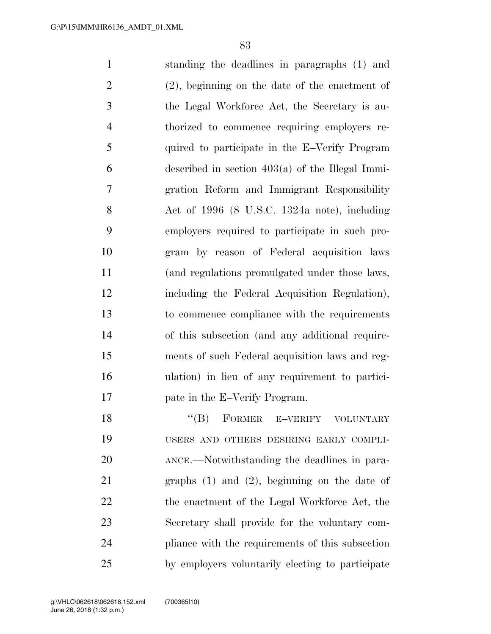standing the deadlines in paragraphs (1) and (2), beginning on the date of the enactment of the Legal Workforce Act, the Secretary is au- thorized to commence requiring employers re- quired to participate in the E–Verify Program  $6 \qquad \qquad$  described in section 403(a) of the Illegal Immi- gration Reform and Immigrant Responsibility Act of 1996 (8 U.S.C. 1324a note), including employers required to participate in such pro- gram by reason of Federal acquisition laws (and regulations promulgated under those laws, including the Federal Acquisition Regulation), to commence compliance with the requirements of this subsection (and any additional require- ments of such Federal acquisition laws and reg- ulation) in lieu of any requirement to partici- pate in the E–Verify Program. 18 "(B) FORMER E–VERIFY VOLUNTARY USERS AND OTHERS DESIRING EARLY COMPLI- ANCE.—Notwithstanding the deadlines in para-graphs (1) and (2), beginning on the date of

22 the enactment of the Legal Workforce Act, the Secretary shall provide for the voluntary com- pliance with the requirements of this subsection by employers voluntarily electing to participate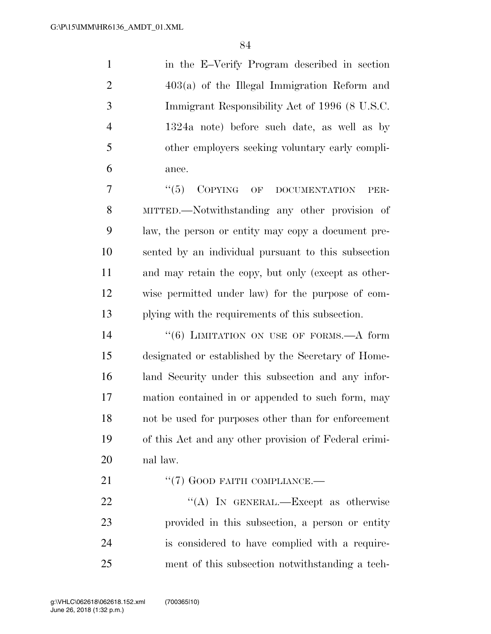in the E–Verify Program described in section 403(a) of the Illegal Immigration Reform and Immigrant Responsibility Act of 1996 (8 U.S.C. 1324a note) before such date, as well as by other employers seeking voluntary early compli-ance.

7 "(5) COPYING OF DOCUMENTATION PER- MITTED.—Notwithstanding any other provision of law, the person or entity may copy a document pre- sented by an individual pursuant to this subsection and may retain the copy, but only (except as other- wise permitted under law) for the purpose of com-plying with the requirements of this subsection.

14 "(6) LIMITATION ON USE OF FORMS.—A form designated or established by the Secretary of Home- land Security under this subsection and any infor- mation contained in or appended to such form, may not be used for purposes other than for enforcement of this Act and any other provision of Federal crimi-nal law.

21 "(7) GOOD FAITH COMPLIANCE.—

22 "(A) In GENERAL.—Except as otherwise provided in this subsection, a person or entity is considered to have complied with a require-ment of this subsection notwithstanding a tech-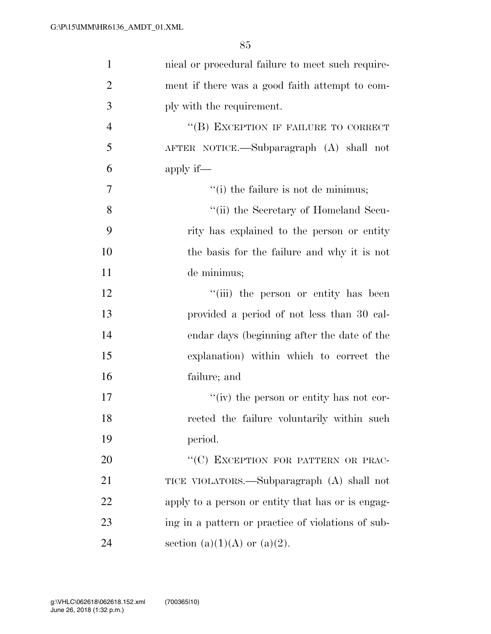| $\mathbf{1}$   | nical or procedural failure to meet such require-  |
|----------------|----------------------------------------------------|
| $\overline{2}$ | ment if there was a good faith attempt to com-     |
| 3              | ply with the requirement.                          |
| $\overline{4}$ | "(B) EXCEPTION IF FAILURE TO CORRECT               |
| 5              | AFTER NOTICE.—Subparagraph (A) shall not           |
| 6              | apply if—                                          |
| 7              | "(i) the failure is not de minimus;                |
| 8              | "(ii) the Secretary of Homeland Secu-              |
| 9              | rity has explained to the person or entity         |
| 10             | the basis for the failure and why it is not        |
| 11             | de minimus;                                        |
| 12             | "(iii) the person or entity has been               |
| 13             | provided a period of not less than 30 cal-         |
| 14             | endar days (beginning after the date of the        |
| 15             | explanation) within which to correct the           |
| 16             | failure; and                                       |
| 17             | "(iv) the person or entity has not cor-            |
| 18             | rected the failure voluntarily within such         |
| 19             | period.                                            |
| 20             | "(C) EXCEPTION FOR PATTERN OR PRAC-                |
| 21             | TICE VIOLATORS.—Subparagraph (A) shall not         |
| 22             | apply to a person or entity that has or is engag-  |
| 23             | ing in a pattern or practice of violations of sub- |
| 24             | section (a)(1)(A) or (a)(2).                       |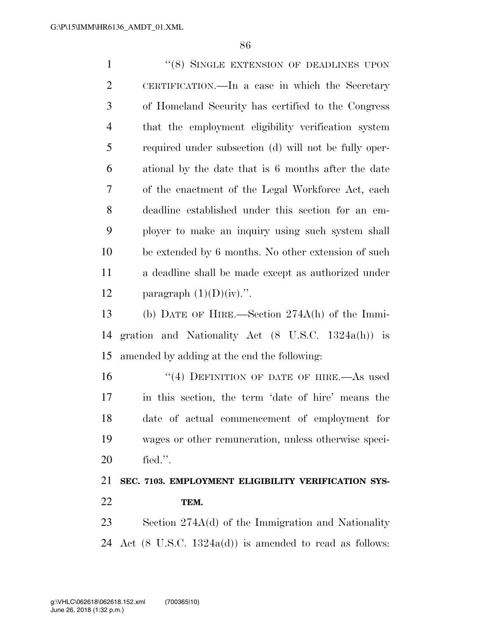1 "(8) SINGLE EXTENSION OF DEADLINES UPON CERTIFICATION.—In a case in which the Secretary of Homeland Security has certified to the Congress that the employment eligibility verification system required under subsection (d) will not be fully oper- ational by the date that is 6 months after the date of the enactment of the Legal Workforce Act, each deadline established under this section for an em- ployer to make an inquiry using such system shall be extended by 6 months. No other extension of such a deadline shall be made except as authorized under 12 paragraph  $(1)(D)(iv)$ .". (b) DATE OF HIRE.—Section 274A(h) of the Immi- gration and Nationality Act (8 U.S.C. 1324a(h)) is amended by adding at the end the following: 16 "(4) DEFINITION OF DATE OF HIRE.—As used in this section, the term 'date of hire' means the date of actual commencement of employment for

 wages or other remuneration, unless otherwise speci-fied.''.

# **SEC. 7103. EMPLOYMENT ELIGIBILITY VERIFICATION SYS-TEM.**

 Section 274A(d) of the Immigration and Nationality 24 Act  $(8 \text{ U.S.C. } 1324a(d))$  is amended to read as follows: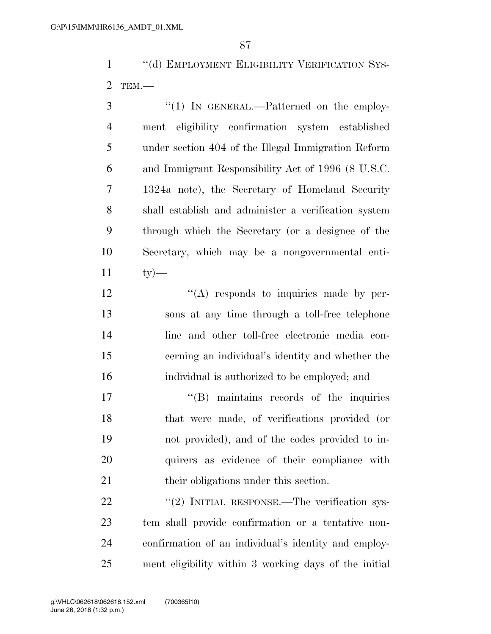1 "(d) EMPLOYMENT ELIGIBILITY VERIFICATION SYS-TEM.—

3 "(1) IN GENERAL.—Patterned on the employ- ment eligibility confirmation system established under section 404 of the Illegal Immigration Reform and Immigrant Responsibility Act of 1996 (8 U.S.C. 1324a note), the Secretary of Homeland Security shall establish and administer a verification system through which the Secretary (or a designee of the Secretary, which may be a nongovernmental enti-ty  $-$ 

 $\langle (A)$  responds to inquiries made by per- sons at any time through a toll-free telephone line and other toll-free electronic media con- cerning an individual's identity and whether the individual is authorized to be employed; and

 $\text{``(B)}$  maintains records of the inquiries that were made, of verifications provided (or not provided), and of the codes provided to in- quirers as evidence of their compliance with 21 their obligations under this section.

22 "(2) INITIAL RESPONSE.—The verification sys- tem shall provide confirmation or a tentative non- confirmation of an individual's identity and employ-ment eligibility within 3 working days of the initial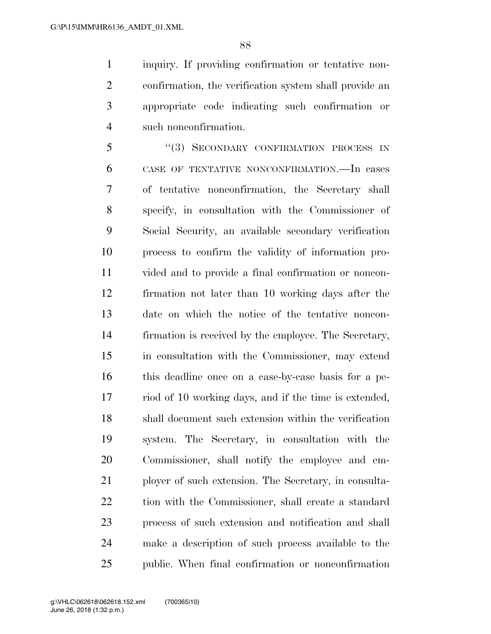inquiry. If providing confirmation or tentative non- confirmation, the verification system shall provide an appropriate code indicating such confirmation or such nonconfirmation.

5 "(3) SECONDARY CONFIRMATION PROCESS IN CASE OF TENTATIVE NONCONFIRMATION.—In cases of tentative nonconfirmation, the Secretary shall specify, in consultation with the Commissioner of Social Security, an available secondary verification process to confirm the validity of information pro- vided and to provide a final confirmation or noncon- firmation not later than 10 working days after the date on which the notice of the tentative noncon- firmation is received by the employee. The Secretary, in consultation with the Commissioner, may extend this deadline once on a case-by-case basis for a pe- riod of 10 working days, and if the time is extended, shall document such extension within the verification system. The Secretary, in consultation with the Commissioner, shall notify the employee and em- ployer of such extension. The Secretary, in consulta- tion with the Commissioner, shall create a standard process of such extension and notification and shall make a description of such process available to the public. When final confirmation or nonconfirmation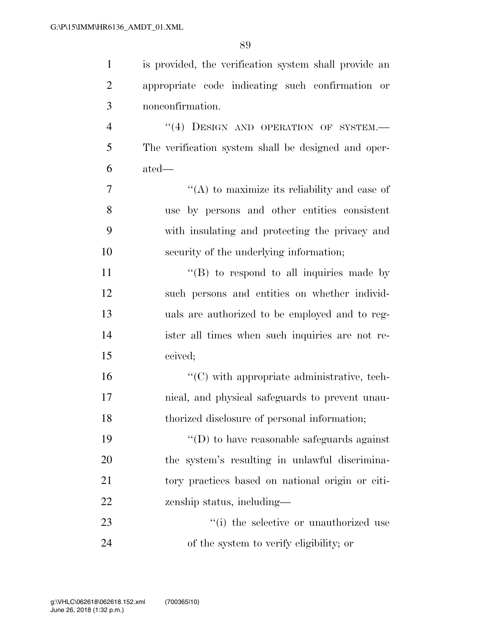| $\mathbf{1}$   | is provided, the verification system shall provide an |
|----------------|-------------------------------------------------------|
| $\overline{2}$ | appropriate code indicating such confirmation or      |
| 3              | nonconfirmation.                                      |
| $\overline{4}$ | "(4) DESIGN AND OPERATION OF SYSTEM.-                 |
| 5              | The verification system shall be designed and oper-   |
| 6              | ated—                                                 |
| 7              | "(A) to maximize its reliability and ease of          |
| 8              | use by persons and other entities consistent          |
| 9              | with insulating and protecting the privacy and        |
| 10             | security of the underlying information;               |
| 11             | "(B) to respond to all inquiries made by              |
| 12             | such persons and entities on whether individ-         |
| 13             | uals are authorized to be employed and to reg-        |
| 14             | ister all times when such inquiries are not re-       |
| 15             | ceived;                                               |
| 16             | "(C) with appropriate administrative, tech-           |
| 17             | nical, and physical safeguards to prevent unau-       |
| 18             | thorized disclosure of personal information;          |
| 19             | $\lq\lq$ to have reasonable safeguards against        |
| 20             | the system's resulting in unlawful discrimina-        |
| 21             | tory practices based on national origin or citi-      |
| 22             | zenship status, including—                            |
| 23             | "(i) the selective or unauthorized use                |
| 24             | of the system to verify eligibility; or               |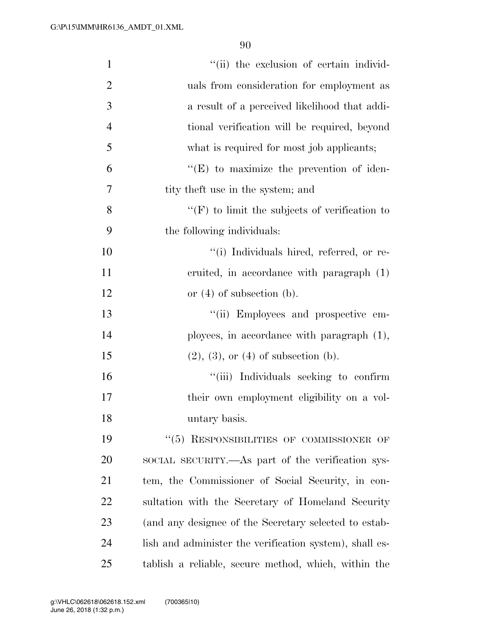| $\mathbf{1}$   | "(ii) the exclusion of certain individ-                 |
|----------------|---------------------------------------------------------|
| $\overline{2}$ | uals from consideration for employment as               |
| 3              | a result of a perceived likelihood that addi-           |
| $\overline{4}$ | tional verification will be required, beyond            |
| 5              | what is required for most job applicants;               |
| 6              | $\lq\lq$ (E) to maximize the prevention of iden-        |
| 7              | tity the t use in the system; and                       |
| 8              | $\lq\lq(F)$ to limit the subjects of verification to    |
| 9              | the following individuals:                              |
| 10             | "(i) Individuals hired, referred, or re-                |
| 11             | cruited, in accordance with paragraph (1)               |
| 12             | or $(4)$ of subsection $(b)$ .                          |
| 13             | "(ii) Employees and prospective em-                     |
| 14             | ployees, in accordance with paragraph $(1)$ ,           |
| 15             | $(2), (3),$ or $(4)$ of subsection $(b)$ .              |
| 16             | "(iii) Individuals seeking to confirm                   |
| 17             | their own employment eligibility on a vol-              |
| 18             | untary basis.                                           |
| 19             | "(5) RESPONSIBILITIES OF COMMISSIONER OF                |
| 20             | SOCIAL SECURITY.—As part of the verification sys-       |
| 21             | tem, the Commissioner of Social Security, in con-       |
| 22             | sultation with the Secretary of Homeland Security       |
| 23             | (and any designee of the Secretary selected to estab-   |
| 24             | lish and administer the verification system), shall es- |
| 25             | tablish a reliable, secure method, which, within the    |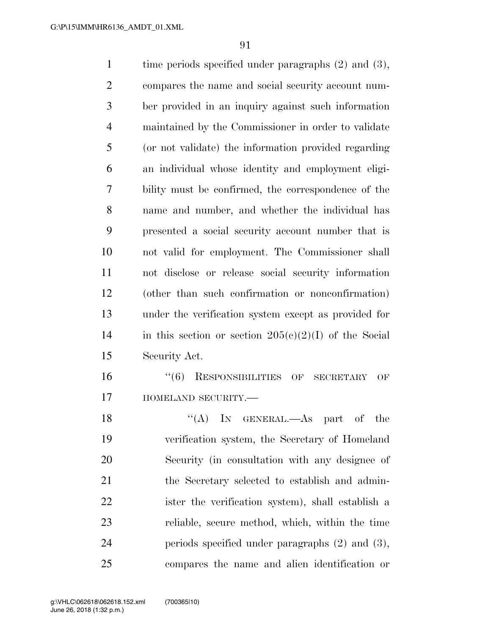1 time periods specified under paragraphs (2) and (3), compares the name and social security account num- ber provided in an inquiry against such information maintained by the Commissioner in order to validate (or not validate) the information provided regarding an individual whose identity and employment eligi- bility must be confirmed, the correspondence of the name and number, and whether the individual has presented a social security account number that is not valid for employment. The Commissioner shall not disclose or release social security information (other than such confirmation or nonconfirmation) under the verification system except as provided for 14 in this section or section  $205(c)(2)(I)$  of the Social Security Act. ''(6) RESPONSIBILITIES OF SECRETARY OF **HOMELAND SECURITY.**— 18 "(A) In GENERAL.—As part of the

 verification system, the Secretary of Homeland Security (in consultation with any designee of the Secretary selected to establish and admin- ister the verification system), shall establish a reliable, secure method, which, within the time periods specified under paragraphs (2) and (3), compares the name and alien identification or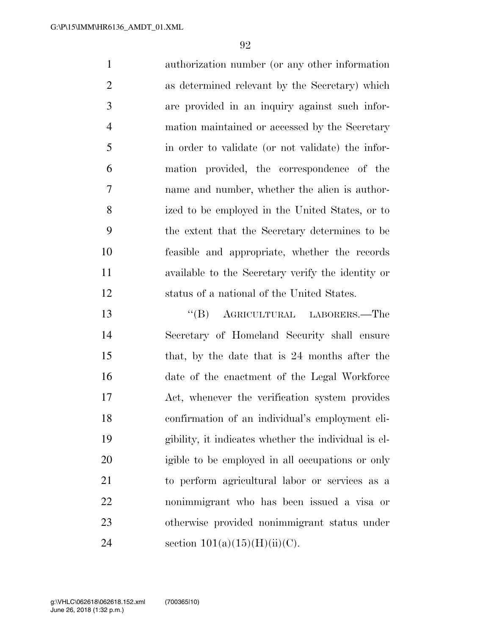authorization number (or any other information as determined relevant by the Secretary) which are provided in an inquiry against such infor- mation maintained or accessed by the Secretary in order to validate (or not validate) the infor- mation provided, the correspondence of the name and number, whether the alien is author- ized to be employed in the United States, or to the extent that the Secretary determines to be feasible and appropriate, whether the records available to the Secretary verify the identity or status of a national of the United States. ''(B) AGRICULTURAL LABORERS.—The

 Secretary of Homeland Security shall ensure that, by the date that is 24 months after the date of the enactment of the Legal Workforce Act, whenever the verification system provides confirmation of an individual's employment eli- gibility, it indicates whether the individual is el- igible to be employed in all occupations or only to perform agricultural labor or services as a nonimmigrant who has been issued a visa or otherwise provided nonimmigrant status under 24 section  $101(a)(15)(H)(ii)(C)$ .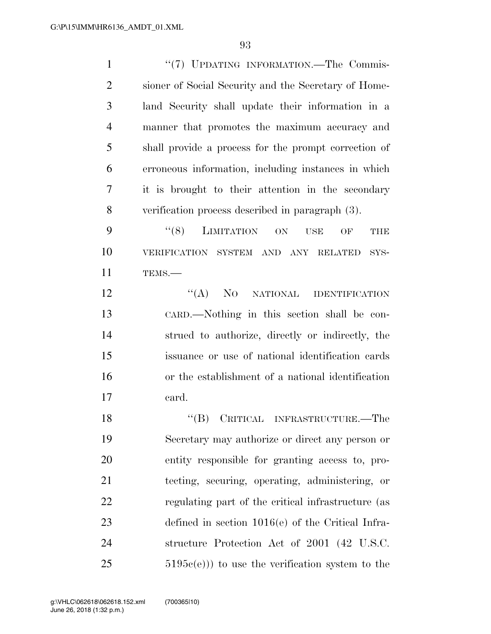1 "(7) UPDATING INFORMATION.—The Commis- sioner of Social Security and the Secretary of Home- land Security shall update their information in a manner that promotes the maximum accuracy and shall provide a process for the prompt correction of erroneous information, including instances in which it is brought to their attention in the secondary verification process described in paragraph (3).

9 "(8) LIMITATION ON USE OF THE VERIFICATION SYSTEM AND ANY RELATED SYS-TEMS.—

12 "(A) NO NATIONAL IDENTIFICATION CARD.—Nothing in this section shall be con- strued to authorize, directly or indirectly, the issuance or use of national identification cards or the establishment of a national identification card.

18 "(B) CRITICAL INFRASTRUCTURE.—The Secretary may authorize or direct any person or entity responsible for granting access to, pro- tecting, securing, operating, administering, or regulating part of the critical infrastructure (as defined in section 1016(e) of the Critical Infra- structure Protection Act of 2001 (42 U.S.C.  $5195c(e))$  to use the verification system to the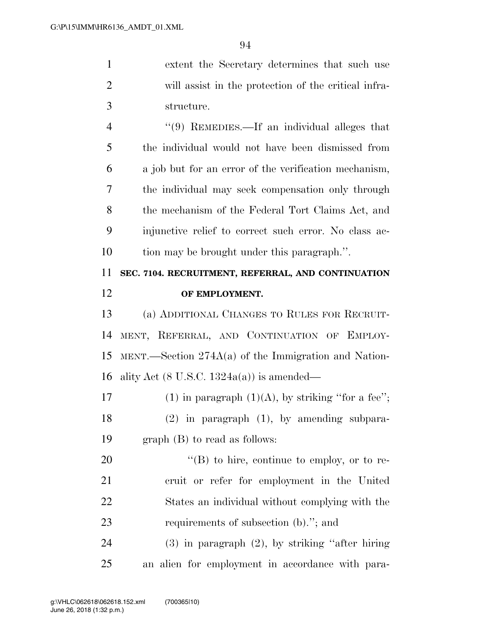| $\mathbf{1}$   | extent the Secretary determines that such use                |
|----------------|--------------------------------------------------------------|
| $\overline{2}$ | will assist in the protection of the critical infra-         |
| 3              | structure.                                                   |
| $\overline{4}$ | $\cdot\cdot\cdot(9)$ REMEDIES.—If an individual alleges that |
| 5              | the individual would not have been dismissed from            |
| 6              | a job but for an error of the verification mechanism,        |
| 7              | the individual may seek compensation only through            |
| 8              | the mechanism of the Federal Tort Claims Act, and            |
| 9              | injunctive relief to correct such error. No class ac-        |
| 10             | tion may be brought under this paragraph.".                  |
| 11             | SEC. 7104. RECRUITMENT, REFERRAL, AND CONTINUATION           |
| 12             | OF EMPLOYMENT.                                               |
| 13             | (a) ADDITIONAL CHANGES TO RULES FOR RECRUIT-                 |
| 14             | MENT, REFERRAL, AND CONTINUATION OF EMPLOY-                  |
| 15             | MENT.—Section $274A(a)$ of the Immigration and Nation-       |
| 16             | ality Act $(8 \text{ U.S.C. } 1324a(a))$ is amended—         |
| 17             | (1) in paragraph $(1)(A)$ , by striking "for a fee";         |
| 18             | $(2)$ in paragraph $(1)$ , by amending subpara-              |
| 19             | $graph$ (B) to read as follows:                              |
| 20             | " $(B)$ to hire, continue to employ, or to re-               |
| 21             | cruit or refer for employment in the United                  |
| 22             | States an individual without complying with the              |
| 23             | requirements of subsection (b)."; and                        |
| 24             | $(3)$ in paragraph $(2)$ , by striking "after hiring"        |
|                |                                                              |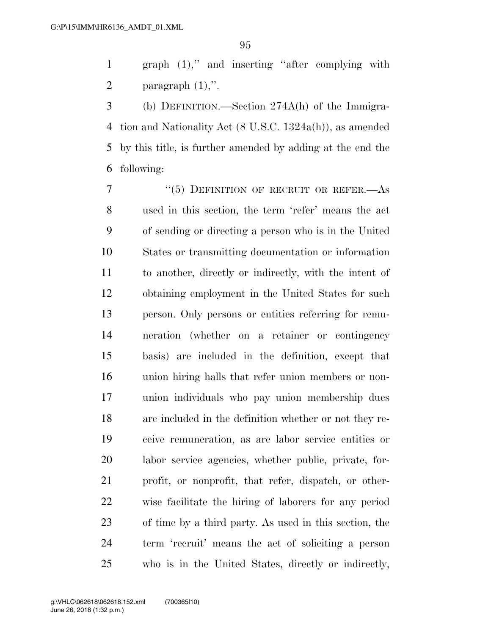graph (1),'' and inserting ''after complying with 2 paragraph  $(1)$ ,".

 (b) DEFINITION.—Section 274A(h) of the Immigra- tion and Nationality Act (8 U.S.C. 1324a(h)), as amended by this title, is further amended by adding at the end the following:

7 "(5) DEFINITION OF RECRUIT OR REFER.—As used in this section, the term 'refer' means the act of sending or directing a person who is in the United States or transmitting documentation or information to another, directly or indirectly, with the intent of obtaining employment in the United States for such person. Only persons or entities referring for remu- neration (whether on a retainer or contingency basis) are included in the definition, except that union hiring halls that refer union members or non- union individuals who pay union membership dues are included in the definition whether or not they re- ceive remuneration, as are labor service entities or labor service agencies, whether public, private, for- profit, or nonprofit, that refer, dispatch, or other- wise facilitate the hiring of laborers for any period of time by a third party. As used in this section, the term 'recruit' means the act of soliciting a person who is in the United States, directly or indirectly,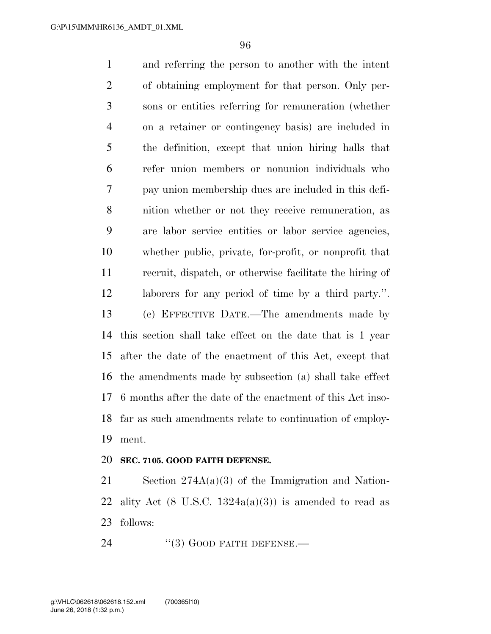and referring the person to another with the intent of obtaining employment for that person. Only per- sons or entities referring for remuneration (whether on a retainer or contingency basis) are included in the definition, except that union hiring halls that refer union members or nonunion individuals who pay union membership dues are included in this defi- nition whether or not they receive remuneration, as are labor service entities or labor service agencies, whether public, private, for-profit, or nonprofit that recruit, dispatch, or otherwise facilitate the hiring of laborers for any period of time by a third party.''. (c) EFFECTIVE DATE.—The amendments made by this section shall take effect on the date that is 1 year after the date of the enactment of this Act, except that the amendments made by subsection (a) shall take effect 6 months after the date of the enactment of this Act inso- far as such amendments relate to continuation of employ-ment.

### **SEC. 7105. GOOD FAITH DEFENSE.**

 Section 274A(a)(3) of the Immigration and Nation-22 ality Act  $(8 \text{ U.S.C. } 1324a(a)(3))$  is amended to read as follows:

24 "(3) GOOD FAITH DEFENSE.—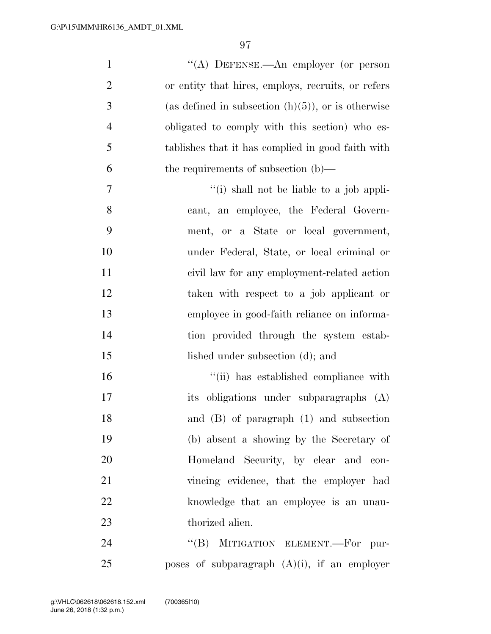| $\mathbf{1}$   | "(A) DEFENSE.—An employer (or person                  |
|----------------|-------------------------------------------------------|
| $\overline{2}$ | or entity that hires, employs, recruits, or refers    |
| 3              | (as defined in subsection $(h)(5)$ ), or is otherwise |
| $\overline{4}$ | obligated to comply with this section) who es-        |
| 5              | tablishes that it has complied in good faith with     |
| 6              | the requirements of subsection $(b)$ —                |
| $\overline{7}$ | "(i) shall not be liable to a job appli-              |
| 8              | cant, an employee, the Federal Govern-                |
| 9              | ment, or a State or local government,                 |
| 10             | under Federal, State, or local criminal or            |
| 11             | civil law for any employment-related action           |
| 12             | taken with respect to a job applicant or              |
| 13             | employee in good-faith reliance on informa-           |
| 14             | tion provided through the system estab-               |
| 15             | lished under subsection (d); and                      |
| 16             | "(ii) has established compliance with                 |
| 17             | obligations under subparagraphs (A)<br>its            |
| 18             | and $(B)$ of paragraph $(1)$ and subsection           |
| 19             | (b) absent a showing by the Secretary of              |
| 20             | Homeland Security, by clear and con-                  |
| 21             | vincing evidence, that the employer had               |
| 22             | knowledge that an employee is an unau-                |
| 23             | thorized alien.                                       |
| 24             | $\mathrm{``(B)}$<br>MITIGATION ELEMENT.-For pur-      |
| 25             | poses of subparagraph $(A)(i)$ , if an employer       |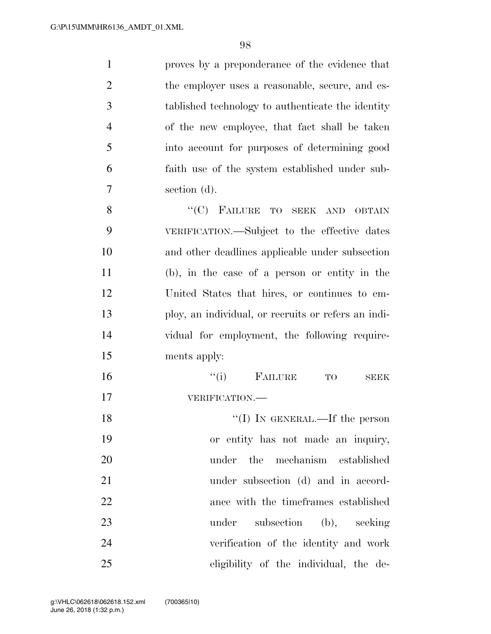proves by a preponderance of the evidence that 2 the employer uses a reasonable, secure, and es- tablished technology to authenticate the identity of the new employee, that fact shall be taken into account for purposes of determining good faith use of the system established under sub- section (d). 8 "(C) FAILURE TO SEEK AND OBTAIN

 VERIFICATION.—Subject to the effective dates and other deadlines applicable under subsection (b), in the case of a person or entity in the United States that hires, or continues to em- ploy, an individual, or recruits or refers an indi- vidual for employment, the following require-ments apply:

 ''(i) FAILURE TO SEEK VERIFICATION.— 18 ''(I) IN GENERAL.—If the person

 or entity has not made an inquiry, under the mechanism established 21 under subsection (d) and in accord- ance with the timeframes established 23 under subsection (b), seeking verification of the identity and work eligibility of the individual, the de-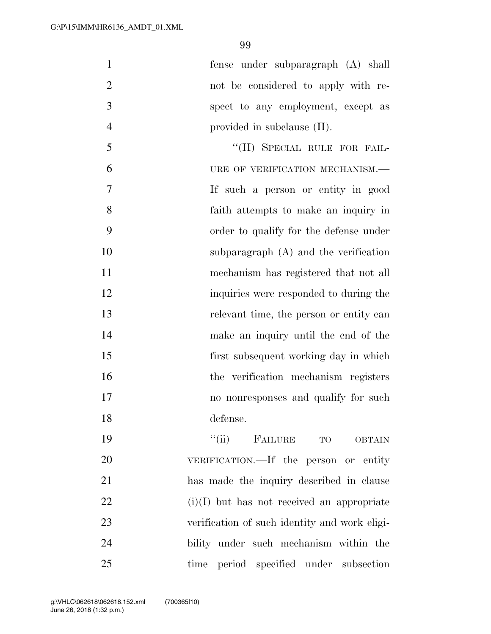fense under subparagraph (A) shall not be considered to apply with re- spect to any employment, except as 4 provided in subclause (II).

5 "(II) SPECIAL RULE FOR FAIL-6 URE OF VERIFICATION MECHANISM.— If such a person or entity in good faith attempts to make an inquiry in order to qualify for the defense under subparagraph (A) and the verification mechanism has registered that not all inquiries were responded to during the relevant time, the person or entity can make an inquiry until the end of the first subsequent working day in which the verification mechanism registers no nonresponses and qualify for such defense.

 $"$ (ii) FAILURE TO OBTAIN VERIFICATION.—If the person or entity has made the inquiry described in clause (i)(I) but has not received an appropriate verification of such identity and work eligi- bility under such mechanism within the time period specified under subsection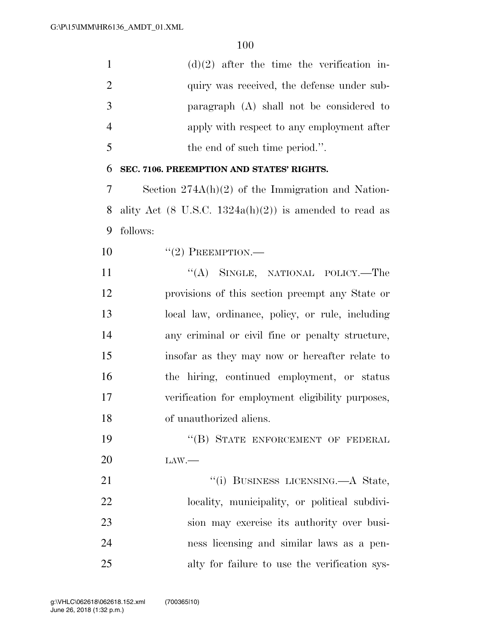| $\mathbf{1}$   | $(d)(2)$ after the time the verification in-                      |
|----------------|-------------------------------------------------------------------|
| $\overline{2}$ | quiry was received, the defense under sub-                        |
| 3              | paragraph (A) shall not be considered to                          |
| $\overline{4}$ | apply with respect to any employment after                        |
| 5              | the end of such time period.".                                    |
| 6              | SEC. 7106. PREEMPTION AND STATES' RIGHTS.                         |
| 7              | Section $274A(h)(2)$ of the Immigration and Nation-               |
| 8              | ality Act $(8 \text{ U.S.C. } 1324a(h)(2))$ is amended to read as |
| 9              | follows:                                                          |
| 10             | $``(2)$ PREEMPTION.—                                              |
| 11             | "(A) SINGLE, NATIONAL POLICY.—The                                 |
| 12             | provisions of this section preempt any State or                   |
| 13             | local law, ordinance, policy, or rule, including                  |
| 14             | any criminal or civil fine or penalty structure,                  |
| 15             | insofar as they may now or hereafter relate to                    |
| 16             | the hiring, continued employment, or status                       |
| 17             | verification for employment eligibility purposes,                 |
| 18             | of unauthorized aliens.                                           |
| 19             | "(B) STATE ENFORCEMENT OF FEDERAL                                 |
| 20             | $\text{LAW}$ .                                                    |
| 21             | "(i) BUSINESS LICENSING.—A State,                                 |
| 22             | locality, municipality, or political subdivi-                     |
| 23             | sion may exercise its authority over busi-                        |
| 24             | ness licensing and similar laws as a pen-                         |
| 25             | alty for failure to use the verification sys-                     |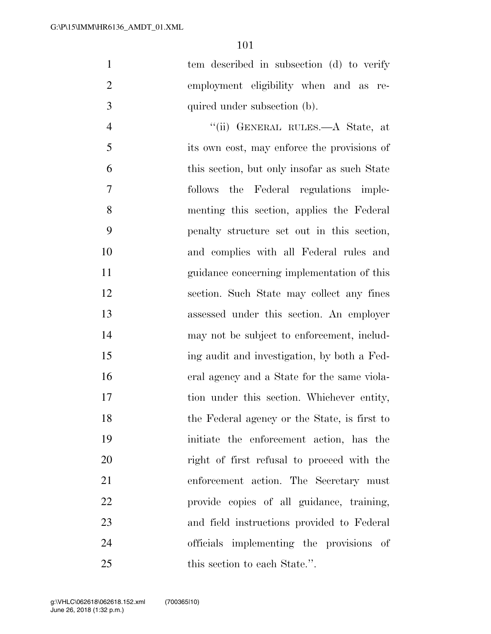1 tem described in subsection (d) to verify employment eligibility when and as re-quired under subsection (b).

 ''(ii) GENERAL RULES.—A State, at its own cost, may enforce the provisions of this section, but only insofar as such State follows the Federal regulations imple- menting this section, applies the Federal penalty structure set out in this section, and complies with all Federal rules and guidance concerning implementation of this section. Such State may collect any fines assessed under this section. An employer may not be subject to enforcement, includ- ing audit and investigation, by both a Fed- eral agency and a State for the same viola-17 tion under this section. Whichever entity, the Federal agency or the State, is first to initiate the enforcement action, has the right of first refusal to proceed with the enforcement action. The Secretary must provide copies of all guidance, training, and field instructions provided to Federal officials implementing the provisions of 25 this section to each State.".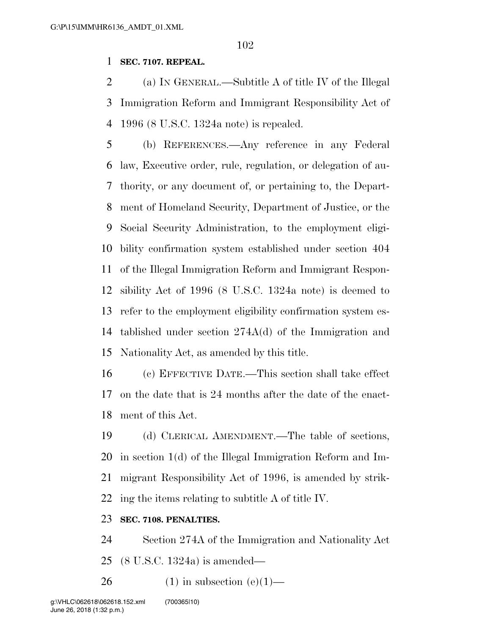### **SEC. 7107. REPEAL.**

 (a) IN GENERAL.—Subtitle A of title IV of the Illegal Immigration Reform and Immigrant Responsibility Act of 1996 (8 U.S.C. 1324a note) is repealed.

 (b) REFERENCES.—Any reference in any Federal law, Executive order, rule, regulation, or delegation of au- thority, or any document of, or pertaining to, the Depart- ment of Homeland Security, Department of Justice, or the Social Security Administration, to the employment eligi- bility confirmation system established under section 404 of the Illegal Immigration Reform and Immigrant Respon- sibility Act of 1996 (8 U.S.C. 1324a note) is deemed to refer to the employment eligibility confirmation system es- tablished under section 274A(d) of the Immigration and Nationality Act, as amended by this title.

 (c) EFFECTIVE DATE.—This section shall take effect on the date that is 24 months after the date of the enact-ment of this Act.

 (d) CLERICAL AMENDMENT.—The table of sections, in section 1(d) of the Illegal Immigration Reform and Im- migrant Responsibility Act of 1996, is amended by strik-ing the items relating to subtitle A of title IV.

### **SEC. 7108. PENALTIES.**

Section 274A of the Immigration and Nationality Act

(8 U.S.C. 1324a) is amended—

26 (1) in subsection  $(e)(1)$ —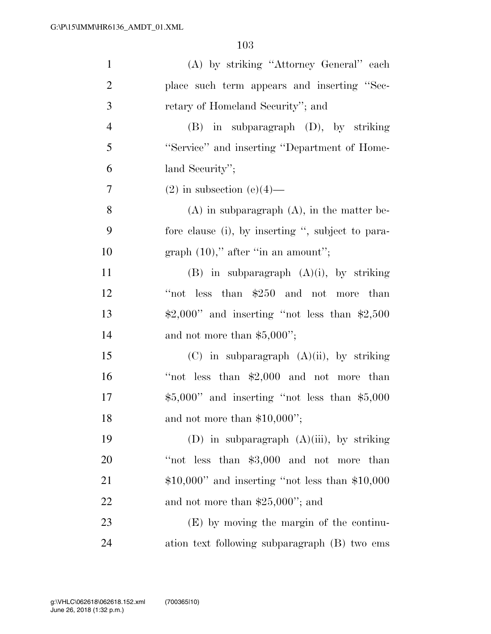| $\mathbf{1}$   | (A) by striking "Attorney General" each                       |
|----------------|---------------------------------------------------------------|
| $\overline{2}$ | place such term appears and inserting "Sec-                   |
| 3              | retary of Homeland Security"; and                             |
| $\overline{4}$ | $(B)$ in subparagraph $(D)$ , by striking                     |
| 5              | "Service" and inserting "Department of Home-                  |
| 6              | land Security";                                               |
| $\tau$         | $(2)$ in subsection $(e)(4)$ —                                |
| 8              | $(A)$ in subparagraph $(A)$ , in the matter be-               |
| 9              | fore clause (i), by inserting ", subject to para-             |
| 10             | graph $(10)$ ," after "in an amount";                         |
| 11             | $(B)$ in subparagraph $(A)(i)$ , by striking                  |
| 12             | "not less than \$250 and not more than                        |
| 13             | $\text{$}2,000"$ and inserting "not less than $\text{$}2,500$ |
| 14             | and not more than $$5,000$ ";                                 |
| 15             | $(C)$ in subparagraph $(A)(ii)$ , by striking                 |
| 16             | "not less than $$2,000$ and not more than                     |
| 17             | $$5,000"$ and inserting "not less than $$5,000$ "             |
| 18             | and not more than $$10,000$ ";                                |
| 19             | (D) in subparagraph $(A)(iii)$ , by striking                  |
| 20             | "not less than \$3,000 and not more than                      |
| 21             | $$10,000"$ and inserting "not less than $$10,000$             |
| 22             | and not more than $$25,000$ "; and                            |
| 23             | $(E)$ by moving the margin of the continu-                    |
| 24             | ation text following subparagraph (B) two ems                 |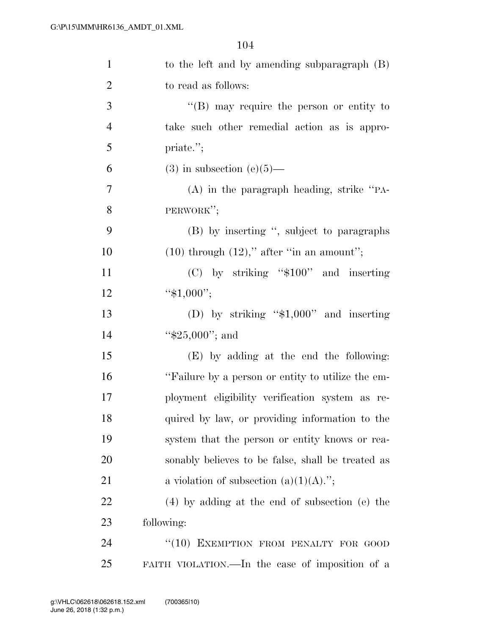| $\mathbf{1}$   | to the left and by amending subparagraph $(B)$    |
|----------------|---------------------------------------------------|
| $\overline{2}$ | to read as follows:                               |
| 3              | $\lq\lq (B)$ may require the person or entity to  |
| $\overline{4}$ | take such other remedial action as is appro-      |
| 5              | priate.";                                         |
| 6              | $(3)$ in subsection $(e)(5)$ —                    |
| $\overline{7}$ | $(A)$ in the paragraph heading, strike "PA-       |
| 8              | PERWORK";                                         |
| 9              | (B) by inserting ", subject to paragraphs         |
| 10             | $(10)$ through $(12)$ ," after "in an amount";    |
| 11             | $(C)$ by striking "\$100" and inserting           |
| 12             | " $$1,000$ ";                                     |
| 13             | (D) by striking " $$1,000"$ and inserting         |
| 14             | " $$25,000"$ ; and                                |
| 15             | (E) by adding at the end the following:           |
| 16             | "Failure by a person or entity to utilize the em- |
| 17             | ployment eligibility verification system as re-   |
| 18             | quired by law, or providing information to the    |
| 19             | system that the person or entity knows or rea-    |
| 20             | sonably believes to be false, shall be treated as |
| 21             | a violation of subsection $(a)(1)(A)$ .";         |
| 22             | $(4)$ by adding at the end of subsection (e) the  |
| 23             | following:                                        |
| 24             | "(10) EXEMPTION FROM PENALTY FOR GOOD             |
| 25             | FAITH VIOLATION.—In the case of imposition of a   |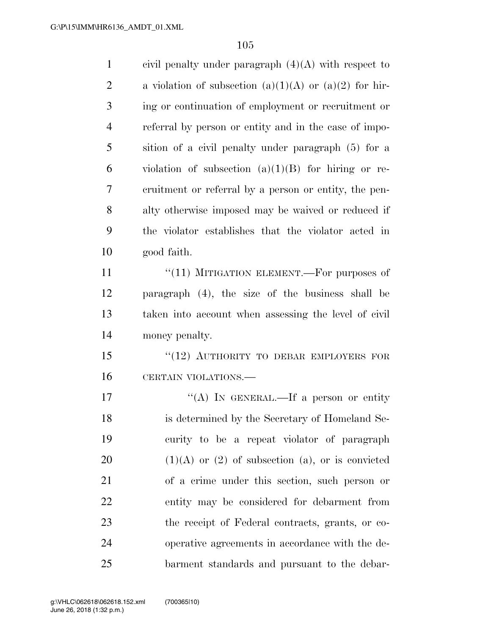| $\mathbf{1}$   | civil penalty under paragraph $(4)(A)$ with respect to  |
|----------------|---------------------------------------------------------|
| $\overline{2}$ | a violation of subsection (a)(1)(A) or (a)(2) for hir-  |
| 3              | ing or continuation of employment or recruitment or     |
| $\overline{4}$ | referral by person or entity and in the case of impo-   |
| 5              | sition of a civil penalty under paragraph (5) for a     |
| 6              | violation of subsection $(a)(1)(B)$ for hiring or re-   |
| 7              | cruitment or referral by a person or entity, the pen-   |
| 8              | alty otherwise imposed may be waived or reduced if      |
| 9              | the violator establishes that the violator acted in     |
| 10             | good faith.                                             |
| 11             | " $(11)$ MITIGATION ELEMENT.—For purposes of            |
| 12             | paragraph (4), the size of the business shall be        |
| 13             | taken into account when assessing the level of civil    |
| 14             | money penalty.                                          |
| 15             | "(12) AUTHORITY TO DEBAR EMPLOYERS FOR                  |
| 16             | CERTAIN VIOLATIONS.                                     |
| 17             | "(A) IN GENERAL.—If a person or entity                  |
| 18             | is determined by the Secretary of Homeland Se-          |
| 19             | curity to be a repeat violator of paragraph             |
| 20             | $(1)(A)$ or $(2)$ of subsection $(a)$ , or is convicted |
| 21             | of a crime under this section, such person or           |
| 22             | entity may be considered for debarment from             |
| 23             | the receipt of Federal contracts, grants, or co-        |
| 24             | operative agreements in accordance with the de-         |
| 25             | barment standards and pursuant to the debar-            |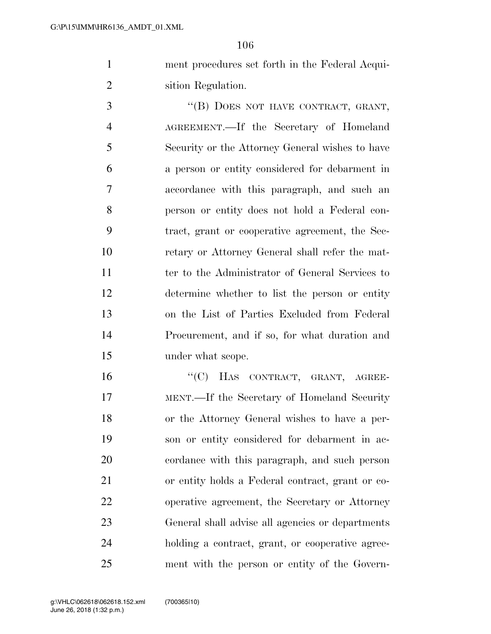ment procedures set forth in the Federal Acqui-sition Regulation.

3 "(B) DOES NOT HAVE CONTRACT, GRANT, AGREEMENT.—If the Secretary of Homeland Security or the Attorney General wishes to have a person or entity considered for debarment in accordance with this paragraph, and such an person or entity does not hold a Federal con- tract, grant or cooperative agreement, the Sec- retary or Attorney General shall refer the mat- ter to the Administrator of General Services to determine whether to list the person or entity on the List of Parties Excluded from Federal Procurement, and if so, for what duration and under what scope.

16 "'(C) HAS CONTRACT, GRANT, AGREE- MENT.—If the Secretary of Homeland Security or the Attorney General wishes to have a per- son or entity considered for debarment in ac- cordance with this paragraph, and such person or entity holds a Federal contract, grant or co- operative agreement, the Secretary or Attorney General shall advise all agencies or departments holding a contract, grant, or cooperative agree-ment with the person or entity of the Govern-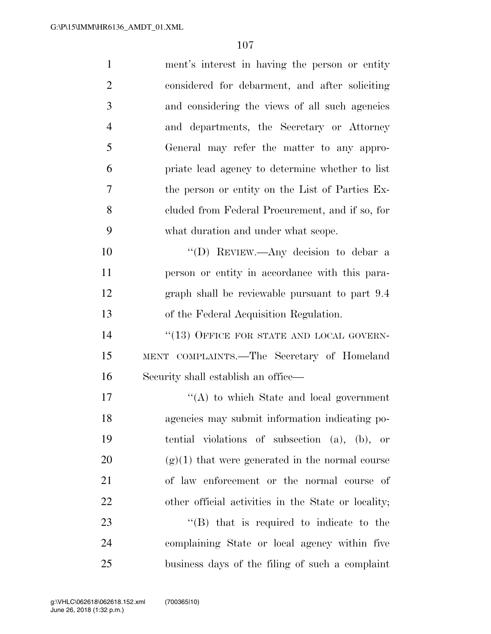| $\mathbf{1}$   | ment's interest in having the person or entity      |
|----------------|-----------------------------------------------------|
| $\overline{2}$ | considered for debarment, and after soliciting      |
| 3              | and considering the views of all such agencies      |
| $\overline{4}$ | and departments, the Secretary or Attorney          |
| 5              | General may refer the matter to any appro-          |
| 6              | priate lead agency to determine whether to list     |
| 7              | the person or entity on the List of Parties Ex-     |
| 8              | cluded from Federal Procurement, and if so, for     |
| 9              | what duration and under what scope.                 |
| 10             | "(D) REVIEW.—Any decision to debar a                |
| 11             | person or entity in accordance with this para-      |
| 12             | graph shall be reviewable pursuant to part 9.4      |
| 13             | of the Federal Acquisition Regulation.              |
| 14             | "(13) OFFICE FOR STATE AND LOCAL GOVERN-            |
| 15             | MENT COMPLAINTS.—The Secretary of Homeland          |
| 16             | Security shall establish an office—                 |
| 17             | $\lq\lq$ to which State and local government        |
| 18             | agencies may submit information indicating po-      |
| 19             | tential violations of subsection $(a)$ , $(b)$ , or |
| 20             | $(g)(1)$ that were generated in the normal course   |
| 21             | of law enforcement or the normal course of          |
| 22             | other official activities in the State or locality; |
| 23             | $\lq\lq$ (B) that is required to indicate to the    |
| 24             | complaining State or local agency within five       |
| 25             | business days of the filing of such a complaint     |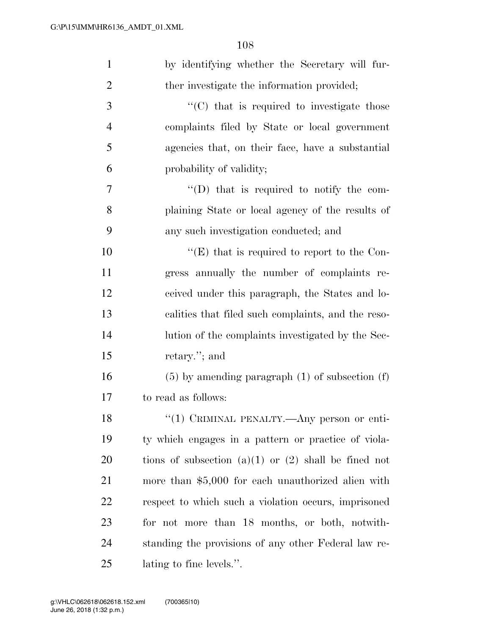| $\mathbf{1}$   | by identifying whether the Secretary will fur-           |
|----------------|----------------------------------------------------------|
| $\overline{2}$ | ther investigate the information provided;               |
| 3              | $\cdot$ (C) that is required to investigate those        |
| $\overline{4}$ | complaints filed by State or local government            |
| 5              | agencies that, on their face, have a substantial         |
| 6              | probability of validity;                                 |
| 7              | $\lq\lq$ (D) that is required to notify the com-         |
| 8              | plaining State or local agency of the results of         |
| 9              | any such investigation conducted; and                    |
| 10             | "(E) that is required to report to the Con-              |
| 11             | gress annually the number of complaints re-              |
| 12             | ceived under this paragraph, the States and lo-          |
| 13             | calities that filed such complaints, and the reso-       |
| 14             | lution of the complaints investigated by the Sec-        |
| 15             | retary."; and                                            |
| 16             | $(5)$ by amending paragraph $(1)$ of subsection $(f)$    |
| 17             | to read as follows:                                      |
| 18             | "(1) CRIMINAL PENALTY.—Any person or enti-               |
| 19             | ty which engages in a pattern or practice of viola-      |
| 20             | tions of subsection $(a)(1)$ or $(2)$ shall be fined not |
| 21             | more than \$5,000 for each unauthorized alien with       |
| 22             | respect to which such a violation occurs, imprisoned     |
| 23             | for not more than 18 months, or both, notwith-           |
| 24             | standing the provisions of any other Federal law re-     |
| 25             | lating to fine levels.".                                 |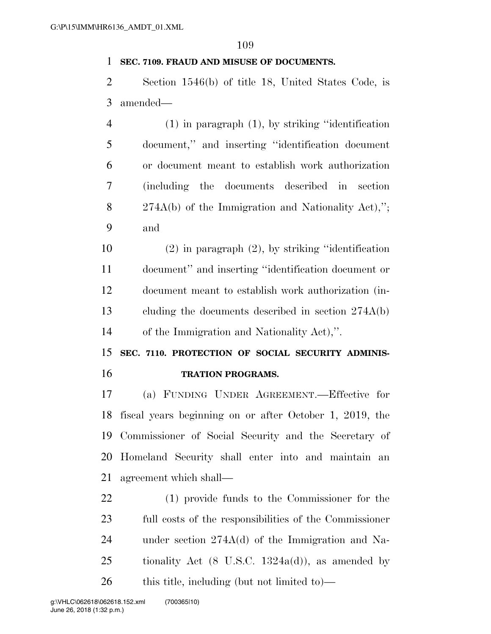#### **SEC. 7109. FRAUD AND MISUSE OF DOCUMENTS.**

 Section 1546(b) of title 18, United States Code, is amended—

 (1) in paragraph (1), by striking ''identification document,'' and inserting ''identification document or document meant to establish work authorization (including the documents described in section 274A(b) of the Immigration and Nationality Act),''; and

 (2) in paragraph (2), by striking ''identification document'' and inserting ''identification document or document meant to establish work authorization (in- cluding the documents described in section 274A(b) of the Immigration and Nationality Act),''.

 **SEC. 7110. PROTECTION OF SOCIAL SECURITY ADMINIS-TRATION PROGRAMS.** 

 (a) FUNDING UNDER AGREEMENT.—Effective for fiscal years beginning on or after October 1, 2019, the Commissioner of Social Security and the Secretary of Homeland Security shall enter into and maintain an agreement which shall—

 (1) provide funds to the Commissioner for the full costs of the responsibilities of the Commissioner under section 274A(d) of the Immigration and Na-25 tionality Act  $(8 \text{ U.S.C. } 1324a(d))$ , as amended by 26 this title, including (but not limited to)—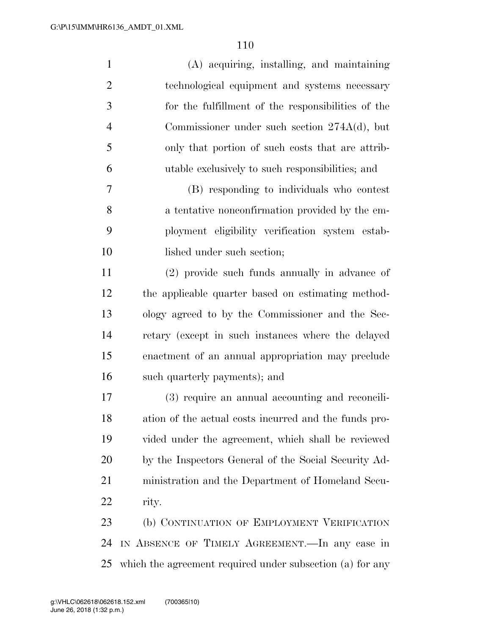| $\mathbf{1}$   | (A) acquiring, installing, and maintaining                |
|----------------|-----------------------------------------------------------|
| $\overline{2}$ | technological equipment and systems necessary             |
| 3              | for the fulfillment of the responsibilities of the        |
| $\overline{4}$ | Commissioner under such section $274A(d)$ , but           |
| 5              | only that portion of such costs that are attrib-          |
| 6              | utable exclusively to such responsibilities; and          |
| 7              | (B) responding to individuals who contest                 |
| 8              | a tentative nonconfirmation provided by the em-           |
| 9              | ployment eligibility verification system estab-           |
| 10             | lished under such section;                                |
| 11             | (2) provide such funds annually in advance of             |
| 12             | the applicable quarter based on estimating method-        |
| 13             | ology agreed to by the Commissioner and the Sec-          |
| 14             | retary (except in such instances where the delayed        |
| 15             | enactment of an annual appropriation may preclude         |
| 16             | such quarterly payments); and                             |
| 17             | (3) require an annual accounting and reconcili-           |
| 18             | ation of the actual costs incurred and the funds pro-     |
| 19             | vided under the agreement, which shall be reviewed        |
| 20             | by the Inspectors General of the Social Security Ad-      |
| 21             | ministration and the Department of Homeland Secu-         |
| 22             | rity.                                                     |
| 23             | (b) CONTINUATION OF EMPLOYMENT VERIFICATION               |
| 24             | IN ABSENCE OF TIMELY AGREEMENT. In any case in            |
| 25             | which the agreement required under subsection (a) for any |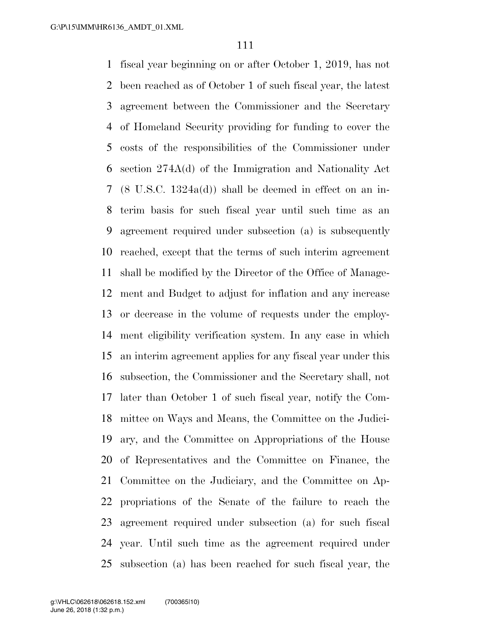fiscal year beginning on or after October 1, 2019, has not been reached as of October 1 of such fiscal year, the latest agreement between the Commissioner and the Secretary of Homeland Security providing for funding to cover the costs of the responsibilities of the Commissioner under section 274A(d) of the Immigration and Nationality Act (8 U.S.C. 1324a(d)) shall be deemed in effect on an in- terim basis for such fiscal year until such time as an agreement required under subsection (a) is subsequently reached, except that the terms of such interim agreement shall be modified by the Director of the Office of Manage- ment and Budget to adjust for inflation and any increase or decrease in the volume of requests under the employ- ment eligibility verification system. In any case in which an interim agreement applies for any fiscal year under this subsection, the Commissioner and the Secretary shall, not later than October 1 of such fiscal year, notify the Com- mittee on Ways and Means, the Committee on the Judici- ary, and the Committee on Appropriations of the House of Representatives and the Committee on Finance, the Committee on the Judiciary, and the Committee on Ap- propriations of the Senate of the failure to reach the agreement required under subsection (a) for such fiscal year. Until such time as the agreement required under subsection (a) has been reached for such fiscal year, the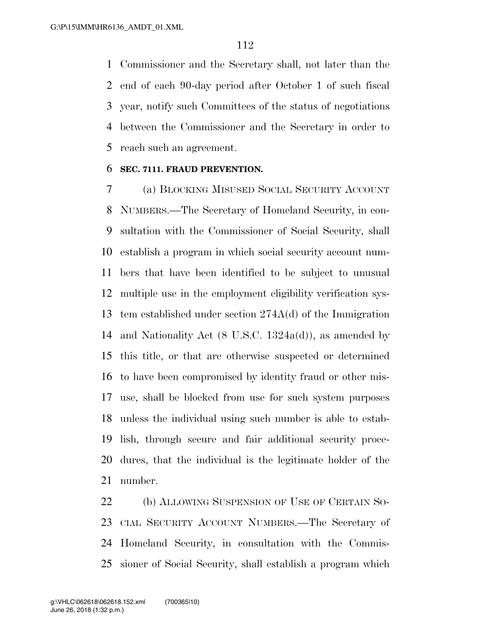Commissioner and the Secretary shall, not later than the end of each 90-day period after October 1 of such fiscal year, notify such Committees of the status of negotiations between the Commissioner and the Secretary in order to reach such an agreement.

#### **SEC. 7111. FRAUD PREVENTION.**

 (a) BLOCKING MISUSED SOCIAL SECURITY ACCOUNT NUMBERS.—The Secretary of Homeland Security, in con- sultation with the Commissioner of Social Security, shall establish a program in which social security account num- bers that have been identified to be subject to unusual multiple use in the employment eligibility verification sys- tem established under section 274A(d) of the Immigration and Nationality Act (8 U.S.C. 1324a(d)), as amended by this title, or that are otherwise suspected or determined to have been compromised by identity fraud or other mis- use, shall be blocked from use for such system purposes unless the individual using such number is able to estab- lish, through secure and fair additional security proce- dures, that the individual is the legitimate holder of the number.

22 (b) ALLOWING SUSPENSION OF USE OF CERTAIN SO- CIAL SECURITY ACCOUNT NUMBERS.—The Secretary of Homeland Security, in consultation with the Commis-sioner of Social Security, shall establish a program which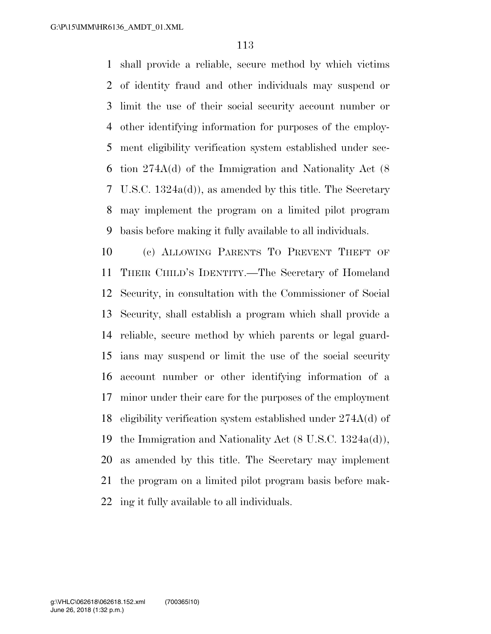shall provide a reliable, secure method by which victims of identity fraud and other individuals may suspend or limit the use of their social security account number or other identifying information for purposes of the employ- ment eligibility verification system established under sec- tion 274A(d) of the Immigration and Nationality Act (8 U.S.C. 1324a(d)), as amended by this title. The Secretary may implement the program on a limited pilot program basis before making it fully available to all individuals.

 (c) ALLOWING PARENTS TO PREVENT THEFT OF THEIR CHILD'S IDENTITY.—The Secretary of Homeland Security, in consultation with the Commissioner of Social Security, shall establish a program which shall provide a reliable, secure method by which parents or legal guard- ians may suspend or limit the use of the social security account number or other identifying information of a minor under their care for the purposes of the employment eligibility verification system established under 274A(d) of the Immigration and Nationality Act (8 U.S.C. 1324a(d)), as amended by this title. The Secretary may implement the program on a limited pilot program basis before mak-ing it fully available to all individuals.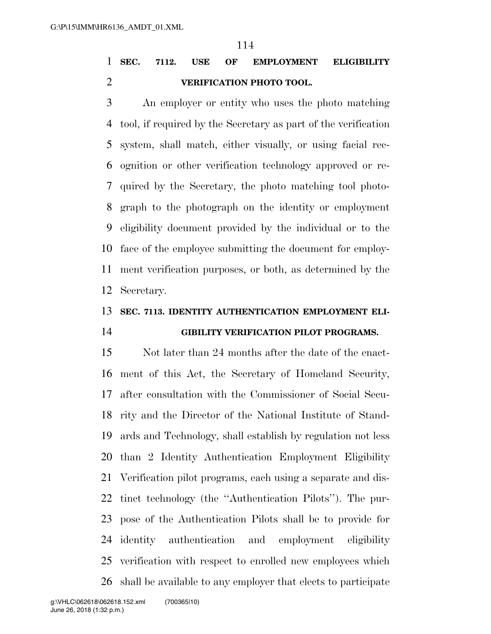### **SEC. 7112. USE OF EMPLOYMENT ELIGIBILITY VERIFICATION PHOTO TOOL.**

 An employer or entity who uses the photo matching tool, if required by the Secretary as part of the verification system, shall match, either visually, or using facial rec- ognition or other verification technology approved or re- quired by the Secretary, the photo matching tool photo- graph to the photograph on the identity or employment eligibility document provided by the individual or to the face of the employee submitting the document for employ- ment verification purposes, or both, as determined by the Secretary.

# **SEC. 7113. IDENTITY AUTHENTICATION EMPLOYMENT ELI-**

# **GIBILITY VERIFICATION PILOT PROGRAMS.**

 Not later than 24 months after the date of the enact- ment of this Act, the Secretary of Homeland Security, after consultation with the Commissioner of Social Secu- rity and the Director of the National Institute of Stand- ards and Technology, shall establish by regulation not less than 2 Identity Authentication Employment Eligibility Verification pilot programs, each using a separate and dis- tinct technology (the ''Authentication Pilots''). The pur- pose of the Authentication Pilots shall be to provide for identity authentication and employment eligibility verification with respect to enrolled new employees which shall be available to any employer that elects to participate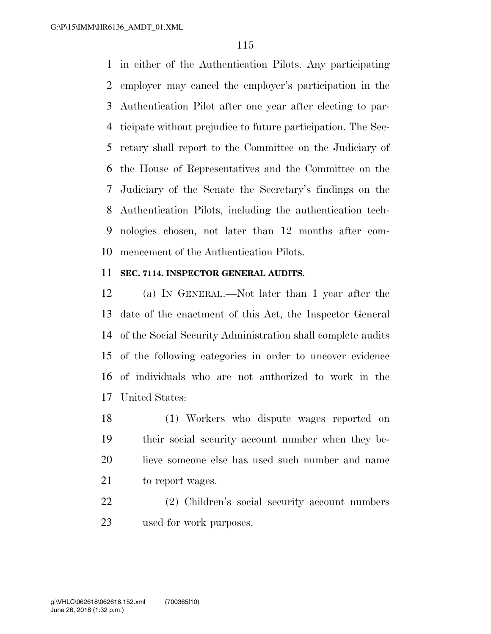in either of the Authentication Pilots. Any participating employer may cancel the employer's participation in the Authentication Pilot after one year after electing to par- ticipate without prejudice to future participation. The Sec- retary shall report to the Committee on the Judiciary of the House of Representatives and the Committee on the Judiciary of the Senate the Secretary's findings on the Authentication Pilots, including the authentication tech- nologies chosen, not later than 12 months after com-mencement of the Authentication Pilots.

#### **SEC. 7114. INSPECTOR GENERAL AUDITS.**

 (a) IN GENERAL.—Not later than 1 year after the date of the enactment of this Act, the Inspector General of the Social Security Administration shall complete audits of the following categories in order to uncover evidence of individuals who are not authorized to work in the United States:

 (1) Workers who dispute wages reported on their social security account number when they be- lieve someone else has used such number and name 21 to report wages.

 (2) Children's social security account numbers used for work purposes.